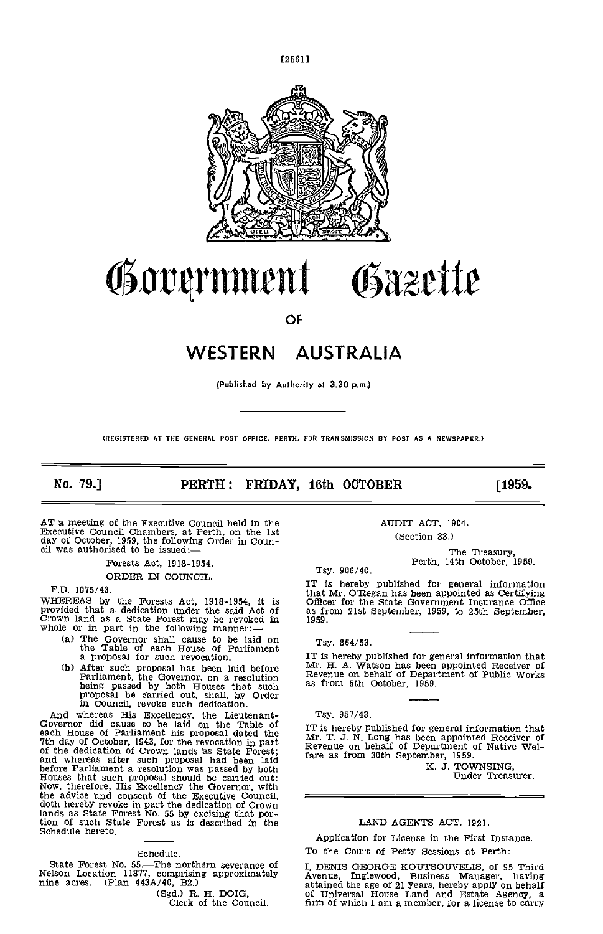[25611



# ørrnmrnt Obazette

OF

# WESTERN AUSTRALIA

(Publishad by Authority at 3.30 p.m.)

(REGISTERED AT THE GENERAL POST OFFICE. PERTH. FOR TRANSMISSION BY POST AS A NEWSPAPER.)

No. 79.] **PERTH: FRIDAY, 16th OCTOBER** [1959.

AT a meeting of the Executive Council held in the Executive Council Chambers, at Perth, on the 1st day of October, 1959, the following Order in Coun- cil was authorised to be issued:—

Forests Act, 1918-1954.

ORDER IN COUNCIL.

F.D. 1075/43.

WHEREAS by the Forests Act, 1918-1954, it is Crown land as a State Forest may be revoked in 1959.<br>whole or in part in the following manner:—

- The Governor shall cause to be laid on Tsy.<br>
the Table of each House of Parliament<br>
a proposal for such revocation. IT is h
- After such proposal has been laid before Mr. H.<br>Parliament, the Governor, on a resolution Revent<br>being passed by both Houses that such as from<br>proposal be carried out, shall, by Order<br>in Council, revoke such dedication.

And whereas His Excellency, the Lieutenant-<br>Governor did cause to be laid on the Table of each House of Parliament his proposal dated the 7th day of October, 1943, for the revocation in part of the dedication of Crown lands as State Forest; Revent and whereas after such proposal had been laid fare as before Parliament a resolution was passed by both Houses that such proposal should be carried out: Now, therefore, His Excellency the Governor, with the advice and consent of the Executive Council,<br>doth hereby revoke in part the dedication of Crown<br>lands as State Forest No. 55 by excising that portion of such State Forest as is described in the Schedule hereto.

#### Schedule.

State Forest No.  $55$ . The northern severance of  $I$ . Nelson Location 11877, comprising approximately  $\overleftrightarrow{\text{Aven}}$ <br>nine acres. (Plan 443A/40, B2.) attain

(Sgd.) R. H. DOIG,<br>Clerk of the Council.

AUDIT ACT, 1904. (Section 33.)

The Treasury,<br>Perth, 14th October, 1959.

Tsy. 906/40.

IT is hereby published for general information that Mr. O'Regan has been appointed as Certifying Officer for the State Government Insurance Office as from 21st September, 1959, to 25th September, 1959.

Tsy. 864/53.

IT is hereby published for general information that Mr. H. A. Watson has been appointed Receiver of Revenue on behalf of Department of Public Works as from 5th October, 1959.

Tsy. 957/43.

IT is hereby published for general information that Mr. T .1 N Long has been appointed Receiver of Revenue on behalf of Department of Native Welfare as from 30th September, 1959.

K. J. TOWNSING, Under Treasurer.

# LAND AGENTS ACT, 1921.

Application for License in the First Instance. To the Court of Petty Sessions at Perth:

I, DENIS GEORGE KOUTSOUVELIS, of 95 Third Avenue, Inglewood, Business Manager, having attained the age of 21 years, hereby apply on behalf of Universal House Land and Estate Agency, a firm of which I am a member, for a license to carry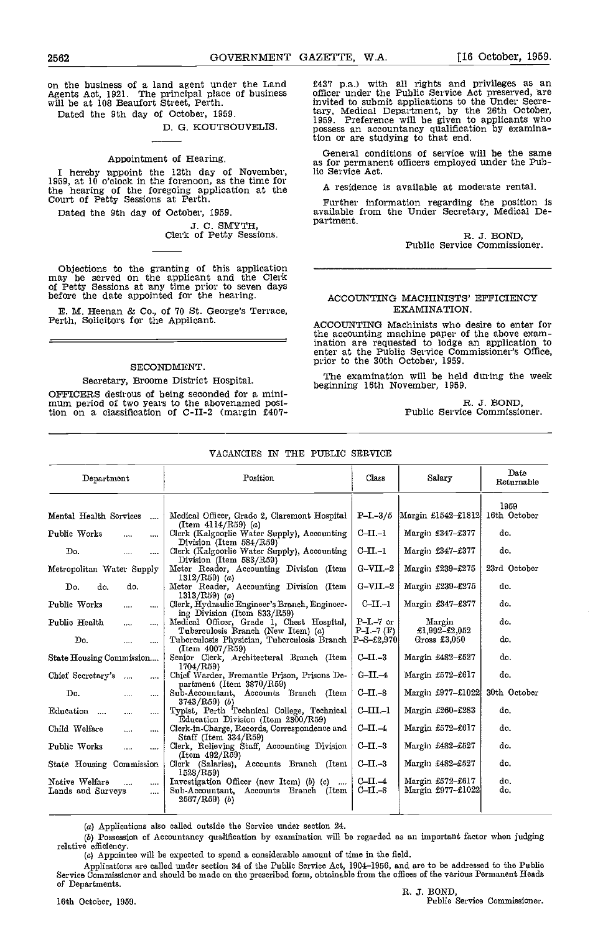on the business of a land agent under the Land Agents Act, 1921. The principal place of business will be at 108 Beaufort Street, Perth.

Dated the 9th day of October, 1959.

# D. G. KOUTSOUVELIS

# Appointment of Hearing.

I hereby appoint the 12th day of November, 1959, at 10 o'clock in the forenoon, as the time for the hearing of the foregoing application at the  $A_1$ <br>Court of Petty Sessions at Perth.

Dated the 9th day of October, 1959.

J. C. SMYTH, Clerk of Petty Sessions.

Objections to the granting of this application may be served on the applicant and the Clerk of Petty Sessions at ny time prior to seven days before the date appointed for the hearing.

E. M. Heenan & Co., of 70 St. George's Terrace, Perth, Solicitors for the Applicant.

# SECONDMENT.

# Secretary, Broome District Hospital.

OFFICERS desirous of being seconded for a minimum period of two years to the abovenamed position on a classification of C-II-2 (margin £407-

£437 pa.) with all rights and privileges as an officer under the Public Service Act preserved, hre invited to submit applications to the Under Secretary, Medical Department, by the 26th October, 1959. Preference will be given to applicants who possess an accountancy qualification by examina-tion or are studying to that end.

General conditions of service will be the same as for permanent officers employed under the Public Service Act.

A residence is available at moderate rental.

Further information regarding the position is available from the Under Secretary, Medical Department.

R. J. BOND,<br>Public Service Commissioner.

# ACCOUNTING MACHINISTS' EFFICIENCY EXAMINATION.

ACCOUNTING Machinists who desire to enter for the accounting machine paper of the above examination are requested to lodge an application to enter at the Public Service Commissioner's Office, prior to the 30th October, 1959.

The examination will be held during the week beginning 16th November, 1959.

R. 3. BOND, Public Service Commissioner.

# VACANCIES IN THE PUBLIC SERVICE

| Department                                                      | Position                                                                                            | Class                        | Salary                                | Date<br>Returnable   |
|-----------------------------------------------------------------|-----------------------------------------------------------------------------------------------------|------------------------------|---------------------------------------|----------------------|
| Mental Health Services<br>$\cdots$                              | Medical Officer, Grade 2, Claremont Hospital                                                        | $P-I - 3/5$                  | Margin £1542-£1812                    | 1959<br>16th October |
| Public Works<br><br>                                            | $(Item 4114/RS9)$ $(a)$<br>Clerk (Kalgoorlie Water Supply), Accounting<br>Division (Item 584/R59)   | $C-II-1$                     | Margin £347-£377                      | do.                  |
| Do.<br>$\cdots$<br>$\cdots$                                     | Clerk (Kalgoorlie Water Supply), Accounting<br>$Division$ (Item $583/R59$ )                         | $C-II.-I$                    | Margin £347-£377                      | do.                  |
| Metropolitan Water Supply                                       | Meter Reader, Accounting Division (Item<br>$1312/RS9$ (a)                                           | $G-VII - 2$                  | Margin £239-£275                      | 23rd October         |
| do.<br>do.<br>Do.                                               | Meter Reader, Accounting Division (Item<br>$1313/RS9$ (a)                                           | $G-VII$ -2                   | Margin £239-£275                      | do.                  |
| Public Works                                                    | Clerk, Hydraulic Engineer's Branch, Engineer-<br>ing Division (Item 833/R59)                        | $_{\rm C\!-\!1}$             | Margin £347-£377                      | do.                  |
| Public Health<br>$\cdots$<br>$\cdots$                           | Medical Officer, Grade 1, Chest Hospital,<br>Tuberculosis Branch (New Item) (a)                     | $P-I$ -7 or<br>$P-I-7$ $(F)$ | Margin<br>$£1,992 - £2,052$           | do.                  |
| Do.<br>$\cdots$<br>$\cdots$                                     | Tuberculosis Physician, Tuberculosis Branch P-S-£2,970<br>(Item 4007/R59)                           |                              | Cross £3,050                          | do.                  |
| State Housing Commission                                        | Senior Clerk, Architectural Branch (Item<br>1704/RS9                                                | $C$ -II.-3                   | Margin £482-£527                      | do.                  |
| Chief Secretary's<br>$\cdots$                                   | Chief Warder, Fremantle Prison, Prisons De-<br>partment (Item 3870/R59)                             | $G-II-4$                     | Margin £572-£617                      | do.                  |
| Do.<br><br>                                                     | Sub-Accountant, Accounts Branch (Item<br>$3743/R59$ (b)                                             | $C-II.-8$                    | Margin £977-£1022                     | 30th October         |
| Education<br>$\cdots$<br>$\cdots$<br>$\cdots$                   | Typist, Perth Technical College, Technical<br>Education Division (Item 2300/R59)                    | $C-III-1$                    | Margin £260-£283                      | do.                  |
| Child Welfare<br><br>$\cdots$                                   | Clerk-in-Charge, Records, Correspondence and<br>Staff (Item $334/R59$ )                             | $C$ -II.-4                   | Margin £572-£617                      | do.                  |
| Public Works<br>$\cdots$<br>$\cdots$                            | Clerk, Relieving Staff, Accounting Division<br>(Item 492/R59)                                       | $C-II.-3$                    | Margin £482-£527                      | do.                  |
| State Housing Commission                                        | Clerk (Salaries), Accounts Branch (Iteni<br>1528/R59)                                               | $C-II.-3$                    | Margin £482-£527                      | do.                  |
| Native Welfare<br>$\cdots$<br>$\cdots$<br>Lands and Surveys<br> | Investigation Officer (new Item) (b) (c)<br>Sub-Accountant, Accounts Branch (Item<br>$2567/R59$ (b) | $C$ -II. $-4$<br>$C-II -8$   | Margin £572-£617<br>Margin £977-£1022 | do.<br>do.           |

Applications also called outside the Service under section 24.

(b) Possession of Accountancy qualification by examination will be regarded as an important factor when judging relative efficiency.

(c) Appointee will be expected to spend a considerable amount of time in the field.

Applications are called under section 34 of the Public Service Act, 1904-1956, and are to be addressed to the Public Service Commissioner and should be made on the prescribed form, obtainable from the offices of the various Permanent Heads of Departments.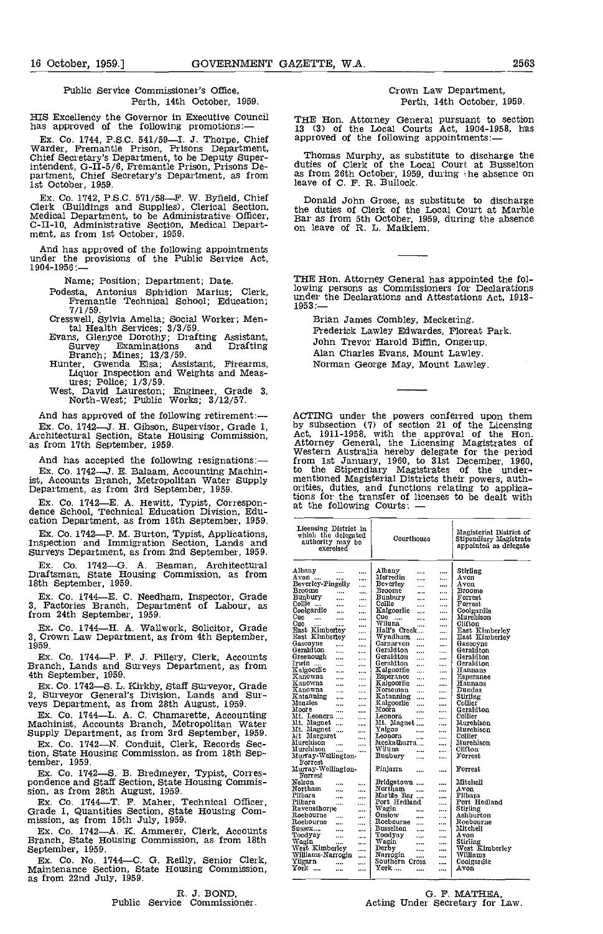# Public Service Commissioner's Office, Perth, 14th October, 1959.

Ex. Co. 1744, P.S.C. 541/59-I. J. Thorpe, Chief at Warder, Fremantle Prison, Prisons Department, Chief Secretary's Department, to be Deputy Superintendent, G-It-5/6, Fremantle Prison, Prisons De- partment, Chief Secretary's Department, as from 1st October, 1959.

Ex. Co. 1742, P.S.C. 571/58—F. W. Byfield, Chief Clerk (Buildings and Supplies), Clerical Section, Medical Department, to be Administrative Officer, C-II-10, Administrative Section, Medical Department, as from 1st October,

And has approved of the following appointments under the provisions of the Public Service Act, 1904-1956:--

Name; Position; Department; Date.

Podesta, Antonius Spiridion Marius; Clerk, lowing<br>Fremantle Technical School; Education; 1953.<br>7/1/59.

- Cresswell, Sylvia Amelia; Social Worker; Men-<br>tal Health Services;  $3/3/59$ .<br>Evans, Glenyce Dorothy; Drafting Assistant,<br>Survey Examinations and Drafting
- Survey Examinations and Draiting<br>
Branch; Mines; 13/3/59.<br>
Hunter, Gwenda Elsa; Assistant, Firearms,<br>
Liquor Inspection and Weights and Meas-<br>
ures; Police; 1/3/59.<br>
West, David Laureston; Engineer, Grade 3,<br>
North-West; P
- 

And has approved of the following retirement:-Ex. Co. 1742-J. H. Gibson, Supervisor, Grade 1, Architectural Section, State Housing Commission, as from 17th September, 1959.

And has accepted the following resignations:- Ex. Co. 1742-J. E. Balaam, Accounting Machinist, Accounts Branch, Metropolitan Water Supply Department, as from 3rd september, 1959.

Ex. Co. 1742—E. A. Hewitt, Typist, Correspon-<br>dence School, Technical Education Division, Edu-<br>cation Department, as from 16th September, 1959.

Ex. Co. 1742-P. M. Burton, Typist, Applications, Inspection and Immigration Section, Lands and Surveys Department, as from 2nd September, 1959.

Ex. Co. 1742-G. A. Beaman, Architectural Draftsman, State Housing Commission, as from 18th September, 1959.

Ex. Co. 1744-E. C. Needham, Inspector, Grade 3, Factories Branch, Department of Labour, as from 24th September, 1959.

Ex. Co. 1744-H, A. Wallwork, Solicitor, Grade 3, Crown Law Department, as from 4th September, 1959.

Ex. Co. 1744-P. F. 3. Fillery, Clerk, Accounts Branch, Lands and Surveys Department, as from 4th September, 1959.

Ex. Co. 1742-S. L. Kirkby, Staff Surveyor, Grade 2, Surveyor General's Division, Lands and Sur-<br>veys Department, as from 28th August, 1959.

Ex. Co. 1744-L. A. C. Chamarette, Accounting Machinist, Accounts Branch, Metropolitan Water Supply Department, as from 3rd September, 1959.

Ex. Co. 1742-N. Conduit, Clerk, Records Sec-tion, State Housing Commission, as from 18th September, 1959.<br>Ex. Co. 1742—S. B. Bredmeyer, Typist, Corres-

pondence and Staff Section, State Housing Commis-<br>sion, as from 28th August, 1959.

Sion, as Hom 2011 August, 1999.<br>
Ex. Co. 1744—T. F. Maher, Technical Officer,<br>
Grade 1, Quantities Section, State Housing Com-<br>
mission, as from 15th July, 1959.<br>
Ex. Co. 1742—A. K. Ammerer, Clerk, Accounts<br>
Branch, State

# Crown Law Department, Perth, 14th October, 1959.

HIS Excellency the Governor in Executive Council THE Hon. Attorney General pursuant to has approved of the following promotions:—<br>Fig. (3) of the Local Courts Act, 1904-1:<br>Fig. Co. 1744 P.S.C. 541/59—T. J. Thorne, Chief ap THE Hon. Attorney General pursuant to section <sup>13</sup> (3) of the Local Courts Act, 1904-1958, has approved of the following appointments:-

> Thomas Murphy, as substitute to discharge the duties of Clerk of the Local Court at Busselton as from 26th October, 1959, during the absence on leave of C. F. R. Bullock.

Donald John Grose, as substitute to discharge the duties of Clerk of the Local Court at Marble Bar as from 5th October, 1959, during the absence on leave of R. L. Maiklem.

THE Hon. Attorney General has appointed the following persons as Commissioners for Declarations under the Declarations and Attestations Act, 1913-<br>1953:—

Brian James Combley, Meckering. Frederick Lawley Edwardes, Floreat Park. John Trevor Harold Biffin, Ongerup. Alan Charles Evans, Mount Lawley. Norman George May, Mount Lawley.

ACTING under the powers conferred upon them<br>by subsection (7) of section 21 of the Licensing<br>Act, 1911-1958, with the approval of the Hon.<br>Attorney General, the Licensing Magistrates of<br>Western Australia hereby delegate fo from 1st January, 1960, to 31st December, 1960, to the Stipendiary Magistrates of the undermentioned Magisterial Districts their powers, auth- orities, duties, and functions relating to applicamethods for the transfer of licenses to be dealt with the following courtes for the transfer of licenses to be dealt with

| Albany<br>Albany<br>Stirling<br>$\cdots$<br>$\cdots$<br>Merredin<br>Avon<br>Avon<br>.<br><br>.<br>Beverley-Pingelly<br>Beverley<br>Avon<br>$\cdots$<br>$\cdots$<br><br>Broome<br>Broome<br>Broome<br><br>$\cdots$<br><br><br>Bunbury<br>Bunbury<br>Forrest<br><br>$\cdots$<br><br><br>Collie<br>Collie<br>Forrest<br><br><br>$\cdots$<br>Coolgardio<br>Kalgoorlie<br>Coolgardie<br><br>$\ddotsc$<br><br><br>Cue<br>Cue<br>Mureliison<br>$\ddotsc$<br>$\cdots$<br><br><br><br><br>Wiluna<br>Cue<br>Clifton<br>$\cdots$<br><br><br>$\cdots$<br><br>East Kimberley<br>Hall's Creek<br>East Kimberley<br><br>$\cdots$<br>East Kimbertey<br>Wyndham<br>East Kimberley<br><br>$\cdots$<br><br>Gascoyne<br>Carnarvon<br>Gaseoyne<br><br><br><br><br>Geraldton<br>Geraldton<br>Geraldton<br><br><br>$\cdots$<br>$\cdots$<br>Geraldton<br>Greenourh<br>Geraldton<br>$\cdots$<br><br>$\cdots$<br>$\cdots$<br>Irwin<br>Geraldton<br>Geraldton<br><br><br><br>$\cdots$<br>Kalgooriie<br>Kalgoorlie<br>Hannans<br>$\cdots$<br><br>$\cdots$<br><br>Kanowna<br>Esperance<br>Esperance<br><br>-14<br><br> | Lieensing District in<br>Magisterial District of<br>which the delegated<br>Courthouse<br>Stipendiary Magistrate<br>authority may be<br>appointed as delegate<br>exereised |  |
|-------------------------------------------------------------------------------------------------------------------------------------------------------------------------------------------------------------------------------------------------------------------------------------------------------------------------------------------------------------------------------------------------------------------------------------------------------------------------------------------------------------------------------------------------------------------------------------------------------------------------------------------------------------------------------------------------------------------------------------------------------------------------------------------------------------------------------------------------------------------------------------------------------------------------------------------------------------------------------------------------------------------------------------------------------------------------------------------|---------------------------------------------------------------------------------------------------------------------------------------------------------------------------|--|
|                                                                                                                                                                                                                                                                                                                                                                                                                                                                                                                                                                                                                                                                                                                                                                                                                                                                                                                                                                                                                                                                                           |                                                                                                                                                                           |  |
|                                                                                                                                                                                                                                                                                                                                                                                                                                                                                                                                                                                                                                                                                                                                                                                                                                                                                                                                                                                                                                                                                           |                                                                                                                                                                           |  |
|                                                                                                                                                                                                                                                                                                                                                                                                                                                                                                                                                                                                                                                                                                                                                                                                                                                                                                                                                                                                                                                                                           |                                                                                                                                                                           |  |
|                                                                                                                                                                                                                                                                                                                                                                                                                                                                                                                                                                                                                                                                                                                                                                                                                                                                                                                                                                                                                                                                                           |                                                                                                                                                                           |  |
|                                                                                                                                                                                                                                                                                                                                                                                                                                                                                                                                                                                                                                                                                                                                                                                                                                                                                                                                                                                                                                                                                           |                                                                                                                                                                           |  |
|                                                                                                                                                                                                                                                                                                                                                                                                                                                                                                                                                                                                                                                                                                                                                                                                                                                                                                                                                                                                                                                                                           |                                                                                                                                                                           |  |
|                                                                                                                                                                                                                                                                                                                                                                                                                                                                                                                                                                                                                                                                                                                                                                                                                                                                                                                                                                                                                                                                                           |                                                                                                                                                                           |  |
|                                                                                                                                                                                                                                                                                                                                                                                                                                                                                                                                                                                                                                                                                                                                                                                                                                                                                                                                                                                                                                                                                           |                                                                                                                                                                           |  |
|                                                                                                                                                                                                                                                                                                                                                                                                                                                                                                                                                                                                                                                                                                                                                                                                                                                                                                                                                                                                                                                                                           |                                                                                                                                                                           |  |
|                                                                                                                                                                                                                                                                                                                                                                                                                                                                                                                                                                                                                                                                                                                                                                                                                                                                                                                                                                                                                                                                                           |                                                                                                                                                                           |  |
|                                                                                                                                                                                                                                                                                                                                                                                                                                                                                                                                                                                                                                                                                                                                                                                                                                                                                                                                                                                                                                                                                           |                                                                                                                                                                           |  |
|                                                                                                                                                                                                                                                                                                                                                                                                                                                                                                                                                                                                                                                                                                                                                                                                                                                                                                                                                                                                                                                                                           |                                                                                                                                                                           |  |
|                                                                                                                                                                                                                                                                                                                                                                                                                                                                                                                                                                                                                                                                                                                                                                                                                                                                                                                                                                                                                                                                                           |                                                                                                                                                                           |  |
|                                                                                                                                                                                                                                                                                                                                                                                                                                                                                                                                                                                                                                                                                                                                                                                                                                                                                                                                                                                                                                                                                           |                                                                                                                                                                           |  |
|                                                                                                                                                                                                                                                                                                                                                                                                                                                                                                                                                                                                                                                                                                                                                                                                                                                                                                                                                                                                                                                                                           |                                                                                                                                                                           |  |
|                                                                                                                                                                                                                                                                                                                                                                                                                                                                                                                                                                                                                                                                                                                                                                                                                                                                                                                                                                                                                                                                                           |                                                                                                                                                                           |  |
|                                                                                                                                                                                                                                                                                                                                                                                                                                                                                                                                                                                                                                                                                                                                                                                                                                                                                                                                                                                                                                                                                           |                                                                                                                                                                           |  |
| Kanowna<br><br>                                                                                                                                                                                                                                                                                                                                                                                                                                                                                                                                                                                                                                                                                                                                                                                                                                                                                                                                                                                                                                                                           | Kalgooriie<br>Hannans<br><br>                                                                                                                                             |  |
| Kanowna<br>Norseman<br>Dundas<br><br><br><br>$\cdots$                                                                                                                                                                                                                                                                                                                                                                                                                                                                                                                                                                                                                                                                                                                                                                                                                                                                                                                                                                                                                                     |                                                                                                                                                                           |  |
| Katanning<br>Katanning<br>Stirllng<br>.,<br><br><b>H</b> 14<br>                                                                                                                                                                                                                                                                                                                                                                                                                                                                                                                                                                                                                                                                                                                                                                                                                                                                                                                                                                                                                           |                                                                                                                                                                           |  |
| Menzies<br>Kalgoorlie<br>Collier<br><br><br><br>                                                                                                                                                                                                                                                                                                                                                                                                                                                                                                                                                                                                                                                                                                                                                                                                                                                                                                                                                                                                                                          |                                                                                                                                                                           |  |
| Moore<br>Moora<br>Geraldton<br><br>$\cdots$<br><br>                                                                                                                                                                                                                                                                                                                                                                                                                                                                                                                                                                                                                                                                                                                                                                                                                                                                                                                                                                                                                                       |                                                                                                                                                                           |  |
| Mt. Leonora<br>Leonora<br>Collier<br>$\ddotsc$<br><br>                                                                                                                                                                                                                                                                                                                                                                                                                                                                                                                                                                                                                                                                                                                                                                                                                                                                                                                                                                                                                                    |                                                                                                                                                                           |  |
| Mt. Magnet<br>Mt. Magnet<br>Murchison<br><br>$\cdots$                                                                                                                                                                                                                                                                                                                                                                                                                                                                                                                                                                                                                                                                                                                                                                                                                                                                                                                                                                                                                                     |                                                                                                                                                                           |  |
| Mt. Magnet<br>Yalgoo<br>hlurchison<br>$\cdots$<br>$\cdots$<br><br>Collier<br>Leonora                                                                                                                                                                                                                                                                                                                                                                                                                                                                                                                                                                                                                                                                                                                                                                                                                                                                                                                                                                                                      |                                                                                                                                                                           |  |
| Mt Margaret<br><br><br>$\cdots$<br>Murehison<br>Meekatharra                                                                                                                                                                                                                                                                                                                                                                                                                                                                                                                                                                                                                                                                                                                                                                                                                                                                                                                                                                                                                               |                                                                                                                                                                           |  |
| Murehison<br>$\cdots$<br>$\cdots$<br><br>Murchison<br>Wiluna<br>Clifton                                                                                                                                                                                                                                                                                                                                                                                                                                                                                                                                                                                                                                                                                                                                                                                                                                                                                                                                                                                                                   |                                                                                                                                                                           |  |
| <br><br>$\cdots$<br>Murray-Wellington-<br>Bunbury<br>Forrest                                                                                                                                                                                                                                                                                                                                                                                                                                                                                                                                                                                                                                                                                                                                                                                                                                                                                                                                                                                                                              |                                                                                                                                                                           |  |
| ,<br>$\cdots$<br>Forrest                                                                                                                                                                                                                                                                                                                                                                                                                                                                                                                                                                                                                                                                                                                                                                                                                                                                                                                                                                                                                                                                  |                                                                                                                                                                           |  |
| Murray-Wellington-<br>Pinjarra<br>Forrest                                                                                                                                                                                                                                                                                                                                                                                                                                                                                                                                                                                                                                                                                                                                                                                                                                                                                                                                                                                                                                                 |                                                                                                                                                                           |  |
| <br><br>Forrest                                                                                                                                                                                                                                                                                                                                                                                                                                                                                                                                                                                                                                                                                                                                                                                                                                                                                                                                                                                                                                                                           |                                                                                                                                                                           |  |
| Nelson<br>Bridgetown<br>Mitehell                                                                                                                                                                                                                                                                                                                                                                                                                                                                                                                                                                                                                                                                                                                                                                                                                                                                                                                                                                                                                                                          |                                                                                                                                                                           |  |
| <br>$\cdots$<br>Northam<br>Northam<br>Avon<br>$\ddotsc$                                                                                                                                                                                                                                                                                                                                                                                                                                                                                                                                                                                                                                                                                                                                                                                                                                                                                                                                                                                                                                   |                                                                                                                                                                           |  |
| <br><br><br>Pilbara<br>Marble Bar<br>Pilbara<br><br>                                                                                                                                                                                                                                                                                                                                                                                                                                                                                                                                                                                                                                                                                                                                                                                                                                                                                                                                                                                                                                      |                                                                                                                                                                           |  |
| <br>Port Hedland<br>Pilbara<br>Port Hedland<br><br>$\cdots$<br>                                                                                                                                                                                                                                                                                                                                                                                                                                                                                                                                                                                                                                                                                                                                                                                                                                                                                                                                                                                                                           |                                                                                                                                                                           |  |
| Wagin<br>Ravensthorpe<br>Stirling<br>                                                                                                                                                                                                                                                                                                                                                                                                                                                                                                                                                                                                                                                                                                                                                                                                                                                                                                                                                                                                                                                     |                                                                                                                                                                           |  |
| <br>Roebourne<br>Onslow<br>Ashburton<br>$\cdots$<br>                                                                                                                                                                                                                                                                                                                                                                                                                                                                                                                                                                                                                                                                                                                                                                                                                                                                                                                                                                                                                                      |                                                                                                                                                                           |  |
| $\cdots$<br><br>Roebourne<br>Roebourne<br>Roebourne<br>$\cdots$<br>$\cdots$<br>$\cdots$<br>                                                                                                                                                                                                                                                                                                                                                                                                                                                                                                                                                                                                                                                                                                                                                                                                                                                                                                                                                                                               |                                                                                                                                                                           |  |
| Busselton<br>$S$ usse $x$<br>Mitchell<br><br><br><br>                                                                                                                                                                                                                                                                                                                                                                                                                                                                                                                                                                                                                                                                                                                                                                                                                                                                                                                                                                                                                                     |                                                                                                                                                                           |  |
| Toodyay<br>Toodyny<br>Avon<br>$\cdots$<br>,<br>                                                                                                                                                                                                                                                                                                                                                                                                                                                                                                                                                                                                                                                                                                                                                                                                                                                                                                                                                                                                                                           |                                                                                                                                                                           |  |
| <br>Wagin<br>Wagin<br>Stirling<br><br><br>$\cdots$<br>                                                                                                                                                                                                                                                                                                                                                                                                                                                                                                                                                                                                                                                                                                                                                                                                                                                                                                                                                                                                                                    |                                                                                                                                                                           |  |
| West Kimberley<br>Derby<br>West Kimberley<br><br><br>$\cdots$                                                                                                                                                                                                                                                                                                                                                                                                                                                                                                                                                                                                                                                                                                                                                                                                                                                                                                                                                                                                                             |                                                                                                                                                                           |  |
| Williams Narrogin<br>Narrogin<br>Williams<br><br>$\cdots$<br>                                                                                                                                                                                                                                                                                                                                                                                                                                                                                                                                                                                                                                                                                                                                                                                                                                                                                                                                                                                                                             |                                                                                                                                                                           |  |
| Yilgarn<br>Southern Cross<br>Coolgardie<br><br><br>$\cdots$                                                                                                                                                                                                                                                                                                                                                                                                                                                                                                                                                                                                                                                                                                                                                                                                                                                                                                                                                                                                                               |                                                                                                                                                                           |  |
| York<br>York<br>Avon<br><br>$\cdots$<br><br><br>                                                                                                                                                                                                                                                                                                                                                                                                                                                                                                                                                                                                                                                                                                                                                                                                                                                                                                                                                                                                                                          |                                                                                                                                                                           |  |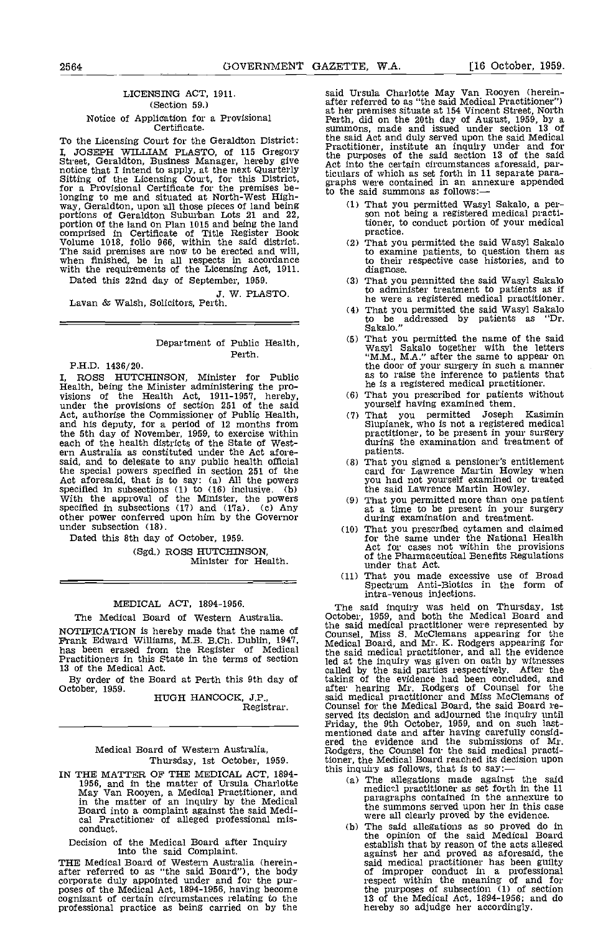# LICENSING ACT, 1911. (Section 59.) Notice of Application for a Provisional Certificate.

To the Licensing Court for the Geraldton District: I, JOSEPH WILLIAM PLASTO, of 115 Gregory<br>Street, Geraldton, Business Manager, hereby give<br>notice that I intend to apply, at the next Quarterly Act in<br>Sitting of the Licensing Court, for this District, icidlar<br>for a Provisi longing to me and situated at North-West High-<br>way, Geraldton, upon all those pieces of land being portions of Geraldton Suburban Lots 21 and 22,<br>portion of the land on Plan 1015 and being the land portion of the land on Plan 1015 and being the land<br>comprised in Certificate of Title Register Book<br>Volume 1018, folio 966, within the said district.<br>The said premises are now to be erected and will,<br>when finished, be in a Dated this 22nd day of September, 1959.

J. W. PLASTO. Lavan & Walsh, Solicitors, Perth.

# Department of Public Health, Perth.

PH.D. 1436/20

I, ROSS HUTCHINSON, Minister for Public Health, being the Minister administering the pro-<br>visions of the Health Act, 1911-1957, hereby, (6) That<br>under the provisions of section 251 of the said your<br>Act, authorise the Commissioner of Public Health, (7) That<br>and h the 5th day of November, 1959, to exercise within each of the health districts of the State of Western Australia as constituted under the Act aforesaid, and to delegate to any public health ofilcial the special powers specified in section 251 of the Act aforesaid, that is to say: (a) All the powers specified in subsections  $(1)$  to  $(16)$  inclusive. (b) With the approval of the Minister, the powers specified in subsections (17) and (17a). (c) Any other power conferred upon him by the Governor under subsection (18).

Dated this 8th day of October, 1959.

(Sgd.) ROSS HUTCHINSON, Minister for Health.

# MEDICAL ACT, 1894-1956.

The Medical Board of Western Australia. NOTIFICATION is hereby made that the name of Frank Edward Williams, MB. B.Ch. Dublin, 1947, has been erased from the Register of Medical Practitioners in this State in the terms of section 13 of the Medical Act.

By order of the Board at Perth this 9th day of October, 1959.

HUGH HANCOCK, J.P., Registrar.

Medical Board of Western Australia,

Thursday, 1st October, 1959.<br>IN THE MATTER OF THE MEDICAL ACT, 1894-THE MATTER OF THE MEDICAL ACT, 1894-<br>
1956, and in the matter of Ursula Charlotte<br>
May Van Rooyen, a Medical Practitioner, and<br>
in the matter of an inquiry by the Medical<br>
Board into a complaint against the said Medi-<br>
Pra

Decision of the Medical Board after Inquiry into the said Complaint.

THE Medical Board of Western Australia (herein- after referred to as "the said Board"), the body corporate duly appointed under and for the pur- poses of the Medical Act, 1894-1956, having become cognizant of certain circumstances relating to the professional practice as being carried on by the

said Ursula Charlotte May Van Rooyen (herein-<br>after referred to as "the said Medical Practitioner")<br>at her premises situate at 154 Vincent Street, North<br>Perth, did on the 20th day of August, 1959, by a sununons, made and issued under section 13 of the said Act and duly served upon the said Medical Practitioner, institute an inquiry under and for the purposes of the said section 13 of the said Act into the certain circumstances aforesaid, particulars of which as set forth in 11 separate para-<br>graphs were contained in an annexure appended<br>to the said summons as follows:—

- That you permitted Wasyl Sakalo, a per-<br>son not being a registered medical practitioner, to conduct portion of your medical practice.
- That you permitted the said Wasyl Sakalo to examine patients, to question them as to their respective case histories, and to diagnose.
- (3) That you permitted the said Wasyl Sakalo<br>to administer treatment to patients as if he were a registered medical practitioner.
- That you permitted the said Wasyl Sakalo  $(4)$ to be addressed by patients as "Dr. Sakalo."
- That you permitted the name of the said Wasyl Sakalo together with the letters<br>"M.M., M.A." after the same to appear on  $(5)$ the door of your surgery in such a manner as to raise the inference to patients that he is a registered medical practitioner.
- That you prescribed for patients without yourself having examined them.
- That you permitted Joseph Kasimin Superintent, who is not a registered medical practitioner, to be present in your surgery during the examination and treatment of patients.
- That you signed a pensioner's entitlement card for Lawrence Martin Howley when you had not yourself examined or treated
- the said Lawrence Martin Howley. That you permitted more than one patient at a time to be present in your surgery during examination and treatment.
- (10) That you prescribed cytamen and claimed for the same under the National Health Act for cases not within the provisions of the Pharmaceutical Benefits Regulations under that Act.
- under that Act.<br>
(11) That you made excessive use of Broad<br>
Spectrum Anti-Biotics in the form of<br>
intra-venous injections. intra-venous injections.

The said inquiry was held on Thursday, lst October, 1959, and both the Medical Board and the said medical practitioner were represented by Counsel, Miss S. McClemans appearing for the Medical Board, and Mr. K. Rodgers appearing for the said medical practitioner, and all the evidence led at the inquiry was given on oath by witnesses called by the said parties respectively. After the taking of the evidence had been concluded, and after hearing Mr. Rodgers of Counsel for the said medical practitioner and Miss McClemans of<br>Counsel for the Medical Board, the said Board re-<br>served its decision and adjourned the inquiry until<br>Friday, the 9th October, 1959, and on such last-<br>mentioned date and afte Rodgers, the Counsel for the said medical practi-tioner, the Medical Board reached its decision upon

- the Medical Board reached its decision upon<br>this inquiry as follows, that is to say: —<br>(a) The allegations made against the said<br>medictl practitioner as set forth in the 11<br>paragraphs contained in the annexure to the summons served upon her in this case were all clearly proved by the evidence.
	- the opinion of the said Medical Board establish that by reason of the acts alleged against her and proved as aforesaid, the said medical practitioner has been guilty of improper conduct in a professional respect within the meaning of and for the purposes of subsection (1) of section 13 of the Medical Act, 1894-1956; and do hereby so adjudge her accordingly.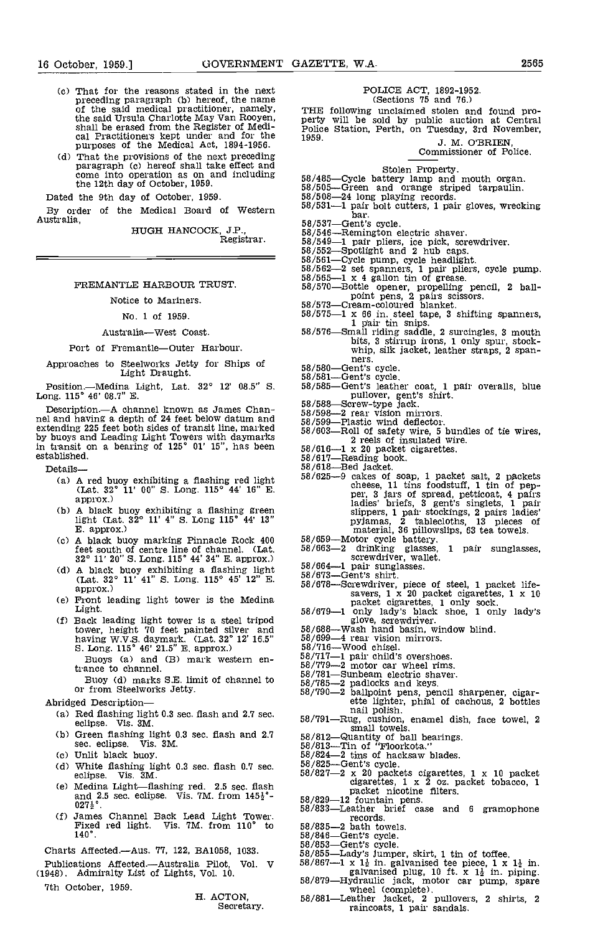- (c) That for the reasons stated in the next<br>preceding paragraph (b) hereof, the name<br>of the said medical practitioner, namely,<br>the said Ursula Charlotte May Van Rooyen,<br>shall be erased from the Register of Medi-<br>cal Pract
- (d) That the provisions of the next preceding<br>paragraph (c) hereof shall take effect and<br>come into operation as on and including<br>the 12th day of October, 1959.<br>58/505

Dated the 9th day of October, 1959.

By order of the Medical Board of Western 58/531-Australia,

HUGH HANCOCK, J.P.,<br>. Registrar.

FREMANTLE HARBOUR TRUST.

#### Notice to Mariners.

# No. 1 of 1959.

Australia-West Coast.

Port of Fremantle-Outer Harbour.

Approaches to Steelworks Jetty for Ships of 58/580—Gent's cycle.<br>Light Draught. 68/581—Gent's cycle.

Position.-Medina Light, Lat. 32° 12' 08.5" S. Long. 115° 46' 08.7" B.

Description.—A channel known as James Chan-<br>nel and having a depth of 24 feet below datum and  $\begin{bmatrix} 58/59 \\ 58/59 \end{bmatrix}$ extending 225 feet both sides of transit line, marked by buoys and Leading Light Towers with daymarks in transit on a bearing of  $125^\circ$  01' 15", has been  $58/616$ established.

Details-

- (a) A red buoy exhibiting a flashing red light (Lat.  $32^{\circ}$  11' 00" S. Long.  $115^{\circ}$  44' 16" E. approx.)
- A black buoy exhibiting a flashing green light (Lat. 32° 11' 4" S. Long 115° 44' 13"<br>E. approx.)
- $\text{Co}$  A black buoy marking Pinnacle Rock 400  $\frac{58}{60}$ feet south of centre line of channel. (Lat. 32° 11' 20" S. Long. 115° 44' 34" E. approx.)
- (d) A black buoy exhibiting a flashing light  $58/664-1$  pair sungl<br>
(Lat.  $32^{\circ}$  11' 41" S. Long.  $115^{\circ}$  45' 12" E.  $58/673$ —Gent's shirt.<br>
approx.)
- Ce) Front leading light tower is the Medina Light.
- Cf) Back leading light tower is a steel tripod tower, height 70 feet painted silver and 58/68 having W.V.S. daymark. (Lat. 32° 12' 16.5" 58/<br>S. Long. 115° 46' 21.5" E. approx.) 58/<br>Buoys (a) and (B) mark western en-  $\frac{58/7}{89/7}$ 
	- Buoys (a) and (B) mark western en-<br>trance to channel.

Buoy Cd) marks SE. limit of channel to or from Steelworks Jetty.

Abridged Description-

- (a) Red flashing light 0.3 sec. flash and 2.7 sec.  $\frac{1}{1-\text{Rug}}$ , cashion, enamel dish, face towel, 2<br>eclipse. Vis. 3M.
- (b) Green flashing light 0.3 sec. flash and  $2.7$   $58/81$ sec. eclipse. Vis. 3M.
- Cc) Unlit black buoy.
- Cd) White flashing light 0.3 sec. flash 0.7 sec. eclipse. Vis. 3M.
- Ce) Medina Light-flashing red. 2.5 sec. flash and 2.5 sec. eclipse. Vis. 7M. from  $145\frac{1}{2}$ °- $027\frac{1}{2}$ °.
- Cf) James Channel Back Lead Light Tower. Fixed red light. Vi5. 7M. from 110° to 140°.

Charts Aftected.-Aus. 77, 122, BA1058, 1033.

Publications Affected.—Australia Pilot, Vol. V  $58/867$ —1 x<br>(1948). Admiralty List of Lights, Vol. 10.

7th October, 1959.

H. ACTON, Secretary.

# POLICE ACT, 1892-1952. (Sections 15 and 16.)

THE following unclaimed stolen and found pro-<br>
perty will be sold by public auction at Central<br>
Police Station, Perth, on Tuesday, 3rd November,<br>
1959. J. M. O'BRIEN,<br>
Commissioner of Police.

- 
- 
- 
- Stolen Property.<br>58/485-Cycle battery lamp and mouth organ.<br>58/505-Green and orange striped tarpaulin.<br>58/508-24 long playing records.<br>58/531-1 pair bolt cutters, 1 pair gloves, wrecking bar.<br>-Gent's cycle.
- 
- 
- 
- 
- 
- 
- 58/537—Gent's cycle.<br>
58/546—Remington electric shaver.<br>
58/546—Remington electric shaver.<br>
58/552—Spotlight and 2 hub caps.<br>
58/552—Spotlight and 2 hub caps.<br>
58/561—Cycle pump, cycle headlight.<br>
58/562—2 set spanners, 1
- 
- 
- 1 pair tin snips.<br>58/576-Small riding saddle, 2 surcingles, 3 mouth bits, 3 stirrup irons, 1 only spur, stock-<br>whip, silk jacket, leather straps, 2 spanners.
- 
- 
- 58/580-Gent's cycle.<br>58/581-Gent's cycle.<br>58/585-Gent's leather coat, 1 pair overalls, blue pullover, gent's shirt.<br>58/588-Screw-type jack.<br>58/598-2 rear vision mirrors.<br>58/599-Plastic wind deflector.
- 
- 
- 
- $58/603$ -Roll of safety wire, 5 bundles of tie wires, 2 reels of insulated wire.
- 
- 
- 
- 58/616-1 x 20 packet cigarettes.<br>58/617-Reading book.<br>58/625-9 cakes of soap, 1 packet salt, 2 packets cheese, 11 tins foodstuff, 1 tin of pep-<br>per, 3 jars of spread, petticoat, 4 pairs ladies' briefs, 3 gent's singlets, 1 pair slippers, 1 pair stockings, 2 pairs ladies' pyjamas, <sup>2</sup> tablecloths, <sup>13</sup> pieces of
- 
- material, 36 pillowslips, 63 tea towels. 58/659-Motor cycle battery.<br>58/663-2 drinking glasses, 1 pair sunglasses, 58/664-1 pair sunglasses. 58/673-Gent's shirt.
- 
- 58/678-Screwdriver, piece of steel, 1 packet life- savers, 1 x 20 packet cigarettes, 1 x 10
- packet cigarettes, 1 only sock.<br>58/679-1 only lady's black shoe, 1 only lady's glove, screwdriver.<br>58/688-Wash hand basin, window blind. 58/699-4 rear vision mirrors.
- 
- 
- 
- 
- 58/716—Wood chisel.<br>58/717—1 pair child's overshoes.<br>58/779—2 motor car wheel rims.<br>58/781—Sunbeam electric shaver.
- 
- 
- $58/785-2$  padlocks and keys.<br>  $58/790-2$  ballpoint pens, pencil sharpener, cigar-<br>
ette lighter, phial of cachous, 2 bottles<br>
nail polish.<br>  $58/791$ —Rug, cushion, enamel dish, face towel, 2
- small towels.<br>
58/812—Quantity of ball bearings.<br>
58/813—Tin of "Floorkota."
- 
- 
- 
- 
- 58/824-2 tins of hacksaw blades. 58/825-Gent's cycle. 58/821-2 x 20 packets cigarettes, I x 10 packet cigarettes, 1 x 2 oz. packet tobacco, 1
- packet nicotine filters.<br>58/829-12 fountain pens.<br>58/833-Leather brief case and 6 gramophone records.
- $58/835-2$  bath towels.<br> $58/846$ -Gent's cycle.<br> $58/853$ -Gent's cycle.
- 
- 
- 
- 
- 58/855—Lady's Jumper, skirt, 1 tin of toffee.<br>58/855—Lady's Jumper, skirt, 1 tin of toffee.<br>58/867—1 x  $1\frac{1}{2}$  in. galvanised tee piece, 1 x  $1\frac{1}{2}$  in.<br>58/879—Hydraulic jack, motor car pump, spare
- wheel (complete).<br>58/881—Leather Jacket, 2 pullovers, 2 shirts, 2<br>raincoats, 1 pair sandals.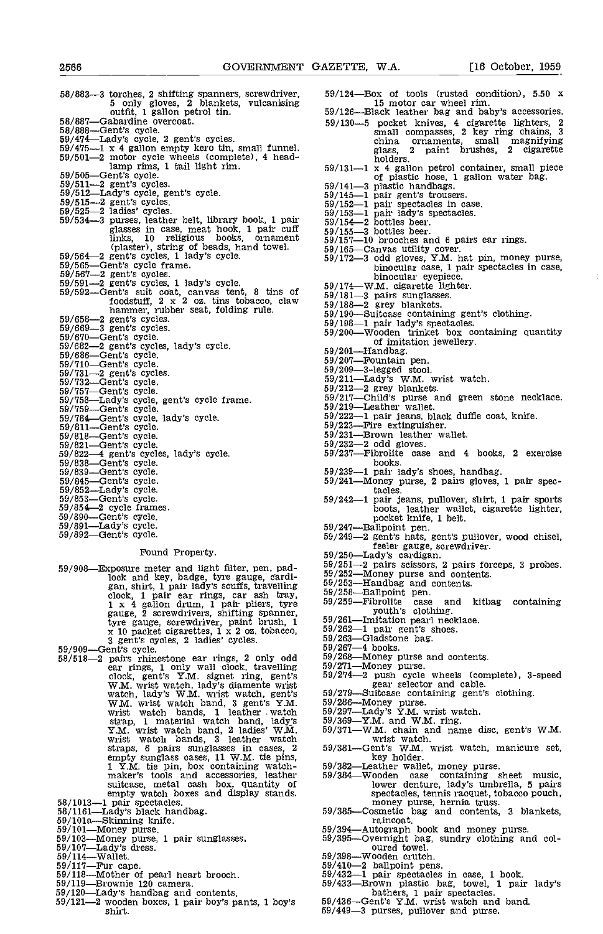| 5 only gloves, 2 blankets, vulcanising                        |            |
|---------------------------------------------------------------|------------|
| outfit, 1 gallon petrol tin.                                  | 59,        |
| 58/887-Gabardine overcoat.                                    | 59,        |
| $58/888$ —Gent's cycle.                                       |            |
| 59/474—Lady's cycle, 2 gent's cycles.                         |            |
| 59/475-1 x 4 gallon empty kero tin, small funnel.             |            |
| 59/501-2 motor cycle wheels (complete), 4 head-               |            |
| lamp rims, 1 tail light rim.                                  | 59/        |
| 59/505-Gent's cycle.                                          |            |
| $59/511 - 2$ gent's cycles.                                   | 59/        |
| 59/512-Lady's cycle, gent's cycle.                            | 59/        |
| $59/515 - 2$ gent's cycles.                                   | 59,        |
| $59/525 - 2$ ladies' cycles.                                  |            |
| 59/534-3 purses, leather belt, library book, 1 pair           | 59/        |
| glasses in case, meat hook, 1 pair cuff                       | 59/        |
| religious books, ornament<br>links. 10                        | 59/<br>59/ |
| (plaster), string of beads, hand towel.                       |            |
| 59/564-2 gent's cycles, 1 lady's cycle.                       | 59/        |
| 59/565-Gent's cycle frame.                                    | 597        |
| $59/567 - 2$ gent's cycles.                                   |            |
| $59/591 - 2$ gent's cycles, 1 lady's cycle.                   |            |
| 59/592—Gent's suit coat, canvas tent, 8 tins of               | 59/        |
| foodstuff, 2 x 2 oz. tins tobacco, claw                       | 59/        |
| hammer, rubber seat, folding rule.                            | 59/        |
| $59/658 - 2$ gent's cycles.                                   | 59/        |
| $59/669-3$ gent's cycles.                                     | 59/        |
| 59/670-Gent's cycle.                                          | 59/        |
|                                                               |            |
| 59/682-2 gent's cycles, lady's cycle.<br>59/686-Gent's cycle. | 59/        |
| 59/710-Gent's cycle.                                          | 59/        |
| 59/731-2 gent's cycles.                                       | 59/        |
| 59/732-Gent's cycle.                                          | 59/        |
| 59/757-Gent's cycle.                                          | 59/        |
| 59/758-Lady's cycle, gent's cycle frame.                      | 59/        |
| 59/759—Gent's cycle.                                          | 59/        |
| 59/784—Gent's cycle, lady's cycle.                            | 59/        |
| $59/811$ --Gent's cycle.                                      | 59/        |
| 59/818-Gent's cycle.                                          | 59/        |
| 59/821-Gent's cycle.                                          | 597        |
| 59/822—4 gent's cycles, lady's cycle.                         | 597        |
| 59/838-Gent's cycle.                                          |            |
| 59/839-Gent's cycle.                                          | 59/        |
| 59/845-Gent's cycle.                                          | 59/        |
| 59/852-Lady's cycle.                                          |            |
| 59/853—Gent's cycle.                                          | 59/        |
| $59/854 - 2$ cycle frames.                                    |            |
| 59/890—Gent's cycle.                                          |            |
| 59/891-Lady's cycle.                                          | 59/        |
| 59/892-Gent's cycle.                                          | 59/        |
|                                                               |            |

# Found Property.

59/908—Exposure meter and light filter, pen, padlock and key, badge, tyre gauge, cardi- gan, shirt, 1 pair lady's scuffs, travelling edock, 1 pair ear rings, car ash tray, 59/258<br>1 x 4 gallon drum, 1 pair pliers, tyre 59/259<br>gauge, 2 screwdrivers, shifting spanner,<br>tyre gauge, screwdriver, paint brush, 1 59/261 x 10 packet cigarettes, 1 x 2 oz. tobacco,  $\frac{59}{262}$ <br>3 gent's cycles, 2 ladies' cycles. 59/909–Gent's cycle. 58/518-2 pairs rhinestone ear rings, 2 only odd  $\frac{59}{266}$ 

 $58/518-2$  pairs rhinestone ear rings, 2 only odd<br>ear rings, 1 only wall clock, travelling<br>clock, gent's Y.M. signet ring, gent's clock, gent's Y.M. signet ring, gent's 59/274-<br>W.M. wrist watch, lady's diamente wrist<br>watch, lady's W.M. wrist watch, gent's 59/279-<br>W.M. wrist watch band, 3 gent's Y.M. 59/286-<br>wrist watch bands, 1 leather watch 59/297strap, 1 material watch band, lady's 59/369-<br>Y.M. wrist watch band, 2 ladies' W.M. 59/371-<br>wrist watch bands, 3 leather watch straps, 6 pairs sunglasses in cases, 2 59 empty sunglass cases, 11 W.M. tie pins,<br>1 Y.M. tie pin, box containing watch-<br>maker's tools and accessories, leather 59 1 Y.M. tie pin, box containing watch-<br>
maker's tools and accessories, leading the suitcase, metal cash box, quantity of<br>
suitcase, metal cash box, quantity of<br>
empty watch boxes and display stands.<br>  $58/1013$ —1 pair spect

- 
- 
- 
- 
- 
- 
- 
- 
- 
- $59/121-2$  wooden boxes, 1 pair boy's pants, 1 boy's shirt.
- 58/883—3 torches, 2 shifting spanners, screwdriver, 59/124—Box of tools (rusted condition), 5.50 x<br>5 only gloves, 2 blankets, vulcanising 15 motor car wheel rim.<br>000 outfit, 1 gallon petrol tin. 59/126—Black leather bag an  $59/124$ -Box of tools (rusted condition), 5.50 x 15 motor car wheel rim.
	- 59/126—Black leather bag and baby's accessories.<br>59/130—5 pocket knives, 4 cigarette lighters, 2<br>small compasses, 2 key ring chains, 3 china ornaments, small magnifying glass, <sup>2</sup> paint brushes, <sup>2</sup> cigarette holders.
	- holders.<br>59/131—1 x 4 gallon petrol container, small piece<br>of plastic hose, 1 gallon water bag.<br>59/141—3 plastic handbags.<br>59/145—1 pair gent's trousers.<br>59/152—1 pair spectacles in case.<br>59/153—1 pair lady's spectacles.<br>
	-
	-
	-
	-
	-
	- 59/155-3 bottles beer.<br>59/155-3 bottles beer.<br>59/157-10 brooches and 6 pairs ear rings.
	-
	- 59/165—Canvas utility cover.<br>59/165—Canvas utility cover.<br>59/172—3 odd gloves, Y.M. hat pin, money purse,<br>binocular case, 1 pair spectacles in case,<br>59/174—W.M. cigarette lighter.<br>59/181—3 pairs sunglasses.<br>59/188—2 grey
	-
	-
	- $f_{\text{B}}(180 3)$  pairs sunglasses.<br>blaw  $\frac{59}{188} 2$  grey blankets.
		-
		-
		-
		-
		-
		-
		-
		-
		- 59/201—Handbag. 59/207—Fountain pen. 59/207—Fountain pen. 59/209-3-legged stool. 59/211—Lady's W.M. wrist watch. 59/212—2 grey blankets. 59/212—Child's purse and green stone necklace. 59/219—Leather wallet. 59/219Leather
		-
		-
		-
		-
		- 59/222—1 pair jeans, black duffie coat, knife.<br>59/223—Fire extinguisher.<br>59/231—Brown leather wallet.<br>59/232—2 odd gloves.<br>59/237—Fibrolite case and 4 books, 2 exercise<br>books.
		-
		- 59/239-1 pair lady's shoes, handbag. 59/241Money purse, 2 pairs gloves, 1 pair spec-
		- tacles.<br>59/242—1 pair jeans, pullover, shirt, 1 pair sports<br>boots, leather wallet, cigarette lighter,<br>pocket knife, 1 belt.
		-
		- 59/247—Ballpoint pen.<br>
		59/249—2 gent's hats, gent's pullover, wood chisel,<br>
		feeler gauge, screwdriver.<br>
		59/250—Lady's cardigan.<br>
		59/251—2 pairs scissors, 2 pairs forceps, 3 probes.<br>
		59/252—Money purse and contents.<br>
		59/25
		-
		-
		-
		-
		-
		-
		-
		-
		-
		-
		-
		-
		- $59/268$ —Money purse and contents.<br>59/271—Money purse.<br>59/274—2 push cycle wheels (complete), 3-speed<br>gear selector and cable.<br>59/279—Suitcase containing gent's clothing.
		-
		-
		-
		-
		-
		-
		-
		- 39/286—Money purse.<br>59/286—Money purse.<br>59/297—Lady's Y.M. wrist watch.<br>59/369—Y.M. and W.M. ring.<br>59/371—W.M. chain and name disc, gent's W.M.<br>wrist watch.<br>59/381—Gent's W.M. wrist watch, manicure set,<br>key holder.<br>59/382—
		- money purse, hernia truss.<br>59/385—Cosmetic bag and contents, 3 blankets, raincoat.
		-
		- 59/394—Autograph book and money purse.<br>59/395—Overnight bag, sundry clothing and col-<br>oured towel.<br>59/398—Wooden crutch.
		- $59/398$ -Wooden crutch.<br> $59/410-2$  ballpoint pens.
		-
		-
		- 59/410-2 ballpoint pens. 59/432-1 pair spectacles in case, 1 book.<br>59/433-Brown plastic bag, towel, 1 pair lady's bathers, 1 pair spectacles. 59/436-Gent's Y.M. wrist watch and band.
		-
		- 59/449-3 purses, pullover and purse.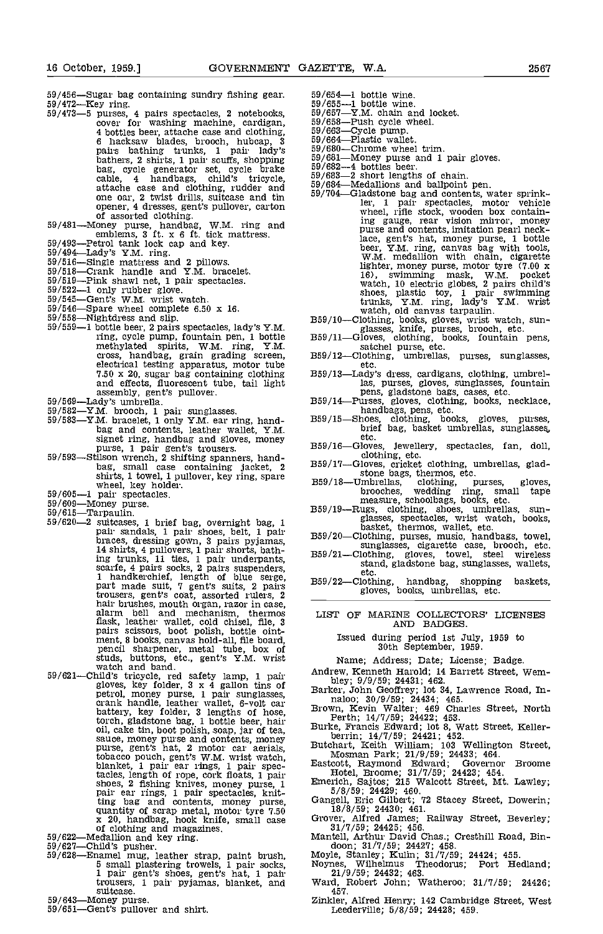- 
- $59/456$ —Sugar bag containing sundry fishing gear.<br>  $59/472$ —Key ring.<br>  $59/473$ —5 purses, 4 pairs spectacles, 2 notebooks,  $59/655$ <br>
cover for washing machine, cardigan,  $59/658$ <br>
4 bottles beer, attache case and clothin pairs bathing trunks, 1 pair lady's 59/68<br>bathers, 2 shirts, 1 pair scuffs, shopping 59/68  $\frac{59}{6}$ , cycle generator set, cycle brake  $\frac{59}{6}$ cable, 4 handbags, child's tricycle,  $59/683$ <br>attache case and clothing, rudder and  $59/684$ one oar, 2 twist drills, suitcase and tin 59/704 opener, 4 dresses, gent's pullover, carton<br>of assorted clothing.<br>59/481—Money purse, handbag, W.M. ring and
- 59/481—Money purse, handbag, W.M. ring and<br>59/493—Petrol tank lock cap and key.<br>59/493—Petrol tank lock cap and key.<br>59/516—Single mattress and 2 pillows.<br>59/516—Single mattress and 2 pillows.<br>59/518—Crank handle and Y.M.
- 
- 
- 
- 
- $59/519$ —Pink shawl net, 1 pair spectacles.<br> $59/522-1$  only rubber glove.<br> $59/545$ —Gent's W.M. wrist watch.<br> $59/546$ —Spare wheel complete 6.50 x 16.
- 
- 
- 
- $59/546$ —Spare wheel complete 6.50 x 16.<br>  $59/558$ —Nightdress and slip. 59/559—1 bottle beer, 2 pairs spectacles, lady's Y.M. ring, cycle pump, fountain pen, 1 bottle methylated spirits, W.M. ring, Y.M. cross, handbag, grain grading screen, electrical testing apparatus, motor tube 7.50 x 20, sugar bag containing clothing B59/1
- 
- 
- 7.50 x 20, sugar bag containing clothing<br>
and effects, fluorescent tube, tail light<br>
39/569—Lady's dress, gloves, sugarses, fountain<br>
59/569—Lady's umbrella.<br>
59/569—Lady's umbrella.<br>
59/569—Lady's umbrella.<br>
59/568—XM. b
- bag, small case containing jacket, 2<br>shirts, 1 towel, 1 pullover, key ring, spare<br>wheel, key holder.
- 
- 
- 
- shirts, 1 towel, 1 pullover, key ring, spare<br>
wheel, key holder.<br>
59/605—1 pair spectacles.<br>
59/609—Money purse.<br>
59/620—2 suitcases, 1 brief bag, overnight bag, 1<br>
59/620—2 suitcases, 1 brief bag, overnight bag, 1<br>
pair ing trunks, 11 ties, 1 pair underpants, scarfe, 4 pairs socks, 2 pairs suspenders, 1 handkerchief, length of blue serge, <br>part made suit, 7 gent's suits, 2 pairs B59/22<br>trousers, gent's coat, assorted rulers, 2 hair brushes, mouth organ, razor in case,<br>alarm bell and mechanism, thermos LIS flask, leather wallet, cold chisel, file, 3<br>pairs scissors, boot polish, bottle oint-<br>ment, 8 books, canvas hold-all, file board,<br>pencil sharpener, metal tube, box of<br>studs, buttons, etc., gent's Y.M. wrist<br>watch and band.
- 59/621—Child's tricycle, red safety lamp, 1 pair<br>gloves, key folder, 3 x 4 gallon tins of<br>petrol, money purse, 1 pair sunglasses,<br>crank handle, leather wallet, 6-volt car<br>battery, key folder, 3 lengths of hose,<br>torol, gla tobacco pouch, gent's W.M. wrist watch, blanket, 1 pair ear rings, 1 pair spectacles, length of rope, cork floats, 1 pair<br>shoes, 2 fishing knives, money purse, 1 Figure ar rings, 1 pair spectacles, knitting bag and contents, money purse,<br>
quantity of scrap metal, motor tyre 7.50<br>
x 20, handbag, hook knife, small case<br>
of clothing and magazines.<br>
59/622—Medalion and key ring.<br>
59/622—Enamel mug, leather strap, paint brush
- 
- 
- - trousers, 1 pair pyjamas, blanket, and suitcase.
- 
- 59/643—Money purse.<br>59/651—Gent's pullover and shirt.
- 59/654—1 bottle wine.<br>59/655—1 bottle wine.
- 
- $59/657-Y.M.$  chain and locket.<br> $59/658-Push$  cycle wheel.<br> $59/663-Cycle$  pump.<br> $59/664-Plastic$  wallet.
- 
- 
- 59/680-Chrome wheel trim.
- $59/681$ —Money purse and 1 pair gloves.<br> $59/682-4$  bottles beer.<br> $59/682-2$  short lengths of chain.<br> $59/684$ —Medallions and ballpoint pen.
- 
- 
- 59/683—2 short lengths of chain.<br>59/684—Medallions and ballpoint pen.<br>59/704—Gladstone bag and contents, water sprinkler, <sup>1</sup> pair spectacles, motor vehicle wheel, rifle stock, wooden box containing gauge, rear vision mirror, money purse and contents, imitation pearl neck-lace, gent's hat, money purse, 1 bottle beer, Y.M. ring, canvas bag with tools, W.M. medallion with chain, cigarette lighter, money purse, motor tyre (7.00 x 16), swimming mask, W.M. pocket watch, 10 electric globes, 2 pairs child's shoes, plastic toy, 1 pair swimming<br>trunks, Y.M. ring, lady's Y.M. wrist<br>watch, old canvas tarpaulin.<br>B59/10—Clothing, books, gloves, wrist watch, sun-<br>glasses, knife, purses, brooch, etc.<br>B59/11—Gloves, clothing, books, f
- 
- 
- etc.<br>359/13—Lady's dress, cardigans, clothing, umbrel-
- las, purses, gloves, sunglasses, fountain
- 
- pens, gladstone bags, cases, etc.<br>
359/14—Purses, gloves, clothing, books, necklace,<br>
handbags, pens, etc.<br>
359/15—Shoes, clothing, books, gloves, purses,<br>
brief bag, basket umbrellas, sunglasses, etc.
- 
- 
- B59/16—Gloves, Jewellery, spectacles, fan, doll,<br>clothing, etc.<br>B59/17—Gloves, cricket clothing, umbrellas, glad-<br>stone bags, thermos, etc.<br>B59/18—Unbrellas, clothing, purses, gloves,<br>brooches, wedding, purses, and tape<br>me
- 
- 
- glasses, spectacles, wrist watch, books,<br>basket, thermos, wallet, etc.<br>B59/20—Clothing, purses, music, handbags, towel,<br>surglasses, cigarette case, brooch, etc.<br>B59/21—Clothing, gloves, towel, steel wireless<br>stand, gladsto
- etc.<br>359/22—Clothing, handbag, shopping baskets, gloves, books, umbrellas, etc.

# LIST OF MARINE COLLECTORS' LICENSES AND BADGES.

Issued during period 1st July, 1959 to 30th September, 1959.

Name; Address; Date; License; Badge.

Andrew, Kenneth Harold; 14 Barrett Street, Wembley; 9/9/59; 24431; 462.<br>Barker, John Geoffrey; 1ot 34, Lawrence Road, Innaboo; 30/9/59; 24434; 465.<br>naloo; 30/9/59; 24434; 465.<br>Brown, Kevin Walter; 469 Charles Street, North

Hotel, Broome; 31/7/59; 24423; 454.<br>Emerich, Sajtos; 215 Walcott Street, Mt. Lawley; 5/8/59; 24429; 460.<br>Gangell, Eric Gilbert; 72 Stacey Street, Dowerin; 18/8/59; 24420; 461.<br>Grover, Alfred James; Railway Street, Beverley

- 
- Zinkler, Alfred Henry; 142 Cambridge Street, West<br>Leederville; 5/8/59; 24428; 459.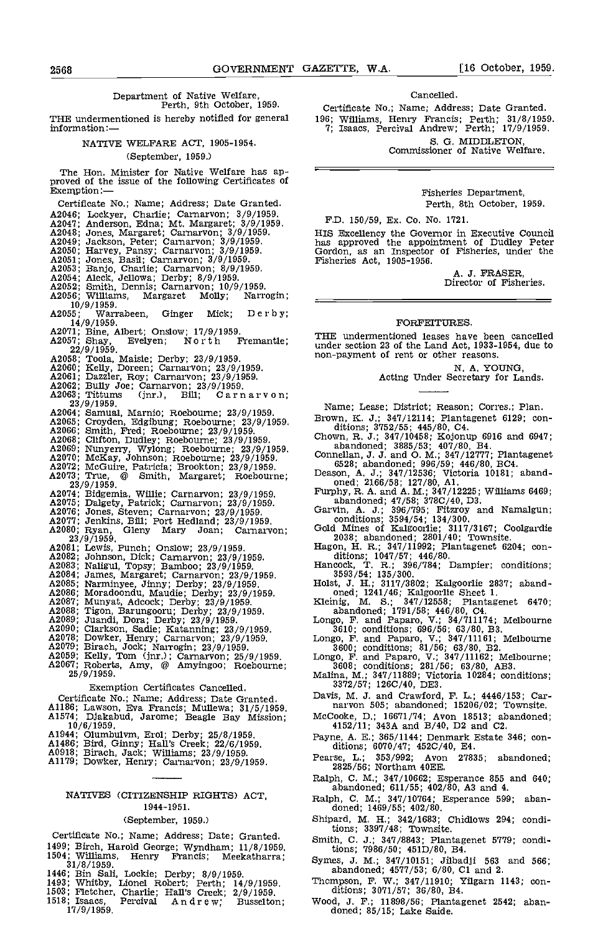# Department of Native Welfare, Perth, 9th October, 1959.

THE undermentioned is hereby notified for general information:—

# NATIVE WELFARE ACT, 1905-1954.

## (September. 1959.)

The Hon. Minister for Native Welfare has approved of the issue of the following Certificates of Exemption:-

Certificate No.; Name; Address; Date Granted. A2046; Lockyer, Charlie; Carnarvon; 3/9/1959.<br>A2047; Anderson, Edna; Mt. Margaret; 3/9/1959.<br>A2048; Jones, Margaret; Carnarvon; 3/9/1959.<br>A2049; Jackson, Peter; Carnarvon; 3/9/1959.<br>A2050; Harvey, Pansy; Carnarvon; 3/9/195 A2056 Williams, Margaret Molly; Narrogin; 10/9/1959.<br>55; Warrabeen, A2055; Warrabeen, Ginger Mick; Derby;<br>14/9/1959. A2071; Bine, Albert; Onslow; 17/9/1959.<br>A2057; Shay, Evelyen; North Fremantle; ; 22/9/1959.<br>
A2058; Toola, Maiste; Derby; 23/9/1959.<br>
A2060; Kelly, Doreen; Carnarvon; 23/9/1959.<br>
A2061; Dazzler, Roy; Carnarvon; 23/9/1959.<br>
A2062; Bully Joe; Carnarvon; 23/9/1959.<br>
A2063; Tittums (jnr.), Bill; Carnarvon A2064 Samuel, Marnio; Roebourne; 23/9/1959. A2065 Croyden Edgibung; Roebourne; 23/9/1959. A2066 Smith, Fred; Roebourne; 23/9/1959. A2068; Clifton, Dudley; Roebourne; 23/9/1959.<br>A2069; Nunyerry, Wylong; Roebourne; 23/9/1959.<br>A2070; McKay, Johnson; Roebourne; 23/9/1959.<br>A2072; McGuire, Patricia; Brookton; 23/9/1959.<br>A2073; True, @ Smith, Margaret; Roeb 23/9/1959.<br>
A2074; Bidgemia, Willie; Carnarvon; 23/9/1959.<br>
A2075; Dalgety, Patrick; Carnarvon; 23/9/1959.<br>
A2076; Jones, Steven; Carnarvon; 23/9/1959.<br>
A2077; Jenkins, Bill; Port Hedland; 23/9/1959.<br>
A2080; Ryan, Gleny M A2081; Lewis, Punch; Onslow; 23/9/1959.<br>A2082; Johnson, Dick; Carnarvon; 23/9/1959. A2083; Naligul, Topsy; Bamboo; 23/9/1959.<br>
A2084; James, Margaret; Carnarvon; 23/9/1959.<br>
A2085; Narminyee, Jinny; Derby; 23/9/1959.<br>
A2086; Moradoondu, Maudie; Derby; 23/9/1959.<br>
A2086; Moradoondu, Maudie; Derby; 23/9/19 Exemption Certificates Cancelled. Certificate No.; Name; Address; Date Granted. A1186; Lawson, Eva Francis; Mullewa; 31/5/1959. A1574; Djakabud, Jarome; Beagle Bay Mission;

- $10/6/1959$ .
- 
- 
- A1944; Olumbulvm, Erol; Derby; 25/8/1959.<br>A1486; Bird, Ginny; Hall's Creek; 22/6/1959.<br>A0918; Birach, Jack; Williams; 23/9/1959.<br>A1179; Dowker, Henry; Carnarvon; 23/9/1959.
- 

Certificate No.; Name; Address; Date; Granted. Smith, C. J.; 347/8843; Plantagenet 5779; condi-<br>499; Birch, Harold George; Wyndham; 11/8/1959. tions; 7986/50; 451D/80, B4. 1504; 1504; 1504; 1504; 1504; 1504 1499; Birch, Harold George; Wyndham; 11/8/1959.<br>1504; Williams, Henry Francis; Meekatharra;<br>31/8/1959.

- 1446 Bin Sali, Lockie; Derby; 8/9/1959.
- 
- 1503; Fletcher, Charlie; Hall's Creek; 2/9/1959. ditions; 3071/57; 36/80, B4.
- 

#### Cancelled.

Certificate No.; Name; Address; Date Granted. 196; Williams, Henry Francis; Perth; 31/8/1959. 7; Isaacs, Percival Andrew; Perth; 11/9/1959.

S. G. MIDDLETON, Commissioner of Native Welfare.

Fisheries Department, Perth, 8th October, 1959.

F.D, 150/59, Ex. Co. No. 1721.

HIS Excellency the Governor in Executive Council has approved the appointment of Dudley Peter Gordon, as an Inspector of Fisheries, under the Fisheries Act, 1905-1956.

A. J. FRASER,<br>Director of Fisheries.

# FORFEITURES.

THE undermentioned leases have been cancelled under section 23 of the Land Act, 1933-1954, due to non-payment of rent or other reasons,

N. A. YOUNG,<br>Acting Under Secretary for Lands.

Name; Lease; District; Reason; Corres.; Plan,

Brown, K. J.; 347/12114; Plantagenet 6129; conditions; 3752/55; 445/80, C4.<br>Chown, R. J.; 347/10458; Kojonup 6916 and 6947; abandoned; 3885/53; 407/80, B4.<br>Connellan, J. J. and O. M.; 347/1277; Plantagenet<br>Connellan, J. J.

- 
- 

- 
- 
- oned; 2166/58; 127/80, A1.<br>
Furphy, R. A. and A. M.; 347/12225; Williams 6469;<br>
abandoned; 47/58; 378C/40, D3.<br>
Garvin, A. J.; 396/795; Fitzroy and Namalgun;<br>
conditions; 3594/54; 134/300.<br>
Gold Mines of Kalgoottle; 3117/
- 
- 

- 3593/54; 135/300.<br>
Holst, J. H.; 3117/3802; Kalgoorlie 2837; aband-<br>
oned; 1241/46; Kalgoorlie Sheet 1.<br>
Kleinig, M. S.; 347/12558; Plantagenet 6470;<br>
abandoned; 1791/58; 446/80, C4.<br>
Longo, F. and Paparo, V.; 34/711174; M
- 
- 
- 
- Longo, F. and Paparo, V.; 34/711174; Melbourne<br>3310; conditions; 696/56; 63/80, B3.<br>Longo, F. and Paparo, V.; 347/11161; Melbourne<br>3600; conditions; 81/56; 63/80, B2.<br>Longo, F. and Paparo, V.; 347/11162; Melbourne;<br>3608;
- Davis, M, J. and Crawford, F. L.; 4446/153; Car- narvon 505; abandoned; 15206/02; Townsite,
- McCooke, D.; 16671/74; Avon 18513; abandoned; 4152/Il; 343A and B/40, D2 and C2.
- Payne, A. E.; 365/1144; Denmark Estate 346; con- ditions; 6070/47; 452C/40, E4.
- Pearse, L.; 353/992; Avon 27835; abandoned; 2825/56; Northam 4OEE.
- Ralph, C. M.; 347/10662; Esperance 855 and 640;<br>NATIVES (CITIZENSHIP RIGHTS) ACT, Ralph, C. M.; 347/10764; Esperance 599; aban-
	- 1944- 195 1. Ralph, C. M.; 347/10764; Esperance 599; aban-doned; 1469/55; 402/80.
	- (September, 1959.) Shipard, M. H.; 342/1683; Chidlows 294; conditions; 3397/48; Townsite.
		-
		- Symes, 3. M.; 347/10151; Jilbadji 563 and 566; abandoned; 4577/53; 6/80, Cl and 2
		- Thompson, F. W.; 347/11910; Yilgarn 1143; con-<br>ditions; 3071/57; 36/80, B4.
- 1518 Isaacs, Percival Andrew; Busselton; Wood, J. F.; 11898/56; Plantagenet 2542; aban-<br>17/9/1959, Percival Andrew; Busselton; Wood, J. F.; 11898/56; Plantagenet 2542; aban-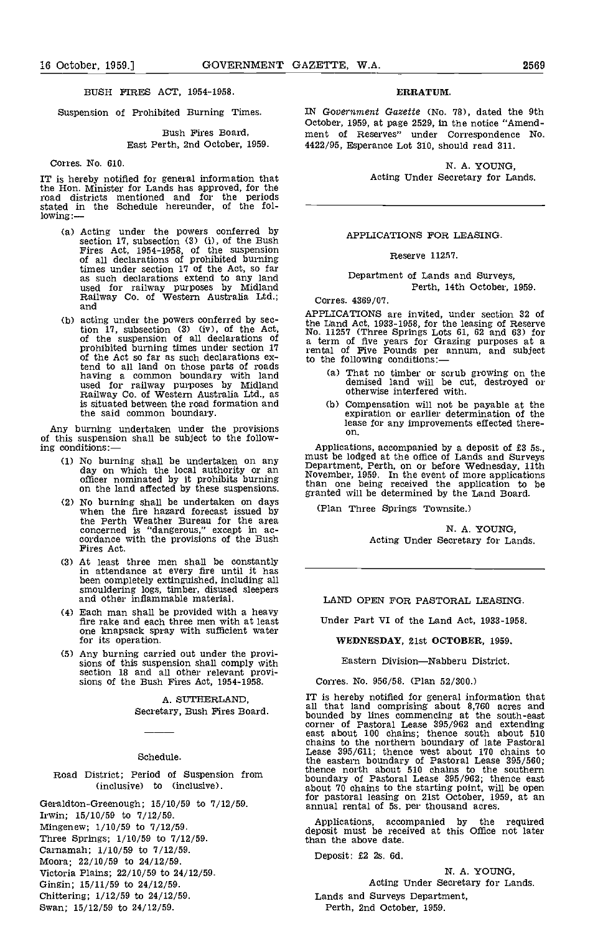# BUSH FIRES ACT, 1954-1958

Suspension of Prohibited Burning Times.

# Bush Fires Board, East Perth, 2nd October, 1959.

Corres. No. 610.

IT is hereby notified for general information that the Hon. Minister for Lands has approved, for the road districts mentioned and for the periods stated in the Schedule hereunder, of the fol- lowing:

- Acting under the powers conferred by section 17, subsection (3) (i), of the Bush Fires Act, 1954-1958, of the suspension of all declarations of prohibited burning times under section 17 of the Act, so far<br>as such declarations extend to any land<br>used for railway purposes by Midland<br>Railway Co. of Western Australia Ltd.; corrected<br>and
- acting under the powers conferred by sec-<br>tion 17, subsection (3) (iv), of the Act,  $\begin{array}{c} \text{No. 1} \\ \text{No. 1} \\ \text{or} \end{array}$ <br>of the suspension of all declarations of  $\begin{array}{c} \text{a. ter} \\ \text{a. ter} \\ \text{or} \end{array}$ <br>of the Act so far as s tend to all land on those parts of roads the had to all land on those parts of roads that the common boundary with land (a used for railway purposes by Midland Railway Co. of Western Australia Ltd., as is situated between the road formation and the said common boundary.

Any burning undertaken under the provisions of this suspension shall be subject to the follow-<br>ing conditions:—<br>Applications, accompanied by a deposit of £3 5s., ing conditions:

- No burning shall be undertaken on any day on which the local authority or an officer nominated by it prohibits burning<br>on the land affected by these suspensions.  $\begin{array}{c}\n\text{known} \\
\text{branch} \\
\text{normal} \\
\text{normal} \\
\text{normal} \\
\end{array}$
- No burning shall be undertaken on days when the fire hazard forecast issued by the Perth Weather Bureau for the area concerned is "dangerous," except in accordance with the provisions of the Bush Fires Act.
- At least three men shall be constantly in attendance at every fire until It has been completely extinguished, including all smouldering logs, timber, disused sleepers and other inflammable material.
- Each man shall be provided with a heavy fire rake and each three men with at least one knapsack spray with sufficient water for its operation.
- Any burning carried out under the provi- sions of this suspension shall comply with section 18 and all other relevant provi- sions of the Bush Fires Act, 1954-1958.

A. SUTHERLAND,

Secretary, Bush Fires Board.

# Schedule.

Road District; Period of Suspension from (inclusive) to (inclusive).

Geraldton-Greenough; 15/10/59 to 7/12/59. Irwin; 15/10/59 to 7/12/59.

Mingenew; 1/10/59 to 7/12/59.

Three Springs; 1/10/59 to 7/12/59.

Carnamah; 1/10/59 to 7/12/59.

- Moora; 22/10/59 to 24/12/59.
- Victoria Plains; 22/10/59 to 24/12/59.
- Gingin; 15/11/59 to 24/12/59.
- Chittering; 1/12/59 to 24/12/59.

Swan; 15/12/59 to 24/12/59.

# ERRATUM.

IN Government Gazette (No. 78), dated the 9th october, 1959, at page 2529, in the notice "Amendment of Reserves" under Correspondence No. 4422/95, Esperance Lot 310, should read 311.

> N. A. YOUNG, Acting Under Secretary for Lands.

# APPLICATIONS FOR LEASING.

Reserve 11257.

Department of Lands and Surveys, Perth, 14th October, 1959.

Corres. 4369/07.

APPLICATIONS are invited, under section 32 of the Land Act, 1933-1958, for the leasing of Reserve No. 11257 (Three Springs Lots 61, 62 and 63) for a term of five years for Grazing purposes at a rental of Five Pounds per annum, and subject<br>to the following conditions:—

- That no timber or scrub growing on the demised land will be cut, destroyed or otherwise interfered with.
- (b) Compensation will not be payable at the expiration or earlier determination of the lease for any improvements effected thereon.

Applications, accompanied by a deposit of £3 Ss., must be lodged at the office of Lands and Surveys Department, Perth, on or before Wednesday, 11th November, 1959. In the event of more applications than one being received the application to be granted will be determined by the Land Board.

(Plan Three Springs Townsite.)

N. A. YOUNG, Acting Under Secretary for Lands.

# LAND OPEN FOR PASTORAL LEASING.

Under Part VI of the Land Act, 1933-1958.

WEDNESDAY, 21st OCTOBER, 1959.

Eastern Division-Nabberu District.

Corres. No. 956/58. (Plan 52/300.)

IT is hereby notified for general information that all that land comprising about 8,760 acres and bounded by lines commencing at the south-east corner of Pastoral Lease 395/962 and extending east about 100 chains; thence south about 510 chains to the northern boundary of late Pastoral Lease 395/611; thence west about 170 chains to the eastern boundary of Pastoral Lease 395/560; thence north about 510 chains to the southern boundary of Pastoral Lease 395/962; thence east about 70 chains to the starting point, will be open for pastoral leasing on 21st October, 1959, at an annual rental of 5s. per thousand acres.

Applications, accompanied by the required deposit must be received at this Office not later than the above date.

Deposit: £2 2s. 6d.

N. A. YOUNG, Acting Under Secretary for Lands. Lands and Surveys Department, Perth, 2nd October, 1959.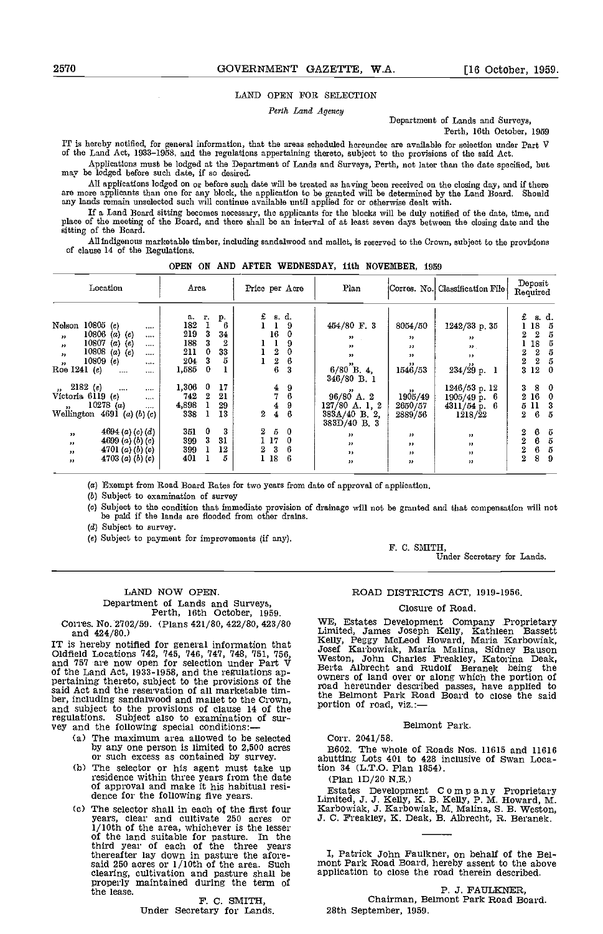## LAND OPEN FOR SELECTION

Perth Land Agency

Department of Lands and Surveys,

Perth, 16th October, 1959

IT is hereby notified, for general information, that the areas scheduled hereunder are available for selection under Part V of the Land Act, 1933-1958, and the regulations appertaining thereto, subject to the provisions of the said Act.

Applications must be lodged at the Department of Lands and Surveys, Perth, not later than the date specified, but may be lodged before such date, if so desired.

All applications lodged on or before such date will be treated as having been received on the closing day, and if there<br>are more applicants than one for any block, the application to be granted will be determined by the La

If a Land Board sitting becomes necessary, the applicants for the blocks will be duly notified of the date, time, and place of the meeting of the Board, and there shall be an interval of at least seven days between the clo sitting of the Board.

Ali indigenous marketable timber, including sandalwood and mallet, is reserved to the Crown, subject to the provisions of clause 14 of the Regulations.

|  |  |  |  | OPEN ON AND AFTER WEDNESDAY, 11th NOVEMBER, 1959 |  |  |  |
|--|--|--|--|--------------------------------------------------|--|--|--|
|--|--|--|--|--------------------------------------------------|--|--|--|

| Location                                                         | Area                  |                       | Price per Acre           | Plan                           |                          | Corres. No. Classification File | Deposit<br>Required                 |
|------------------------------------------------------------------|-----------------------|-----------------------|--------------------------|--------------------------------|--------------------------|---------------------------------|-------------------------------------|
|                                                                  | а.<br>т.<br>182       | р.                    | £<br>s.d.                |                                |                          |                                 | £<br>s. d.                          |
| $10805$ (e)<br>Nelson<br>$\cdots$                                | 219                   | 6<br>3<br>34          | 9<br>16                  | 454/80 F. 3                    | 8054/50                  | 1242/33 p. 35                   | 18<br>5                             |
| 10806 (a) (e)<br>$, \, \cdot$<br>$\cdots$                        |                       |                       | 0                        | $55 -$<br>$\sim$               | $, \, \cdot$             | $^{\prime\prime}$               | $\overline{2}$<br>5<br>2            |
| 10807 (a) (e)<br>$\overline{\phantom{a}}$<br>$\cdots$            | 188                   | 3<br>$\boldsymbol{2}$ | 9                        | $\bullet$                      | $, \, \cdot$             | $\mathbf{H}$                    | 18<br>5                             |
| 10808<br>$(a)$ $(e)$<br>$\rightarrow$<br>$\cdots$                | 211                   | 0<br>33               | 2<br>0                   | $\bullet$                      | $\bullet$                | $\rightarrow$                   | $\overline{2}$<br>2<br>5            |
| 10809(e)<br>$\overline{\phantom{a}}$<br>$\cdots$                 | 204                   | 3<br>5                | 2<br>6                   |                                | $^{\prime\prime}$        |                                 | $\overline{2}$<br>$\mathbf{2}$<br>5 |
| Roe $1241(e)$<br>$\cdots$<br>$\cdots$                            | 1,585                 | $\bf{0}$              | 6<br>3                   | $6/80$ B 4,<br>346/80 B. 1     | 1546/53                  | $234/29$ p. 1                   | 312<br>- 0                          |
| $, 2182$ (e)<br>$\cdots$<br>                                     | 1,306<br>$\mathbf{0}$ | 17                    | 9<br>4                   |                                |                          | 1246/53 p. 12                   | -8<br>3.<br>0                       |
| Victoria 6119 (e)<br>$\cdots$                                    | 742                   | 2<br>21               | 7<br>6                   | $96/80$ A. 2                   | $, \, \cdot$<br>1905/49  | $1905/49$ p. 6                  | 2 16<br>$\theta$                    |
| 10278(a)<br>$\bullet$<br>$\cdots$                                | 4,898                 | 29                    | 9<br>4                   | $127/80$ A 1, 2                | 2650/57                  | $4311/54 \text{ p. } 6$         | 5 11<br>3                           |
| Wellington $4691$ (a) (b) (c)                                    | 338                   | 13                    | 6<br>2<br>$\overline{4}$ | $383A/40$ B, 2,<br>383D/40 B.3 | 2889/56                  | 1218/22                         | 6<br>2<br>5                         |
| 4694 ( <i>a</i> ) ( <i>c</i> ) ( <i>d</i> )<br>$^{\prime\prime}$ | $\mathbf 0$<br>351    | 3                     | 2.<br>5<br>$\mathbf{0}$  |                                |                          |                                 | 6<br>$\overline{2}$<br>5            |
| 4699 (a) (b) (c)                                                 | 399                   | 3<br>31               | 1 17<br>0                | $\bullet$                      | $, \, \cdot$             | $^{\prime\prime}$               | $\overline{2}$<br>6<br>5            |
| $^{\prime\prime}$<br>4701 (a) (b) (c)                            | 399.                  | 12                    | 3<br>6.<br>2             | $\bullet$                      | $\overline{\phantom{a}}$ | $^{\prime\prime}$               | 6<br>2<br>5                         |
| $\bullet$                                                        | 401                   | Б                     | 18<br>6                  | $\bullet$                      | $\overline{\phantom{a}}$ | "                               | 8<br>$\overline{2}$                 |
| 4703 (a) (b) (c)<br>$^{\prime\prime}$                            |                       |                       |                          | $\bullet$                      | $\bullet$                | $^{\prime\prime}$               | 9                                   |

(a) Exempt from Road Board Rates for two years from date of approval of application.

 $(b)$  Subject to examination of survey

(c) Subject to the condition that immediate provision of drainage will not be granted and that compensation will not be paid if the lands are flooded from other drains.

 $(d)$  Subject to survey.

(e) Subject to payment for imprcvemeats (if any).

Under Secretary for Lands.

# LAND NOW OPEN.

Department of Lands and Surveys, Perth, 16th October, 1959.

and 424/30.)

IT is hereby notified for general information that Oldfield Locations 142, 145, 746, 747, 748, 751, 756, and 757 are now open for selection under Part V of the Land Act, 1933-1958, and the regulations ap- pertaining thereto, subject to the provisions of the said Act and the reservation of all marketable tim-<br>ber, including sandalwood and mallet to the Crown, ber, including sandalwood and mallet to the Crown, and subject to the provisions of clause 14 of the portion regulations. Subject also to examination of sur- vey and the following special conditions:

- The maximum area allowed to be selected by any one person is limited to 2,500 acres or such excess as contained by survey. abuttin<br>The selector or his agent must take up tion 34
- (b) The selector or his agent must take up residence within three years from the date of approval and make it his habitual residence for the following five years.
- Cc) The selector shall in each of the first four Karbo years, clear and cultivate 250 acres or  $J$ . C. 1/10th of the area, whichever is the lesser of the land suitable for pasture. In the third year of each of the three y thereafter lay down in pasture the afore-<br>said 250 acres or 1/10th of the area. Such mont clearing, cultivation and pasture shall be application to close the road therein described.<br>properly maintained during the term of  $\overline{a} = -1$ the lease.

F. C. SMITH,<br>Under Secretary for Lands.

# ROAD DISTRICTS ACT, 1919-1956.

F. C. SMITH,

## Closure of Road.

Corres. No. 2702/59. (Plans 421/80, 422/80, 423/80 WE, Estates Development Company Proprietary WE, Estates Development Company Proprietary<br>Limited, James Joseph Kelly, Kathleen Bassett<br>Kelly, Peggy McLeod Howard, Maria Karbowiak,<br>Josef Karbowiak, Maria Malina, Sidney Bauson<br>Weston, John Charles Freakley, Katorina De owned hereunder described passes, have applied to<br>the Belmont Park Road Board to close the said portion of road, viz.:

# Belmont Park.

Corr. 2041/58.

B602. The whole of Roads Nos. 11615 and 11616 abutting Lots 401 to 428 inclusive of Swan Location 34 (L.T.O. Plan 1854).

(Plan 1D/20 N.E.)

Estates Development C 0 m p a n y Proprietary Limited, J. J. Kelly, K. B. Kelly, P. M. Howard, M. Karbowiak, J. Karbowiak, M. Malina, S. B. Weston, J. C. Preakley, K. Deak, B. Albrecht, R. Beranek.

I, Patrick John Faulkner, on behalf of the Bel- mont Park Road Board, hereby assent to the above

P. J. FAULKNER, Chairman, Belmont Park Road Board. 28th September, 1959.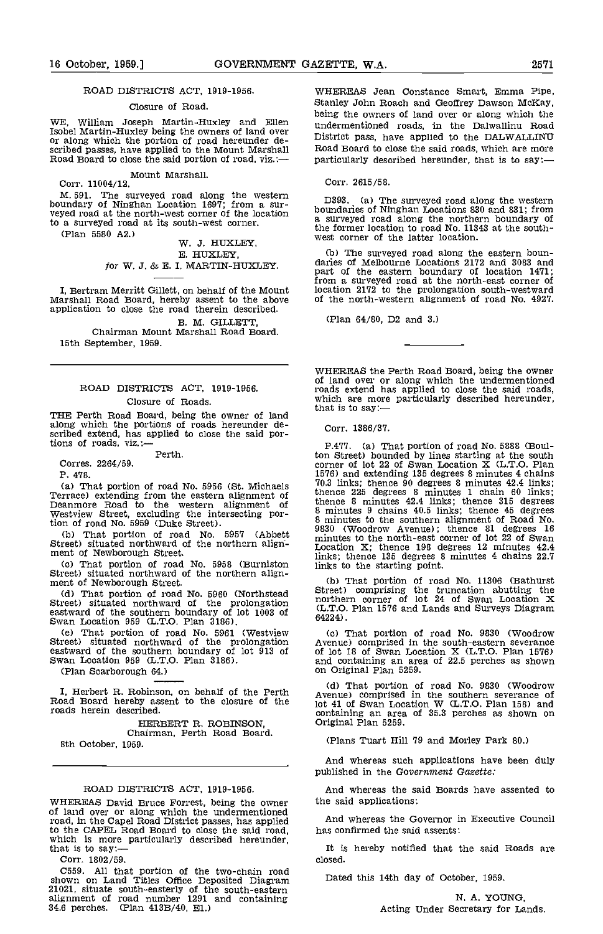# ROAD DISTRICTS ACT, 1919-1956.

# Closure of Road.

WE, William Joseph Martin-Huxley and Ellen Isobel Martin-Huxley being the owners of land over or along which the portion of road hereunder de- scribed passes, have applied to the Mount Marshall Road Board to close the said portion of road, viz. :-

Mount Marshall. Corr. 11004/12.

M. 591. The surveyed road along the western <sub>D393</sub> boundary of Ninghan Location 1697; from a sur-<br>veyed road at the north-west corner of the location bound veyed road at the north-west corner of the location<br>to a surveyed road at its south-west corner.

(Plan 5580 A2.) W. 3. HUXLEY, E. HUXLEY, for W. 3. & E. I. MARTIN-HUXLEY.

I, Bertram Merritt Gillett, on behalf of the Mount Marshall Road Board, hereby assent to the above application to close the road therein described.

B. M. GILLETT,<br>Chairman Mount Marshall Road Board. 15th September, 1959.

# ROAD DISTRICTS ACT, 1919-1956. Closure of Roads.

Chosule of Roads.<br>THE Perth Road Board, being the owner of land along which the portions of roads hereunder de- scribed extend, has applied to close the said portions of roads, viz.:-

Perth.

Corres. 2264/59.

P. 478.

(a) That portion of road No. 5956 (St. Michaels  $\begin{array}{cc} 70.1 \\ \text{Therrace)} \text{ extending from the eastern alignment of} \\ \text{Deannore Road to the western alignment of} \\ \text{Deven} \end{array}$ Westview Street, excluding the intersecting portion of road No. 5959 (Duke Street).

(b) That portion of road No. 5957 (Abbett Street) situated northward of the northern align-<br>ment of Newborough Street.<br>(c) That portion of road No. 5958 (Burniston

(c) That portion of road No. 5958 (Burniston sinks to the starting point.<br>Street) situated northward of the northern align-<br>ment of Newborough Street. (b) That portion of roa

(d) That portion of road No. 5960 (Northstead Street)<br>Street) situated northward of the prolongation  $\frac{1}{(1, T)C}$ eastward of the southern boundary of lot 1003 of (L.S.)<br>Swan Location 959 (L.T.O. Plan 3186).

That portion of road No. 5961 (Westview Street) situated northward of the prolongation Aven eastward of the southern boundary of lot 913 of of Swan Location 959 (L.T.O. Plan 3186). ar

(Plan Scarborough 64.)

I, Herbert R. Robinson, on behalf of the Perth Road Board hereby assent to the closure of the roads herein described.

HERBERT R. ROBINSON, Chairman, Perth Road Board. 8th October, 1959.

# ROAD DISTRICTS ACT, 1919-1956.

WHEREAS David Bruce Forrest, being the owner the same of land over or along which the undermentioned road, in the Capel Road District passes, has applied to the CAPEL Road Board to close the said road, which is more particularly described hereunder, that is to say:—

Corr. 1802/59.

C559. All that portion of the two-chain road shown on Land Titles Office Deposited Diagram Dated this 21021, situate south-easterly of the south-eastern alignment of road number 1291 and containing 34.6 perches. (Plan 413B/40, El.)

WHEREAS Jean Constance Smart, Emma Pipe, Stanley John Roach and Geoffrey Dawson McKay, being the owners of land over or along which the undermentioned roads, in the Dalwallinu Road District pass, have applied to the DALWALLINU Road Board to close the said roads, which are more particularly described hereunder, that is to say:-

Corr. 2615/58.

D393. (a) The surveyed road along the western boundaries of Ninghan Locations 830 and 831; from a surveyed road along the northern boundary of the former location to road No. 11343 at the southwest corner of the latter location.

(b) The surveyed road along the eastern boun-<br>daries of Melbourne Locations 2172 and 3083 and<br>part of the eastern boundary of location 1471; part of the eastern boundary of location 1471;<br>from a surveyed road at the north-east corner of location 2172 to the prolongation south-westward of the north-western alignment of road No. 4927.

(Plan 64/80, D2 and 3.)

WHEREAS the Perth Road Board, being the owner of land over or along which the undermentioned roads extend has applied to close the said roads, which are more particularly described hereunder,

Corr. 1386/37.

P.477. (a) That portion of road No. 5888 (Boulton Street) bounded by lines starting at the south corner of lot 22 of Swan Location X (L.T.O. Plan 1576) and extending 135 degrees 8 minutes 4 chains 70.3 links; thence 90 degrees 8 minutes 42.4 links; thence 225 degrees 8 minutes 42.4 links; thence 315 degrees 8 minutes 9 chains 40.5 links; thence 45 degrees thence 8 minutes 42.4 links; thence 315 degrees 8 minutes 9 chains 40.5 links; thence 45 degrees 8 minutes to the southern alignment of Road No. 9830 (Woodrow Avenue); thence 81 degrees <sup>16</sup> minutes to the north-east corner of lot 22 of Swan Location X; thence 198 degrees 12 minutes 42.4 links; thence 135 degrees 8 minutes 4 chains 22.7 links to the starting point.

That portion of road No. 11306 (Bathurst Street) comprising the truncation abutting the northern corner of lot 24 of Swan Location X (L.T.O. Plan 1516 and Lands and Surveys Diagram 64224).

That portion of road No. 9830 (Woodrow Avenue) comprised in the south-eastern severance of lot 18 of Swan Location X (L.T.O. Plan 1576) and containing an area of 22.5 perches as shown on Original Plan 5259.

That portion of road No. 9830 (Woodrow Avenue) comprised in the southern severance of lot 41 of Swan Location W (L.T.O. Plan 158) and containing an area of 35.3 perches as shown on Original Plan 5259.

(Plans Tuart Hill 79 and Morley Park 80.)

And whereas such applications have been duly published in the Government Gazette:

And whereas the said Boards have assented to the said applications:

And whereas the Governor in Executive Council has confirmed the said assents:

It is hereby notified that the said Roads are closed.

Dated this 14th day of October, 1959.

N. A. YOUNG, Acting Under Secretary for Lands.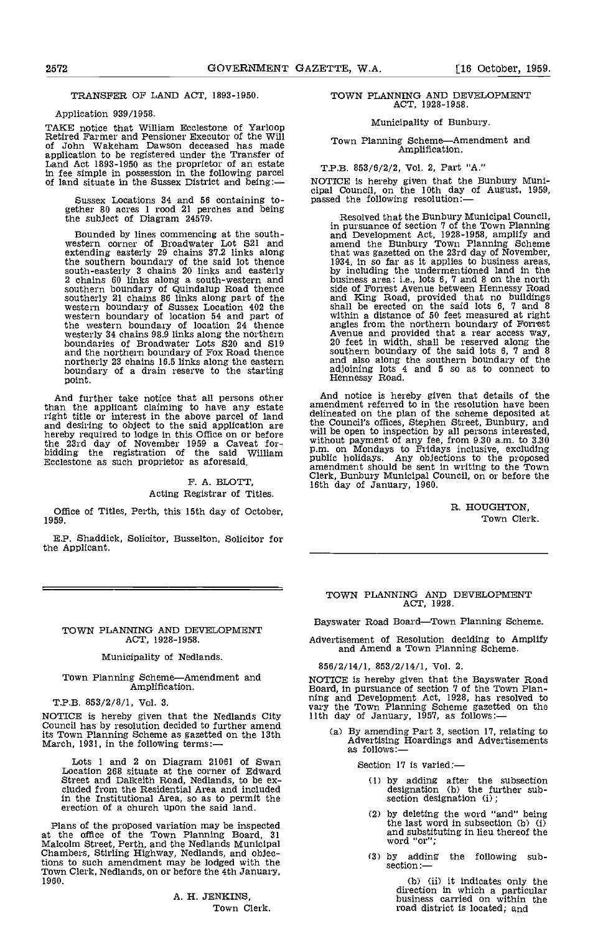# TRANSFER OF LAND ACT, 1893-1950.

# Application 939/1958.

TAKE notice that William Ecclestone of Yarloop Retired Farmer and Pensioner Executor of the Will of John Wakeham Dawson deceased has made application to be registered under the Transfer of Land Act 1893-1950 as the proprietor of an estate in fee simple in possession in the following parcel of land situate in the Sussex District and being:

Sussex Locations 34 and 56 containing to- gether 80 acres 1 rood 21 perches and being the subject of Diagram 24579.

Bounded by lines commencing at the south- western corner of Broadwater Lot S21 and extending easterly 29 chains 37.2 links along the the southern boundary of the said lot thence<br>south-easterly 3 chains 20 links and easterly by<br>2 chains 60 links along a south-western and bu southern boundary of Quindalup Road thence southerly 21 chains 86 links along part of the western boundary of Sussex Location 402 the western boundary of location 54 and part of the western boundary of location 24 thence and westerly 34 chains 98.9 links along the northern Avenue Avenue and S19 and S19 and S19 and S19 and S19 and S19 and S19 and S19 and S19 and S19 and S19 and S19 and S19 and S19 and the northern boundary of Fox Road thence northerly 23 chains 16.5 links along the eastern boundary of a drain reserve to the starting point.

And further take notice that all persons other  $\sim$ than the applicant claiming to have any estate amene right title or interest in the above parcel of land delines<br>and desiring to object to the said application are the Co<br>hereby required to lodge in this Office on or before with be the 23rd day of November 1959 a Caveat for-<br>bidding the registration of the said William P.m. on M<br>Ecclestone as such proprietor as aforesaid. The public holi

# F. A. BLOTT, Acting Registrar of Titles.

Office of Titles, Perth, this 15th day of October, 1959.

E.P. Shaddick, Solicitor, Busselton, Solicitor for the Applicant.

# TOWN PLANNING AND DEVELOPMENT ACT, 1928-1958.

## Municipality of Nedlands.

T.P.B. 853/2/8/1, Vol. 3.

NOTICE is hereby given that the Nedlands City Council has by resolution decided to further amend its Town Planning Scheme as gazetted on the 13th<br>March, 1931, in the following terms:—

Lots 1 and 2 on Diagram 21061 of Swan Location 268 situate at the corner of Edward Street and Dalkeith Road, Nedlands, to be ex- cluded from the Residential Area and included in the Institutional Area, so as to permit the erection of a church upon the said land.

Plans of the proposed variation may be inspected at the office of the Town Planning Board, 31 Malcolm Street, Perth, and the Nedlands Municipal Chambers, Stirling Highway, Nedlands, and objections to such amendment may be lodged with the Town Clerk, Nedlands, on or before the 4th January, 1960.

> A. H. JENKINS, Town Clerk.

# TOWN PLANNING AND DEVELOPMENT ACT, 1928-1958.

# Municipality of Eunbury.

# Town Planning SchemeAmendment and Amplification.

T.P.B. 853/6/2/2, Vol. 2, Part "A."

NOTICE is hereby given that the Bunbury Municipal Council, on the 10th day of August, 1959, passed the following resolution:-

Resolved that the Bunbury Municipal Council, in pursuance of section 7 of the Town Planning and Development Act, 1928-1958, amplify and amend the Bunbury Town Planning Scheme that was gazetted on the 23rd day of November, 1934, in so far as it applies to business areas, by including the undermentioned land in the business area: i.e., lots 6, 7 and 8 on the north side of Forrest Avenue between Hennessy Road<br>and King Road, provided that no buildings<br>shall be erected on the said lots 6, 7 and 8<br>within a distance of 50 feet measured at right<br>angles from the northern boundary of Forres southern boundary of the said lots 6, 7 and 8 and also along the southern boundary of the adjoining lots 4 and 5 so as to connect to Hennessy Road.

And notice is hereby given that details of the amendment referred to in the resolution have been delineated on the plan of the scheme deposited at the Council's offices, Stephen Street, Bunbury, and<br>will be open to inspection by all persons interested,<br>without payment of any fee, from 9.30 a.m. to 3.30<br>p.m. on Mondays to Fridays inclusive, excluding<br>public holidays. amendment should be sent in writing to the Town Clerk, Bunbury Municipal Council, on or before the 16th day of January, 1960.

> R. HOUGHTON, Town Clerk.

# TOWN PLANNING AND DEVELOPMENT ACT, 1928.

Bayswater Road Board-Town Planning Scheme.

Advertisement of Resolution deciding to Amplify and Amend a Town Planning Scheme.

856/2/14/1, 853/2/14/1, Vol. 2.

Town Planning Scheme—Amendment and MOTICE is hereby given that the Bayswater Road Amplification.<br>Amplification. Board, in pursuance of section 7 of the Town Plan-Roard, in pursuance of section 7 of the Town Plan-<br>ning and Development Act, 1928, has resolved to<br>vary the Town Planning Scheme gazetted on the<br>11th day of January, 1957, as follows:—

(a) By amending Part 3, section 17, relating to Advertising Hoardings and Advertisements as follows:

Section 17 is varied:

- (1) by adding after the subsection designation (b) the further subsection designation (i);
- (2) by deleting the word "and" being<br>the last word in subsection  $(b)$   $(i)$ and substituting in lieu thereof the word "or";
- by adding the following subsection

(b) (ii) it indicates only the direction in which a particular business carried on within the road district is located; and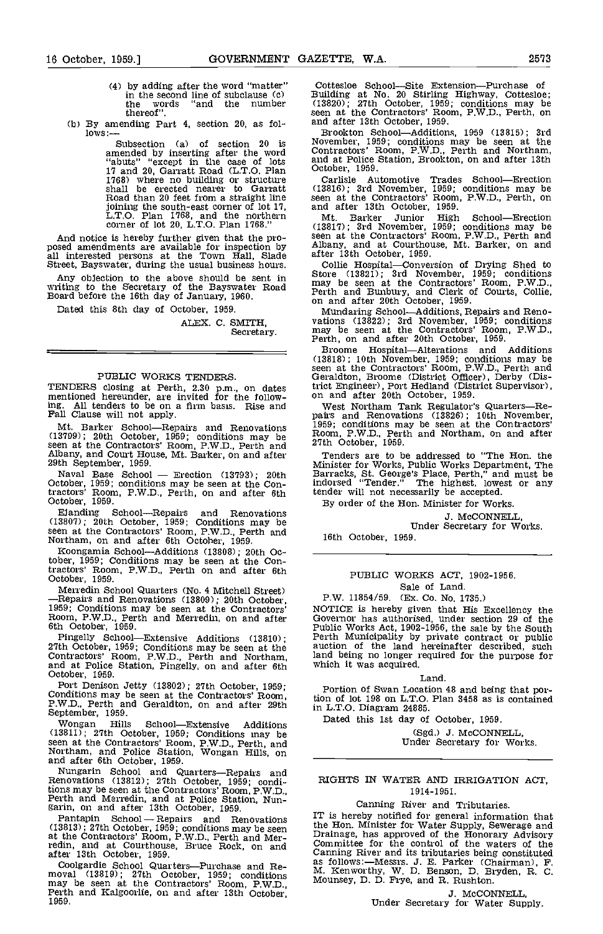- (4) by adding after the word 'matter" in the second line of subclause (c) the words "and the number thereof'.
- (b) By amending Part 4, section 20, as follows:-

Subsection (a) of section 20 is Novem<br>
amended by inserting after the word Contra<br>
"abuts" "except in the case of lots and at<br>
17 and 20, Garratt Road (L.T.O. Plan Cotobe<br>
1768) where no building or structure Carl shall be erected nearer to Garratt Road than 20 feet from a straight line joining the south-east corner of lot 17, and all<br>L.T.O. Plan 1768, and the northern Mt. corner of lot 20, L.T.O. Plan 1768."

And notice is hereby further given that the pro-<br>posed amendments are available for inspection by albany,<br>all interested persons at the Town Hall, Slade after 13<br>Street, Bayswater, during the usual business hours. Collie

Any objection to the above should be sent in writing to the Secretary of the Bayswater Road Board before the 16th day of January, 1960.

Dated this 8th day of October, 1959.

ALEX. C. SMITH, Secretary.

# PUBLIC WORKS TENDERS.

TENDERS closing at Perth, 2.30 p.m., on dates trict I<br>mentioned hereunder, are invited for the follow- on are<br>ing. All tenders to be on a firm basis. Rise and We: Fall Clause will not apply.

Mt. Barker School-Repairs and Renovations (13799); 20th October, 1959; conditions may be<br>seen at the Contractors' Room, P.W.D., Perth and 27th<br>Albany, and Court House, Mt. Barker, on and after Ten<br>29th September, 1959. Naval Base School - Erection (13793); 20th Ba

October, 1959; conditions may be seen at the Con-<br>tractors' Room, P.W.D., Perth, on and after 6th tender<br>October, 1959. By c

Ejanding School-Repairs and Renovations (13807); 20th October, 1959; Conditions may be seen at the Contractors' Room, P.W.D., Perth and I6th<br>Northam, on and after 6th October, 1959. [16th

Koongamia School-Additions (13808); 20th Oc-tober, 1959; Conditions may be seen at the Contractors' Room, P.W.D., Perth on and after 6th October, 1959.

Merredin School Quarters (No. 4 Mitchell Street) 50. Sale of Land.<br>
-Repairs and Renovations (13809); 20th October, 1959; Conditions may be seen at the Contractors' Room, P.W.D., Perth and Merredin, on and after 6th Octobe

Pingelly School-Extensive Additions (13810); 27th October, 1959; Conditions may be seen at the auction of the land Contractors' Room, P.W.D., Perth and Northam, land being no longer 1 and at Police Station, Pingelly, on an

Port Denison Jetty (13802); 27th October, 1959; Conditions may be seen at the Contractors' Room, P.W.D., Perth and Geraldton, on and after 29th September, 1959.

Wongan Hills School-Extensive Additions (13811); 27th October, 1959; Conditions may be seen at the Contractors' Room, P.W.D., Perth, and Northam, and Police Station, Wongan Hills, on and after 6th October, 1959.

Nungarin School and Quarters-Repairs and Renovations (13812); 27th October, 1959; condidions may be seen at the Contractors' Room, P.W.D., Perth and Merredin, and at Police Station, Nun-<br>garin, on and after 13th October, 1959.<br>Pantapin School - Repairs and Renovations the

(13813); 27th October, 1959; conditions may be seen at the Contractors' Room, P,W.D., Perth and Mer- redin, and at Courthouse, Bruce Rock, on and after 13th October, 1959.

Coolgardie School Quarters-Purchase and Re- moval (13819); 27th October, 1959; conditions may be seen at the Contractors' Room, P.W,D., Perth and Kalgoorlie, on and after 13th October, 1959.

Cottesloe School-Site Extension-Purchase of Building at No. 20 Stirling Highway, Cottesloe; (13820); 27th October, 1959; conditions may be seen at the Contractors' Room, P.W.D., Perth, on and after 13th October, 1959.

Brookton School-Additions, 1959 (13815); 3rd November, 1959; conditions may be seen at the Contractors' Room, P.W.D., Perth and Northam, and at Police Station, Brookton, on and after 13th October, 1959.

Carlisle Automotive Trades School-Erection (13816); 3rd November, 1959; conditions may be seen at the Contractors' Room, P.W.D., Perth, on and after 13th October, 1959.

Mt. Barker Junior High School-Erection (13817); 3rd November, 1959; conditions may be seen at the Contractors' Room, P.W.D., Perth and Albany, and at Courthouse, Mt. Barker, on and after 13th October, 1959.

Collie Hospital-Conversion of Drying Shed to Store (13821); 3rd November, 1959; oonditions may be seen at the Contractors' Room, P.W.D., Perth and Bunbury, and Clerk of Courts, Collie, on and after 20th October, 1959.

Mundaring School-Additions, Repairs and Reno- vations (13822); 3rd November, 1959; oonditions may be seen at the Contractors' Room, P.W.D., Perth, on and after 20th October, 1959.

Broome Hospital-Alterations and Additions (13818); 10th November, 1959; conditions may be seen at the Contractors' Room, P.W.D,, Perth and Geraldton, Broome (District Officer), Derby (District Engineer), Port Hedland (District Supervisor), on and after 20th October, 1959.

West Northam Tank Regulator's Quarters--Re-<br>pairs and Renovations (13826); 10th November, 1959; conditions may be seen at the Contractors'<br>Room, P.W.D., Perth and Northam, on and after<br>27th October, 1959.

Tenders are to be addressed to "The Hon. the Minister for Works, Public Works Department, The Barracks, St. George's Place, Perth," and must be indorsed "Tender." The highest, lowest or any tender will not necessarily be accepted,

By order of the Hon. Minister for Works.

J. McCONNELL, Under Secretary for Works.

16th October, 1959.

# PUBLIC WORKS ACT, 1902-1956. Sale of Land.

# P.W. 11854/59. (Ex. Co. No. 1735.)

NOTICE is hereby given that His Excellency the<br>Governor has authorised, under section 29 of the<br>Public Works Act, 1902-1956, the sale by the South<br>Perth Municipality by private contract or public<br>auction of the land herein land being no longer required for the purpose for which it was acquired.

### Land

Portion of Swan Location 48 and being that portion of lot 198 on L.T.O. Plan 3458 as is contained in L.T.O. Diagram 24885.

Dated this 1st day of October, 1959.

(Sgd.) J. McCONNELL, Under Secretary for Works.

# RIGHTS IN WATER AND IRRIGATION ACT, 1914-195 1.

# Canning River and Tributaries.

IT is hereby notified for general information that the Hon. Minister for Water Supply, Sewerage and the Hon. Minister for Water Supply, Sewerage and Drainage, has approved of the Honorary Advisory Committee for the control of the waters of the Canning River and its tributaries being constituted as follows:-Messrs. J. E. Parker (Chairman), F. M. Kenworthy, W. D. Benson, D. Bryden, R. C. Mounsey, D. D. Frye, and R. Rushton.

J. McCONNELL, Under Secretary for Water Supply,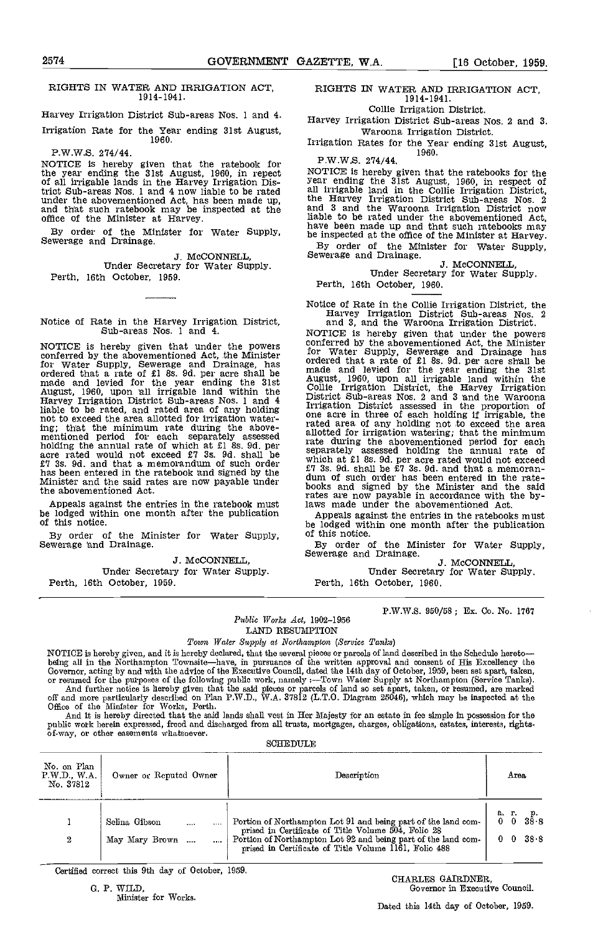## RIGHTS IN WATER AND IRRIGATION ACT, 19 14-1941.

Harvey Irrigation District Sub-areas Nos. 1 and 4.

Irrigation Rate for the Year ending 31st August,<br>1960.

# P.W.W.S. 274/44.

NOTICE is hereby given that the ratebook for  $\frac{1}{\sqrt{2}}$ the year ending the 31st August, 1960, in repect 1<br>of all irrigable lands in the Harvey Irrigation District Sub-areas Nos. 1 and 4 now liable to be rated all  $\overline{11}$ . under the abovementioned Act, has been made up, the land that such ratebook may be inspected at the and office of the Minister at Harvey.  $\qquad \qquad$  liable

By order of the Minister for Water Supply, Sewerage and Drainage.

J. McCONNELL,<br>Under Secretary for Water Supply. Perth, 16th October, 1959.

Notice of Rate in the Harvey Irrigation District,<br>Sub-areas Nos. 1 and 4. NOTICE is hereby given that under the powers

NOTICE is hereby given that under the powers<br>
conferred by the abovementioned Act, the Minister<br>
for Water Supply, Sewerage and Drainage, has<br>
ordered that a rate of £1 8s. 9d. per acre shall be<br>
made<br>
made and levied for liable to be rated, and rated area of any holding<br>inclusive to be rated, and rated area of any holding<br>mot to exceed the area allotted for irrigation water-<br>mentioned period for each separately assessed allotte<br>acre rated f7 3s. 9d. and that a memorandum of such order has been entered in the ratebook and signed by the Minister and the said rates are now payable under the abovementioned Act.

Appeals against the entries in the ratebook must be lodged within one month after the publication of this notice.

By order of the Minister for Water Supply, of this notice.<br>Sewerage and Drainage.<br>Interference of the Minister of the Minister of the Minister of the Minister of the Minister of the Minister o

3. McCONNELL Under Secretary for Water Supply. Perth, 16th October, 1959.

RIGHTS IN WATER AND IRRIGATION ACT, 1914-1941.

Collie Irrigation District.

Harvey Irrigation District Sub-areas Nos. 2 and 3. Waroona Irrigation District.

Irrigation Rates for the Year ending 31st August, 1960.

P.W.W.S. 274/44.

NOTICE is hereby given that the ratebooks for the year ending the 31st August, 1960, in respect of all irrigable land in the Collie Irrigation District, the Harvey Irrigation District Sub-areas Nos. 2 and 3 and the Waroona Irrigation District now liable to be rated under the abovementioned Act, have been made up and that such ratebooks may be inspected at the office of the Minister at Harvey.<br>By order of the Minister for Water Supply, Sewerage and Drainage.

Under Secretary for Water Supply. Perth, 16th October, 1960.

Notice of Rate in the Collie Irrigation District, the Harvey Irrigation District Sub-areas Nos. 2

and 3, and the Waroona Irrigation District.<br>NOTICE is hereby given that under the powers<br>conferred by the abovementioned Act, the Minister<br>for Water Supply, Sewerage and Drainage has<br>ordered that a rate of £1 8s. 9d. per a rated area of any holding not to exceed the area allotted for irrigation Watering; that the minimum rate during the abovementioned period for each separately assessed holding the annual rate of<br>which at £1 8s. 9d. per acre rated would not exceed<br> $£7$  3s. 9d. shall be  $£7$  3s. 9d. and that a memoran-<br>dum of such order has been entered in the rate-<br>books and signed by rates are now payable in accordance with the bylaws made under the abovementioned Act.

Appeals against the entries in the ratebooks must be lodged within one month after the publication of this notice.<br>By order of the Minister for Water Supply,

By order of the Minister J. McCONNELL, Under Secretary for Water Supply. Perth, 16th October, 1960.

P.W.W.S. 950/58; Ex. Co. No. 1767

Public Works Act, 1902-1956 LAND RESUMPTION

Towm Water Supply at Northampton (Service Tanks)

NOTICE is hereby given, and it is hereby declared, that the several pieces or parcels of land described in the Schedule hereto—<br>being all in the Northampton Townsite—have, in pursuance of the written approval and consent o Governor, acting by and with the advice of the Executive Council, dated the 14th day of October, 1959, been set apart, taken,<br>or resumed for the purposes of the following public work, namely :—Town Water Supply at Northamp And further notice is hereby given that the said pieces or parcels of land so set apart, taken, or resumed, are marked<br>off and more particularly described on Plan P.W.D., W.A. 37812 (L.T.O. Diagram 25046), which may be ins

public work herein expressed, freed and discharged from all trusts, mortgages, charges, obligations, estates, interests, rights-<br>of-way, or other easements whatsoever.

| No. on Plan<br>P.W.D., WA<br>Owner or Reputed Owner<br>No. 37812 | Description                                                                                                                                                                                                                                    | Area                                                                                                              |
|------------------------------------------------------------------|------------------------------------------------------------------------------------------------------------------------------------------------------------------------------------------------------------------------------------------------|-------------------------------------------------------------------------------------------------------------------|
| Selina Gibson<br>$\cdots$<br>May Mary Brown<br>2                 | Portion of Northampton Lot 91 and being part of the land com-<br>prised in Certificate of Title Volume 504, Folio 28<br>Portion of Northampton Lot 92 and being part of the land com-<br>prised in Certificate of Title Volume 1161, Folio 488 | а. г.<br>0 0<br>$\begin{smallmatrix} 0 & 0 \ 38 & 8 \end{smallmatrix}$<br>$-38.8$<br>$\mathbf{0}$<br>$\mathbf{0}$ |

Certified correct this 9th day of October, 1959.<br>
G. P. WILD, Governor in Executive

Minister for Works.

Governor in Executive Council.

Dated this 14th day of October, 1959.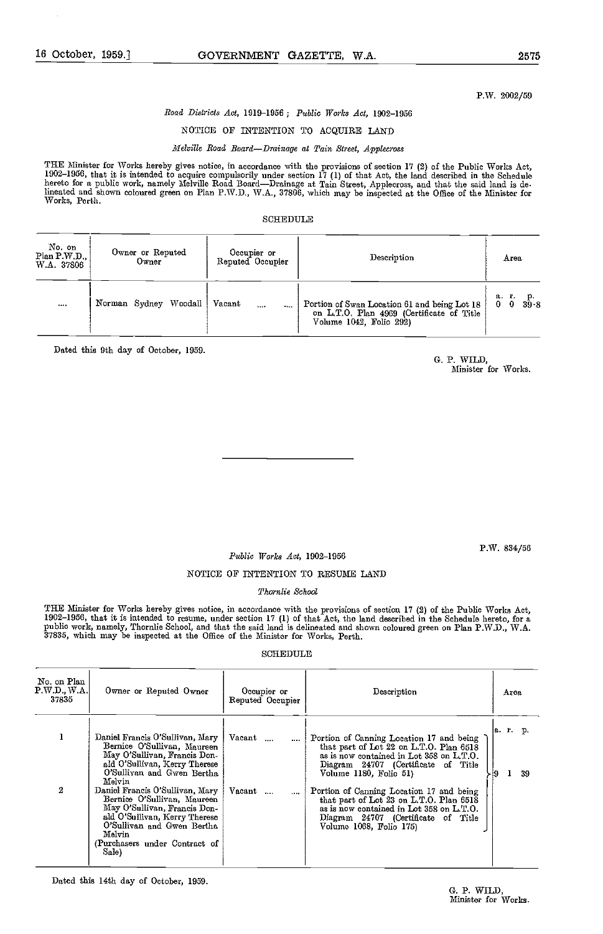# P.W. 2002/59

# Road Districts Act, 1919-1956; Public Works Act, 1902-1956

# NOTICE OF INTENTION TO ACQUIRE LAND

# Melville Road Board-Drainage at Tain Street, Applecross

THE Minister for Works hereby gives notice, in accordance with the provisions of section 17 (2) of the Public Works Act, 1902–1956, that it is intended to acquire compulsorily under section 17 (1) of that Act, the land described in the Schedule<br>hereto for a public work, namely Melville Road Board—Drainage at Tain Street, Applecross, and that lineated and sbown coloured green on Plan P.W.D., WA., 37806, whioh may be inspected at the Office of the Minister for Works, Perth.

# SCHEDULE

| No. on<br>$Plan$ $P.W.D.,$<br>W.A. 37806 | Owner or Reputed<br>Owner | Occupier or<br>Reputed Occupier | Description                                                                                                          | Area                              |
|------------------------------------------|---------------------------|---------------------------------|----------------------------------------------------------------------------------------------------------------------|-----------------------------------|
| 14.498                                   | Norman Sydney Woodall     | Vacant<br>1.11<br>1.11          | Portion of Swan Location 61 and being Lot 18<br>on L.T.O. Plan 4969 (Certificate of Title<br>Volume 1042, Folio 292) | а г.<br>- 9<br>39 S<br>$0\quad 0$ |

Dated this 9th day of October, 1959.

G. P. WILD, Minister for Works.

Public Works Act, 1902-1956

P.W. 834/56

# NOTICE OF INTENTION TO RESUME LAND

# Tkornlie School

THE Minister for Works hereby gives notice, in accordance with the provisions of section 17 (2) of the Public Works Act, 1902-1956, that it is intended to resume, under section 17 (1) of that Act, the land described in the Schedule hereto, for a public work, namely, Thornlie School, and that the said land is delineated and shown coloured green on Plan P.W.D., W.A.<br>37835, which may be inspected at the Office of the Minister for Works, Perth.

# SCHEDULE

| No. on Plan<br>$\text{P.W.D., W.A.}$<br>37835 | Owner or Reputed Owner                                                                                                                                                                                            | Occupier or<br>Reputed Occupier | Description                                                                                                                                                                                       | Area           |
|-----------------------------------------------|-------------------------------------------------------------------------------------------------------------------------------------------------------------------------------------------------------------------|---------------------------------|---------------------------------------------------------------------------------------------------------------------------------------------------------------------------------------------------|----------------|
|                                               | Daniel Francis O'Sullivan, Mary<br>Bernice O'Sullivan, Maureen<br>May O'Sullivan, Francis Don-<br>ald O'Sullivan, Kerry Therese<br>O'Sullivan and Gwen Bertha<br>$_{\rm Melvin}$                                  | Vacant<br>$\cdots$              | Portion of Canning Location 17 and being<br>that part of Lot 22 on L.T.O. Plan 6518<br>as is now contained in Lot 358 on L.T.O.<br>Diagram 24707 (Certificate of Title<br>Volume 1180, Folio 51)  | a. r. p.<br>39 |
| 2                                             | Daniel Francis O'Sullivan, Mary<br>Bernice O'Sullivan, Maureen<br>May O'Sullivan, Francis Don-<br>ald O'Sullivan, Kerry Therese<br>O'Sullivan and Gwen Bertha<br>Melvin<br>(Purchasers under Contract of<br>Sale) | Vacant<br>$\cdots$              | Portion of Canning Location 17 and being<br>that part of Lot 23 on L.T.O. Plan 6518<br>as is now contained in Lot 358 on L.T.O.<br>Diagram 24707 (Certificate of Title<br>Volume 1068, Folio 175) |                |

Dated this 14th day of October, 1959.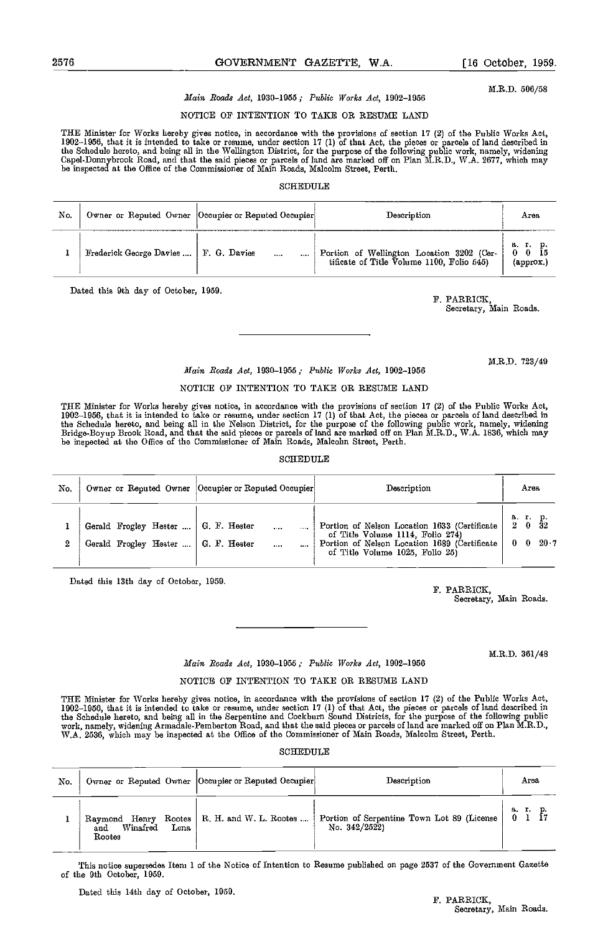M.R.D. 506/58

# Main Roads Act, 1930-1955; Public Works Act, 1902-1956

# NOTICE OF INTENTION TO TAKE OR RESUME LAND

THE Minister for Works hereby gives notice, in accordance with the provisions of section 17 (2) of the Public Works Act, 1902–1956, that it is intended to take or resume, under section 17 (1) of that Act, the pieces or par

# SCHEDULE

| No. |                                         | Owner or Reputed Owner   Occupier or Reputed Occupier | Description                                                                            | Агеа                                            |
|-----|-----------------------------------------|-------------------------------------------------------|----------------------------------------------------------------------------------------|-------------------------------------------------|
|     | Frederick George Davies    F. G. Davies | $\cdots$<br>1000                                      | Portion of Wellington Location 3202 (Cer-<br>tificate of Title Volume 1100, Folio 545) | аг. р.<br>$0\quad 0\quad \bar{1}5$<br>(approx.) |

Dated this 9th day of October, 1959. F. PARRICK,

Secretary, Main Roads.

M.R.D. 723/49

# Main Roads Act, 1930-1955; Public Works Act, 1902-1956

# NOTICE OF INTENTION TO TAKE OR RESUME LAND

THE Minister for Works hereby gives notice, in accordance with the provisions of section 17 (2) of the Public Works Aot, 1902–1956, that it is intended to take or resume, under section 17 (1) of that Act, the pieces or parcels of land described in<br>the Schedule hereto, and being all in the Nelson District, for the purpose of the following pub Bridge-Boyup Brook Road, and that the said pieces or parcels of land are marked off on Plan M.R.D., W.A. 1836, whioh may be inspected at the Office of the Commissioner of Main Roads, Malcolm Street, Perth.

### **SCHEDULE**

| No. |                                                                                | Owner or Reputed Owner   Occupier or Reputed Occupier | Description                                                                                                                                                         | Агеа                                                                                                         |
|-----|--------------------------------------------------------------------------------|-------------------------------------------------------|---------------------------------------------------------------------------------------------------------------------------------------------------------------------|--------------------------------------------------------------------------------------------------------------|
| 0   | Gerald Frogley Hester    G. F. Hester<br>Gerald Frogley Hester    G. F. Hester | $\cdots$<br>$\cdots$                                  | Portion of Nelson Location 1633 (Certificate<br>of Title Volume 1114, Folio 274)<br>Portion of Nelson Location 1689 (Certificate<br>of Title Volume 1025, Folio 25) | $\begin{array}{cc} \text{a. r. p.} \\ \text{2} & 0 & 32 \end{array}$<br>$20 - 7$<br>$\mathbf{0}$<br>$\bf{0}$ |

Dated this 13th day of October, 1959.

F. PARRICK, Secretary, Main Roads.

M.R.D. 361/48

# Main Roads Act, 1930-1955; Public Works Act, 1902-1956

# NOTICE OF INTENTION TO TAKE OR RESUME LAND

THE Minister for Works hereby gives notice, in accordance with the provisions of section 17 (2) of the Public Works Act,<br>1902–1956, that it is intended to take or resume, under section 17 (1) of that Act, the pieces or par the Schedule hereto, and being all in the Serpentine and Cockburn Sound Districts, for the purpose of the following public<br>work, namely, widening Armadale-Pemberton Road, and that the said pieces or parcels of land are mar WA. 2536, which may be inspected at the Office of the Commissioner of Main Roads, Malcolm Street, Perth.

SCHEDULE

| No. |                                                           | Owner or Reputed Owner  Occupier or Reputed Occupier | Description                                                  | Area  |
|-----|-----------------------------------------------------------|------------------------------------------------------|--------------------------------------------------------------|-------|
|     | Raymond Henry Rootes<br>Winafred<br>Lena<br>and<br>Rootes | R. H. and W. L. Rootes                               | Portion of Serpentine Town Lot 89 (License<br>No. $342/2522$ | 8. T. |

This notice supersedes Item 1 of the Notice of Intention to Resume published on page 2537 of the Goverrnnent Gazette of the 9th October, 1959.

Dated this 14th day of October, 1959. F. PARRICK,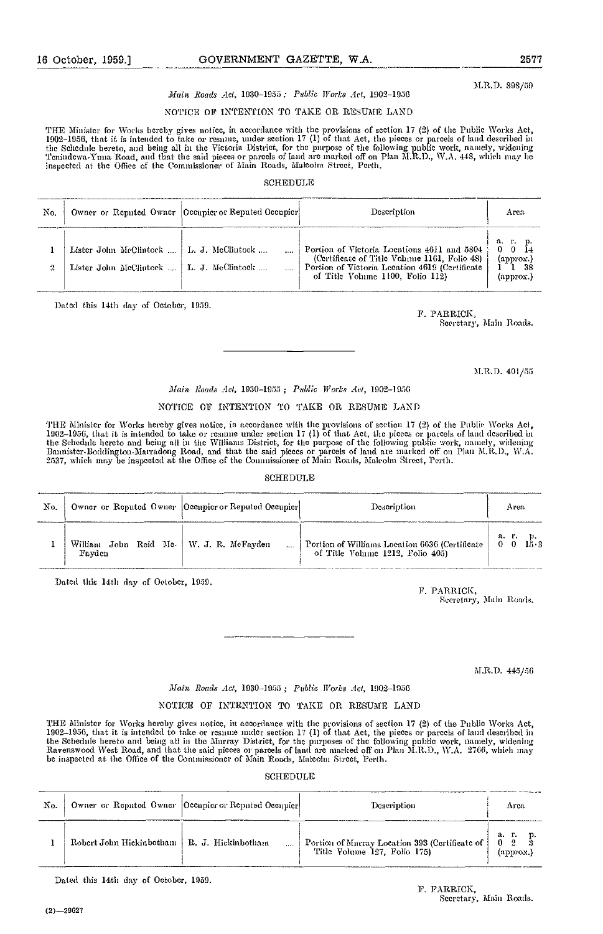M.R.D. 808/59

# Main Roads Act, 1930-1955 : Public Works Act, 1902-1956

# NOTICE OF INTENTION TO TAKE OR RESUME LAND

THE Minister for Works hereby gives notice, in accordance with the provisions of section 17 (2) of the Public \Vorks Act, 1902–1956, that it is intended to take or resumc, under section 17 (1) of that Act, the pieces or parcels of land described in<br>the Schednle hereto, and being all in the Victoria District, for the purpose of the following p Tenindewa-Yuna Road, and that the said pieces or parcels of land are marked off on Plan M.R.D., W.A. 448, which may be<br>inspected at the Office of the Commissioner of Main Roads, Malcolm Street, Perth.

### SCHEDULE

| No. |                                                                                          | Owner or Reputed Owner   Occupier or Reputed Occupier | Description                                                                                                                                                                       | Area                                                      |
|-----|------------------------------------------------------------------------------------------|-------------------------------------------------------|-----------------------------------------------------------------------------------------------------------------------------------------------------------------------------------|-----------------------------------------------------------|
|     | Lister John McClintock    L. J. McClintock<br>Lister John McClintock    L. J. McClintock |                                                       | Portion of Victoria Locations 4611 and 5804<br>(Certificate of Title Volume 1161, Folio 48)<br>Portion of Victoria Location 4619 (Certificate<br>of Title Volume 1100, Folio 112) | а г. р.<br>$0 \t 0 \t 14$<br>(approx.)<br>-38<br>(addrox. |

Dated this 14th day of October, 1959. F. PARRICK,

Secretary, Main Roads.

M.R.D. 401/55

# Main Roads Act, 1930-1955; Public Works Act, 1902-1956

# NOTICE OF INTENTION TO TAKE OR RESUME LAND

THE Minister for Works hereby gives notice, in accordance with the provisions of section 17 (2) of the Public Works Act,<br>1902–1956, that it is intended to take or resume under section 17 (1) of that Act, the picces or parc 2537, which nay be inspected at die Office of the Commissioner of Main Roads, Malcolm Street, Pei'th.

# SCHEDULE

| No. |                                                     | Owner or Reputed Owner [Occupier or Reputed Occupier] | Description                                                                        | Area           |
|-----|-----------------------------------------------------|-------------------------------------------------------|------------------------------------------------------------------------------------|----------------|
|     | William John Reid Mc.   W. J. R. McFayden<br>Favden |                                                       | Portion of Williams Location 6636 (Certificate<br>of Title Volume 1212, Folio 405) | а г.<br>$15-3$ |

Dated this 14th day of October, 1959.

F. PARRICK, Sceretary, Main Roads.

M.R.D. 445/56

# Main Roads Act, 1930-1955 ; Public Works Act, 1002-1956

# NOTICE OF INTENTION TO TAKE OR RESUME LAND

THE Minister for Works hereby gives notice, in accordance with the provisions of section 17 (2) of the Public Works Act, 1902–1956, that it is intended to take or resume under section 17 (1) of that Act, the pieces or parcels of land described in<br>the Schedule hereto and being all in the Murray District, for the purposes of the following publ Ravenswood West Road, and that the said pieces or parcels of land are marked off on Plan MED., WA. 2766, which 'nay be inspected at the Office of the Commissioner of Main Roads, Malcolm Street, Perth.

SCHEDULE

| No. |                                               | Owner or Reputed Owner   Occupier or Reputed Occupier | Description                                                                      | Arca                                                     |
|-----|-----------------------------------------------|-------------------------------------------------------|----------------------------------------------------------------------------------|----------------------------------------------------------|
|     | Robert John Hickinbotham   R. J. Hickinbotham |                                                       | Portion of Murray Location 393 (Certificate of )<br>Title Volume 127, Folio 175) | $\mathbf{a}$ , $\mathbf{r}$ ,<br>0<br>$(\text{approx.})$ |

Dated this 14th day of October, 1059.

F. PARRICK, Secretary, Main Roads.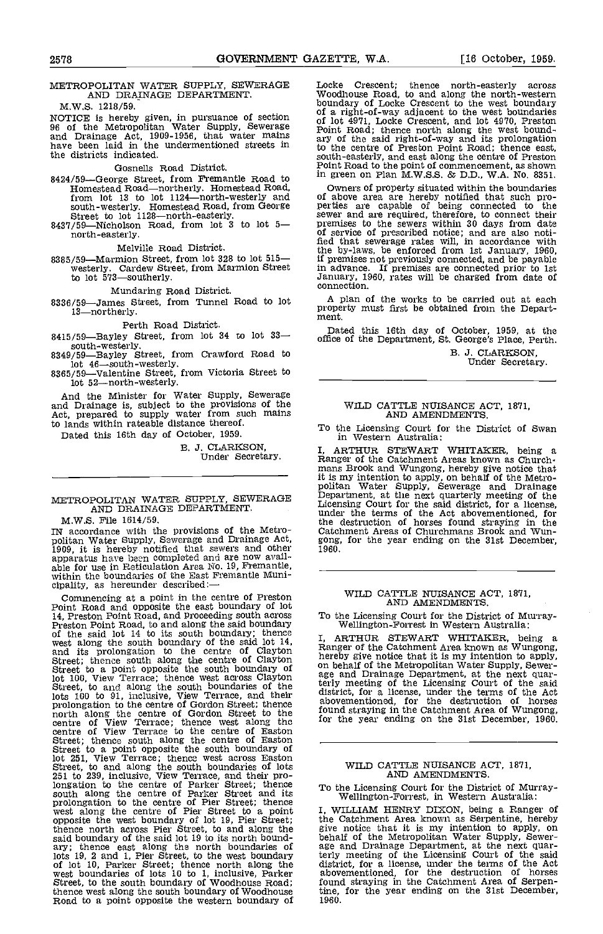# METROPOLITAN WATER SUPPLY, SEWERAGE AND DRAINAGE DEPARTMENT.

M.W.S. 1218/59.

the districts indicated.

- Gosnells Road District.<br>8424/59—George Street, from Fremantle Road to 8424/59—George Street, from Fremantle Road to Homestead Road—northerly. Homestead Road, Owne<br>from lot 13 to lot 1124—north-westerly and of abo south-westerly. Homestead Road, from George perties are<br>Street to lot 1128—north-easterly. sewer and<br>8437/59—Nicholson Road, from lot 3 to lot 5— premises to
- 8437/59-Nicholson Road, from lot 3 to lot 5-<br>north-easterly.

Melville Road District.<br>8385/59—Marmion Street, from lot 328 to lot 515-Westerly. Cardinal Street, from Marmion Street to lot 573<br>to lot 573 Southerly.<br>Connection.

Mundaring Road District.<br>8336/59—James Street, from Tunnel Road to lot a 13<br>13—northerly. ment.

Perth Road District.

8415/59—Bayley Street, from lot 34 to lot 33-<br>south-westerly.

south-westerly.<br>8349/59—Bayley Street, from Crawford Road to

 $\frac{1}{100}$  iot 46—south-westerly.<br>8365/59—Valentine Street, from Victoria Street to lot 52-north-westerly.

And the Minister for Water Supply, Sewerage and Drainage is, subject to the provisions of the Act, prepared to supply water from such mains to lands within rateable distance thereof.

Dated this 16th day of October, 1959.

B. J. CLARKSON, Under Secretary.

# METROPOLITAN WATER SUPPLY, SEWERAGE Peparti AND DRAINAGE DEPARTMENT.

M.W.S. File 1614/59.

IN accordance with the provisions of the Metro-<br>politan Water Supply, Sewerage and Drainage Act, gong,<br>1909, it is hereby notified that sewers and other<br>apparatus have been completed and are now available for use in Reticu whill the soundaries of the mass a semi-

Commencing at a point in the centre of Preston<br>
Point Road and opposite the east boundary of lot<br>
14, Preston Point Road, and Proceeding south across<br>
To the<br>
Preston Point Road, to and along the said boundary<br>
of the sai lot 100, View Terrace; thence west across Clayton Street, to and along the south boundaries of the lots 100 to 91, inclusive, View Terrace, and their distribution of the centre of Gordon Street; thence above<br>prolongation to the centre of Gordon Street to the fourth centre of View Terrace; thence west along thc centre of View Terrace to the centre of Easton Street; thence south along the centre of Easton Street to a point opposite the south boundary of Let 251, View Terrace; thence west across Easton<br>Street, to and along the south boundaries of lots<br>251 to 239, inclusive, View Terrace, and their pro-<br>longation to the centre of Parker Street; thence<br>south along the centre said boundary of the said lot 19 to its north bound-<br>ary; thence east along the north boundaries of age stay; thence east along the row us inful boundaries of lots 19, 2 and 1, Pier Street; thence north along the west boundaries of lots 10 to 1, inclusive, Parker Street, to the south boundary of Woodhouse Road; thence west along the south boundary of Woodhouse Road to a point opposite the western boundary of

M.W.S. 1216/99.<br>
NOTICE is hereby given, in pursuance of section of a right-of-way adjacent to the west boundaries<br>
98 of the Metropolitan Water Supply, Sewerage and Drainage Act, 1909-1956, that water mains ary of the sai Locke Crescent: thence north-easterly across Woodhouse Road, to and along the north-western boundary of Locke Crescent to the west boundary<br>of a right-of-way adjacent to the west boundaries<br>of a right-of-way adjacent to the west boundaries<br>of lot 4971, Locke Crescent, and lot 4970, Preston<br>Point Road; thence nort to the centre of Preston Point Road: thence east, south-easterly, and east along the centre of Preston Point Road to the point of commencement, as shown in green on Plan M.W.S.S. & D.D., WA. No. 8351.

> Owners of property situated within the boundaries of above area are hereby notified that such pro- perties are capable of being connected to the sewer and are required, therefore, to connect their premises to the sewers within 30 days from date of service of prescribed notice; and are also noti-fied that sewerage rates will, in accordance with the by-laws, be enforced from 1st January, 1960, if premises not previously connected, and be payable in advance. If premises are connected prior to 1st January, 1960, rates will be charged from date of connection.

> A plan of the works to be carried out at each property must first be obtained from the Depart-<br>ment.

Dated this 16th day of October, 1959, at the office of the Department, St. George's Place, Perth.

B. J. CLARKSON, Under Secretary.

# WILD CATTLE NUISANCE ACT, 1871, AND AMENDMENTS.

To the Licensing Court for the District of Swan in Western Australia:

I. ARTHUR STEWART WHITAKER, being a<br>Ranger of the Catchment Areas known as Church-<br>Ranger of the Catchment Areas known as Church-<br>mans Brook and Wungong, hereby give notice that<br>it is my intention to apply, on behalf of th the destruction of horses found straying in the Catchment Areas of Churchmans Brook and Wun-gong, for the year ending on the 31st December,

# WILD CATTLE NUISANCE ACT, 1871, AND AMENDMENTS.

To the Licensing Court for the District of Murray- Wellington-Forrest in Western Australia:

I, ARTHUR STEWART WHITAKER, being a Ranger of the Catchment Area known as Wungong, hereby give notice that it is my intention to apply, on behalf of the Metropolitan Water Supply, Sewerterly meeting of the Licensing Court of the said district, for a license, under the terms of the Act abovementioned, for the destruction of horses found straying in the Catchment Area of Wungong, for the year ending on the 31st December, 1960.

# WILD CATTLE NUISANCE ACT, 1871, AND AMENDMENTS.

To the Licensing Court for the District of Murray- Wellington-Forrest, in Western Australia:

I, WILLIAM HENRY DIXON, being a Ranger of the Catchment Area known as Serpentine, hereby the Catchment Area known as Serpentine, hereby give notice that it is my intention to apply, on behalf of the Metropolitan Water Supply, Sewer- age and Drainage Department, at the next quarterly meeting of the Licensing Court of the said district, for a license, under the terms of the Act abovementioned, for the destruction of horses found straying in the Catchment Area of Serpentine, for the year ending on the 31st December, 1960.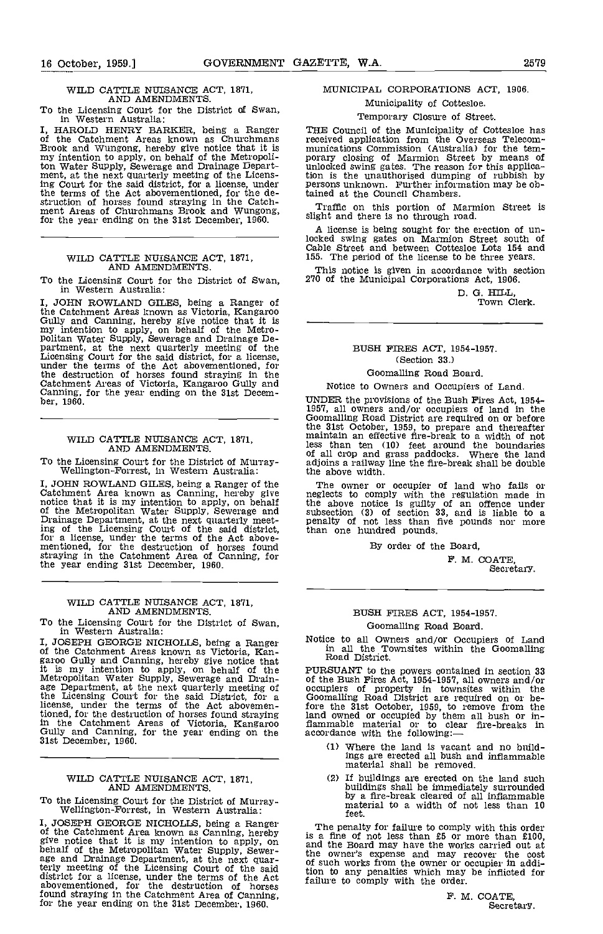# WILD CATTLE NUISANCE ACT, 1871, AND AMENDMENTS.

To the Licensing Court for the District of Swan, in Western Australia:

I, HAROLD HENRY BARKER, being a Ranger THENRY BARKER, being a Ranger THE Brook and Wungong, hereby give notice that it is my intention to apply, on behalf of the Metropoliton Water Supply, Sewerage and Drainage Depart-<br>ment, at the next quarterly meeting of the Licens-<br>ti ing Court for the said district, for a license, under pe the terms of the Act aboveinentioned, for the de- struction of horses found straying in the Catch- ment Areas of Churchmans Brook and Wungong, for the year ending on the 31st December, 1960.

# WILD CATTLE NUISANCE ACT, 1871, AND AMENDMENTS.

To the Licensing Court for the District of Swan, in Western Australia:

I, JOHN ROWLAND GILES, being a Ranger of the Catchment Areas known as Victoria, Kangaroo Gully and Canning, hereby give notice that it is  $\frac{1}{2}$  in the mass of the Metro-politan Water Supply, Sewerage and Drainage Department, at the next quarterly meeting of t the destruction of horses found straying in the Catchment Areas of Victoria, Kangaroo Gully and Near ending, for the year ending on the 31st Decem-<br>ber, 1960.

## WILD CATTLE NUISANCE ACT, 1871, AND AMENDMENTS.

To the Licensing Court for the District of Murray- Wellington-Forrest, in Western Australia:

I, JOHN ROWLAND GILES, being a Ranger of the The Catchment Area known as Canning, hereby give neglec<br>notice that it is my intention to apply, on behalf the all<br>of the Metropolitan Water Supply, Sewerage and subsec<br>Drainage ing of the Licensing Court of the said district, for a license, under the terms of the Act above- mentioned, for the destruction of horses found straying in the Catchment Area of Canning, for the year ending 31st December, 1960.

# WILD CATTLE NUISANCE ACT, 1871, AND AMENDMENTS.

To the Licensing Court for the District of Swan, in Western Australia:

I, JOSEPH GEORGE NICHOLLS, being a Ranger <sup>No</sup><br>of the Catchment Areas known as Victoria, Kan-<br>garoo Gully and Canning, hereby give notice that Example and but the same of the pures in the same of the same Metropolitan Water Supply, Sewerage and Drain-<br>Metropolitan Water Supply, Sewerage and Drain-<br>age Department, at the next quarterly meeting of occupi<br>the Licens tioned, for the destruction of horses found straying in the Catchment Areas of Victoria, Kangaroo flamma<br>Gully and Canning, for the year ending on the accordions<br>31st December, 1960.

# WILD CATTLE NUISANCE ACT, 1871, AND AMENDMENTS.

To the Licensing Court for the District of Murray- Wellington-Forrest, in Western Australia:

I, JOSEPH GEORGE NICHOLLS, being a Ranger The of the Catchment Area known as Canning, hereby is a first give notice that it is my intention to apply, on and the behalf of the Metropolitan Water Supply, Sewer-<br>age and Drainage Department, at the next quar-<br>of terly meeting of the Licensing Court of the said<br>district for a license, under the terms of the Act<br>abovementioned, for the destruction of horses<br>found straying in the Catchment Area of Canning,<br>for the year ending on the

# MUNICIPAL CORPORATIONS ACT, 1906.

Municipality of Cottesloe.

# Temporary Closure of Street.

THE Council of the Municipality of Cottesloe has received application from the Overseas Telecom-<br>munications Commission (Australia) for the tem-<br>porary closing of Marmion Street by means of<br>unlocked swing gates. The reason for this application is the unauthorised dumping of rubbish by persons unknown. Further information may be obtained at the Council Chambers.

Traffic on this portion of Marmion Street is slight and there is no through road.

A license is being sought for the erection of unlocked swing gates on Marinion Street south of Cable Street and between Cottesloe Lots 154 and 155. The period of the license to be three years.

This notice is given in accordance with section 270 of the Municipal Corporations Act, 1906.

D. G. HILL,<br>Town Clerk.

# BUSH FIRES ACT, 1954-1957. (Section 33.)

# 000malling Road Board.

### Notice to Owners and Occupiers of Land.

UNDER the provisions of the Bush Fires Act, 1954-1957, all owners and/or occupiers of land in the Goomalling Road District are required on or before the 31st October, 1959, to prepare and thereafter maintain an effective f the 31st October, 1959, to prepare and thereafter<br>maintain an effective fire-break to a width of not<br>less than ten (10) feet around the boundaries<br>of all crop and grass paddocks. Where the land<br>adjoins a railway line the f the above width.

The owner or occupier of land who fails or neglects to comply with the regulation made in the above notice is guilty of an offence under subsection (3) of section 33, and is liable to a penalty of not less than five pounds nor more than one hundred pounds.

By order of the Board,

F. M. COATE, Secretary.

# BUSH FIRES ACT, 1954-1957. Goomalling Road Board.

Notice to all Owners and/or Occupiers of Land in all the Townsites within the Goomalling Road District.

PURSUANT to the powers contained in section 33 of the Bush Fires Act, 1954-1957, all owners and/or occupiers of property in townsites within the Goomalling Road District are required on or be- fore the 31st October, 1959, to remove from the land owned or occupied by them all bush or in-<br>flammable material or to clear fire-breaks in<br>accordance with the following:—

- Where the land is vacant and no buildings are erected all bush and inflammable material shall be removed.
- (2) If buildings are erected on the land such buildings shall be immediately surrounded by a fire-break cleared of all inflammable material to a width of not less than 10 feet.

The penalty for failure to comply with this order<br>is a fine of not less than £5 or more than £100,<br>and the Board may have the works carried out at tion to any penalties which may be inflicted for failure to comply with the order.

> F. M. COATE, Secretary,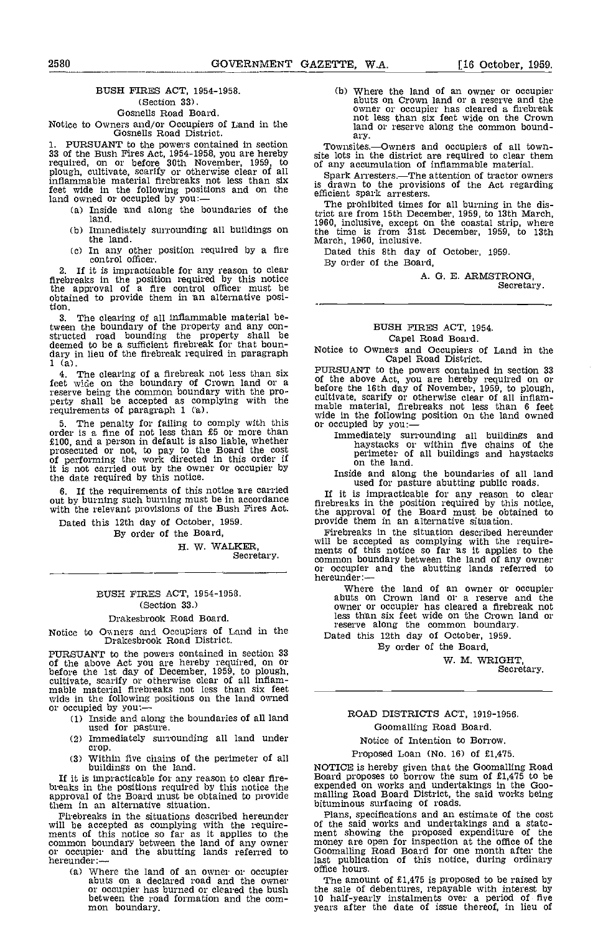# BUSH FIRES ACT, 1954-1958. (Section 33).

# Gosnells Road Board.

Notice to Owners and/or Occupiers of Land in the Gosnells Road District.

1. PURSUANT to the powers contained in section Toy 33 of the Bush Fires Act, 1954-1958, you are hereby site loid of any required, on or before 30th November, 1959, to of any plough, cultivate, scarify or otherwise clear of all inflammable material firebreaks not less than six is dra inflammable material firebreaks not less than six<br>feet wide in the following positions and on the land owned or occupied by you:-

- land.
- (b) Immediately surrounding all buildings on the land.
- (c) In any other position required by a fire the particle officer.

2. If it is impracticable for any reason to clear  $\overline{B}$ <br>firebreaks in the position required by this notice the approval of a fire control officer must be obtained to provide them in n alternative posi-tion.

The clearing of all inflammable material between the boundary of the property and any con- structed road bounding the property shall be deemed to be a sufficient firebreak for that boundary in lieu of the firebreak required in paragraph  $1 \text{ (a)}$ .

The clearing of a firebreak not less than six feet wide on the boundary of Crown land or a reserve being the common boundary with the pro-<br>perty shall be accepted as complying with the cultive<br>requirements of paragraph 1 (a). The mable

5. The penalty for failing to comply with this or occupied by  $\frac{1}{2}$  order is a fine of not less than £5 or more than  $\frac{1}{2}$  mmediately surface is a person in default is also liable, whether has haystacks or £100, and a person in default is also liable, whether prosecuted or not, to pay to the Board the cost of performing the work directed in this order if it is not carried out by the owner or occupier by the date required by this notice.

If the requirements of this notice are carried T<sub>f</sub> out by burning such burning must be in accordance  $\frac{H}{\text{fire}}$  and the with the relevant provisions of the Bush Fires Act.

Dated this 12th day of October, 1959.

By order of the Board,

H. W. WALKER,<br>Secretary.

# BUSH FIRES ACT, 1954-1958. (Section 33.)

#### Drakesbrook Road Board.

Notice to Owners and Occupiers of Land in the Drakesbrook Road District.

PURSUANT to the powers contained in section 33<br>of the above Act you are hereby required, on or<br>before the 1st day of December, 1959, to plough,<br>cultivate, scarify or otherwise clear of all inflam-<br>mable material firebreaks wide in the following positions on the land owned<br>or occupied by you:---

- Inside and along the boundaries of all land used for pasture.<br>In mediately surrounding all land under
- crop.
- Within five chains of the perimeter of all buildings on the land.  $(3)$

If it is impracticable for any reason to clear fire- breaks in the positions required by this notice the approval of the Board must be obtained to provide mall them in an alternative situation.

will be accepted as complying with the require-<br>ments of this notice so far as it applies to the ment common boundary between the land of any owner money is<br>or occupier and the abutting lands referred to Goomal<br>hereunder:— last pu

(a) Where the land of an owner or occupier of abuts on a declared road and the owner or occupier has burned or cleared the bush between the road formation and the common boundary.

(b) Where the land of an owner or occupier abuts on Crown land or a reserve and the owner or occupier has cleared a firebreak not less than six feet wide on the Crown land or reserve along the common boundary.

Townsites.—Owners and occupiers of all town-<br>site lots in the district are required to clear them of any accumulation of inflammable material.

Spark Arresters.—The attention of tractor owners<br>is drawn to the provisions of the Act regarding efficient spark arresters.

(a) Inside and along the boundaries of the  $\frac{1}{2}$  integrom is the boundaries of the  $\frac{1}{2}$  trict are from 15th December, 1959, to 13th March, The prohibited times for all burning in the district are from 15th December, 1959, to 13th March, 1960, inclusive, except on the coastal strip, where the time is from 31st December, 1959, to 13th March, 1960, inclusive.

Dated this 8th day of October, 1959. By order of the Board,

A. G. B. ARMSTRONG, Secretary.

# BUSH FIRES ACT, 1954. Capel Road Board.

Notice to Owners and Occupiers of Land in the Capel Road District.

PURSUANT to the powers contained in section 33<br>of the above Act, you are hereby required on or<br>before the 16th day of November, 1959, to plough,<br>cultivate, scarify or otherwise clear of all inflam-<br>mable material, firebrea

Immediately surrounding all buildings and haystacks or within five chains of the perimeter of all buildings and haystacks on the land.

Inside and along the boundaries of all land used for pasture abutting public roads.

If it is impracticable for any reason to clear firebreaks in the position required by this notice, the approval of the Board must be obtained to provide them in an alternative situation.

Firebreaks in the situation described hereunder will be accepted as complying with the require-<br>ments of this notice so far as it applies to the common boundary between the land of any owner or occupier and the abutting lands referred to hereunder:—

Where the land of an owner or occupier abuts on Crown land or a reserve and the owner or occupier has cleared a firebreak not less than six feet svide on the Crown land or less than six feet wide on the Crown land or<br>reserve along the common boundary.

Dated this 12th day of October, 1959.

By order of the Board,

W. M. WRIGHT, Secretary.

# ROAD DISTRICTS ACT, 1919-1956. Goomalling Road Board.

# Notice of Intention to Borrow.

Proposed Loan (No. 16) of £1,475.

NOTICE is hereby given that the Goomalling Road Board proposes to borrow the sum of £1,475 to be expended on works and undertakings in the Goo- maIling Road Board District, the said works being bituminous surfacing of roads.

Firebreaks in the situations described hereunder really a specifications and anti-estings and a state-<br>ment showing the proposed expenditure of the<br>money are open for inspection at the office of the Holomalling Road Board for one month after the last publication of this notice, during ordinary office hours.

The amount of £1,475 is proposed to be raised by the sale of debentures, repayable with interest by 10 half-yearly instalments over a period of five years after the date of issue thereof, in lieu of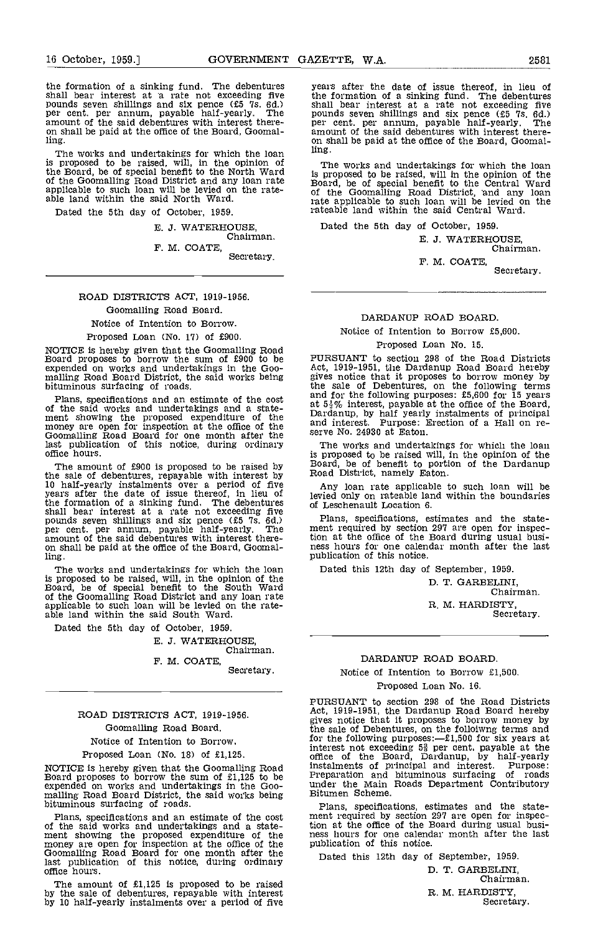the formation of a sinking fund. The debentures years<br>shall bear interest at a rate not exceeding five the f<br>pounds seven shillings and six pence (f.5 7s. 6d.) shall<br>per cent, per annum, payable half-yearly. The pound amount of the said debentures with interest thereon shall be paid at the office of the Board, Goomal-ling.

The works and undertakings for which the loan ling.<br>is proposed to be raised, will, in the opinion of The the Board, be of special benefit to the North Ward  $\frac{1}{15}$  pro of the Goomalllng Road District and any loan rate applicable to such loan will be levied on the rate- able land within the said North Ward.

Dated the 5th day of October, 1959.

E. J. WATERHOUSE,<br>Chairman.

F. M. COATE, Secretary.

# ROAD DISTRICTS ACT, 1919-1956.

Goomalling Road Board.

Notice of Intention to Borrow. Proposed Loan (No. 17) of £900.

NOTICE is hereby given that the Goomalling Road Board proposes to borrow the sum of £900 to be expended on works and undertakings in the Goo- mailing Road Board District, the said works being bituminous surfacing of roads.

Plans, specifications and an estimate of the cost<br>of the said works and undertakings and a state-<br>ment showing the proposed expenditure of the<br>ment showing the proposed expenditure of the<br>money are open for inspection at Goomalling Road Board for one month after the last publication of this notice, during ordinary office hours.

the sale of debentures, repayable with interest by<br>
10 half-yearly instalments over a period of five<br>
years after the date of issue thereof, in lieu of<br>
the formation of a sinking fund. The debentures<br>
shall bear interest ling.

The works and undertakings for which the loan is proposed to be raised, will, in the opinion of the Board, be of special benefit to the South Ward of the Goomalling Road District and any loan rate applicable to such loan will be levied on the rate- able land within the said South Ward,

Dated the 5th day of October, 1959.

J. WATERHOUSE.

Chairman. F. M. COATE,

Secretary.

# ROAD DISTRICTS ACT, 1919-1956. Goomalling Road Board.

Notice of Intention to Borrow.

Proposed Loan (No. 18) of £1,125.

NOTICE is hereby given that the Goomalling Road instalments of principal and interest. Purpose:<br>Board proposes to borrow the sum of £1,125 to be expended on works and undertakings in the Goo- under the Main Roads Departmen

Plans, specifications and an estimate of the cost<br>of the said works and undertakings and a state-<br>ment showing the proposed expenditure of the<br>money are open for inspection at the office of the<br>Goomalling Road Board for on office hours.

The amount of £1,125 is proposed to be raised by the sale of debentures, repayable with interest by 10 half-yearly instalments over a period of five

years after the date of issue thereof, in lieu of the formation of a sinking fund. The debentures<br>shall bear interest at a rate not exceeding five<br>pounds seven shillings and six pence (£5 7s, 6d.)<br>per cent. per annum, payable half-yearly. The<br>amount of the said debentures on shall be paid at the office of the Board, Goomal-ling.

The works and undertakings for which the loan is proposed to be raised, will in the opinion of the Board, be of special benefit to the Central Ward rate applicable to such loan will be levied on the rateable land within the said Central Ward.

Dated the 5th day of October, 1959.

E. J. WATERHOUSE,<br>Chairman.

F. M. COATE, Secretary.

# DARDANUP ROAD BOARD.

Notice of Intention to Borrow £5,600.

#### Proposed Loan No. 15.

PURSUANT to section 298 of the Road Districts Forward and Barl and Board hereby<br>gives notice that it proposes to borrow money by<br>the sale of Debentures, on the following terms<br>and for the following purposes: £5,600 for 15 years

The amount of £900 is proposed to be raised by Board, be of benefit to portion of the Dardanup the sale of debentures, repayable with interest by Road District, namely Eaton. The works and undertakings for which the loan is proposed to be raised will, in the opinion of the

Any loan rate applicable to such loan will be levied only on rateable land within the boundaries of Leschenault Location 6.

Plans, specifications, estimates and the state- ment required by section 297 are open for inspection at the office of the Board during usual busi- ness hours for one calendar month after the last publication of this notice.

Dated this 12th day of September, 1959.

D. T. GARBELINI, Chairman. R. M. HARDISTY, Secretary.

# DARDANUP ROAD BOARD.

Notice of Intention to Borrow £1,500.

Proposed Loan No. 16.

PURSUANT t0 section 298 of the Road Districts Act, 1919-1951, the Dardanup Road Board hereby gives notice that it proposes to borrow money by the sale of Debentures, on the folloiwng terms and for the following purposes: $-f1,500$  for six years at interest not exceeding 5<sup>3</sup> per cent, payable at the office of the Board, Dardanup, by half-yearly instalments of principal and interest. Purpose: Preparation and bituminous surfacing of roads under the Main Roads Department Contributory Bitumen Scheme.

Plans, specifications, estimates and the state- ment required by section 297 are open for inspection at the office of the Board during usual busi- ness hours for one calendar month after the last ness hours for one calendar month after the last publication of this notice.

Dated this 12th day of September, 1959.

D. T. GARBELINI, Chairman. R. M. HARDISTY,<br>Secretary.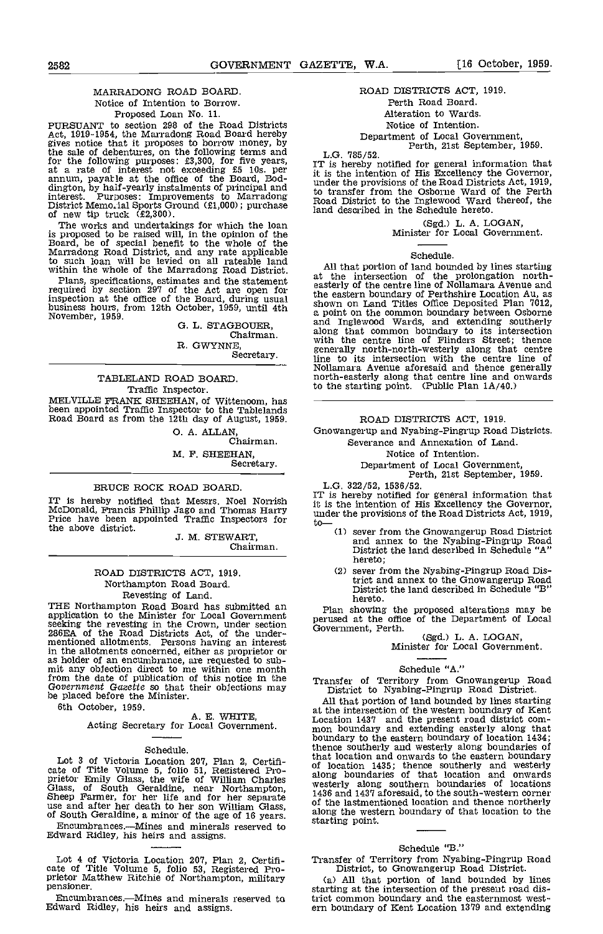# MARRADONG ROAD BOARD. Notice of Intention to Borrow. Proposed Loan No. 11.

PURSUANT to section 298 of the Road Districts Act, 1919-1954, the Marradong Road Board hereby gives notice that it proposes to borrow money, by the sale of debentures, on the following terms and  $L.G$ for the following purposes: £3,300, for five years, at a rate of interest not exceeding £5 10s. per annum, payatle at the office of the Board, Bod-<br>aington, by half-yearly instalments of principal and the trace interest. Purposes: Improvements to Marradong to training District Memorial Sports Ground (£1,000); purchase Road iand of new tip truck (£2,300).

The works and undertakings for which the loan<br>is proposed to be raised will, in the opinion of the<br>Board, be of special benefit to the whole of the<br>Marradong Road District, and any rate applicable to such loan will be levied on all rateable land<br>within the whole of the Marradong Road District.

Plans, specifications, estimates and the statement required by section 297 of the Act are open for  $\epsilon_{\text{hot}}$ inspection at the office of the Board, during usual the earth business hours, from 12th October, 1959, until 4th a point November, 1959.

G. L. STAGBOUER, Chairman. R. GWYNNE,

Secretary.

# TABLELAND ROAD BOARD. Traffic Inspector. MELVILLE FRANK SHEEHAN, of Wittenoom, has been appointed Traffic Inspector to the Tablelands Road Board as from the 12th day of August, 1959.

0. A. ALLAN, Chairman. M. F. SHEEHAN Secretary.

# BRUCE ROCK ROAD BOARD.

IT is hereby notified that Messrs. Noel Norrish it is in McDonald, Francis Phillip Jago and Thomas Harry it is the Price have been appointed Traffic Inspectors for the the above district.

3. M. STEWART, Chairman.

# ROAD DISTRICTS ACT, 1919. Northampton Road Board Revesting of Land.

THE Northampton Road Board has submitted an Plan application to the Minister for Local Government<br>seeking the revesting in the Crown, under section 286EA of the Road Districts Act, of the under-<br>mentioned allotments. Persons having an interest in the allotments concerned, either as proprietor or as holder of an encumbrance, are requested to sub- mit any objection direct to me within one month from the date of publication of this notice in the  $G(1)$  Trans be placed before the Minister.

6th October, 1959.

A. E. WHITE,<br>Acting Secretary for Local Government.

# Schedule.

Lot 3 of Victoria Location 207, Plan 2, Certificate of Title Volume 5, folio 51, Registered Pro-<br>prietor Emily Glass, the wife of William Charles along<br>prietor Emily Glass, the wife of William Charles weste<br>Glass, of Sout

Encumbrances.--- Mines and minerals reserved to Edward Ridley, his heirs and assigns.

Lot 4 of Victoria Location 207, Plan 2, Certifi-<br>
cate of Title Volume 5, folio 53, Registered Pro- prietor Matthew Ritchie of Northampton, military (a) All that portion of land bounded by lines pensioner.

Encumbrances.Mines and minerals reserved to Edward Ridley, his heirs and assigns.

# ROAD DISTRICTS ACT, 1919. Perth Road Board.

# Alteration to Wards.

Notice of Intention.

# Department of Local Government,<br>Perth, 21st September, 1959.<br>L.G. 785/52.

L.G. 785/52. IT is hereby notified for general information that it is the intention of His Excellency the Governor, under the provisions of the Road Districts Act, 1919, to transfer from the Osborne Ward of the Perth Road District to the Inglewood Ward thereof, the land described in the Schedule hereto.

(Sgd.) L. A. LOGAN,<br>Minister for Local Government.

# Schedule.

All that portion of land bounded by lines starting at the intersection of the prolongation north- easterly of the centre line of Nollamara Avenue and the eastern boundary of Perthshire Location Au, as shown on Land Titles Office Deposited Plan 7012, a point on the common boundary between Osborne and Inglewood Wards, and extending southerly along that common boundary to its intersection with the centre line of Flinders Street; thence enerally north-north-westerly along that centre<br>line to its intersection with the centre line of Nollamara Avenue aforesaid and thence generally north-easterly along that centre line and onwards to the starting point. (Public Plan 1A/40.)

# ROAD DISTRICTS ACT, 1919.

Gnowangerup and Nyabing-Pingrup Road Districts.

- Severance and Annexation of Land.
	- Notice of Intention.<br>Department of Local Government,
		- Perth, 21st September, 1959.

L.G. 322/52, 1536/52.<br>IT is hereby notified for general information that it is the intention of His Excellency the Governor, under the provisions of the Road Districts Act, 1919,  $\text{to}$   $\text{to}$ 

- sever from the Gnowangerup Road District and annex to the Nyabing-Pingrup Road District the land described in Schedule "A" hereto;
- sever from the Nyabing-Pingrup Road Dis-District the land described in Schedule "B" hereto.

Plan showing the proposed alterations may be perused at the office of the Department of Local Government, Perth. (Sgd.) L. A. LOGAN, Minister for Local Government.

# Schedule "A."

Transfer of Territory from Gnowangerup Road District to Nyabing-Pingrup Road District.

All that portion of land bounded by lines starting<br>at the intersection of the western boundary of Kent Location 1437 and the present road district com-<br>mon boundary and extending easterly along that<br>boundary to the eastern boundary of location 1434; that location and onwards to the eastern boundary of location 1435; thence southerly and westerly along boundaries of that location and onwards westerly along southern boundaries of locations 1436 and 1437 aforesaid, to the south-western corner of the lastmentioned location and thence northerly of the lastmentioned location and thence northerly<br>along the western boundary of that location to the starting point.

# Schedule "B."

(a) All that portion of land bounded by lines starting at the intersection of the present road district common boundary and the easternmost west- ern boundary of Kent Location 1379 and extending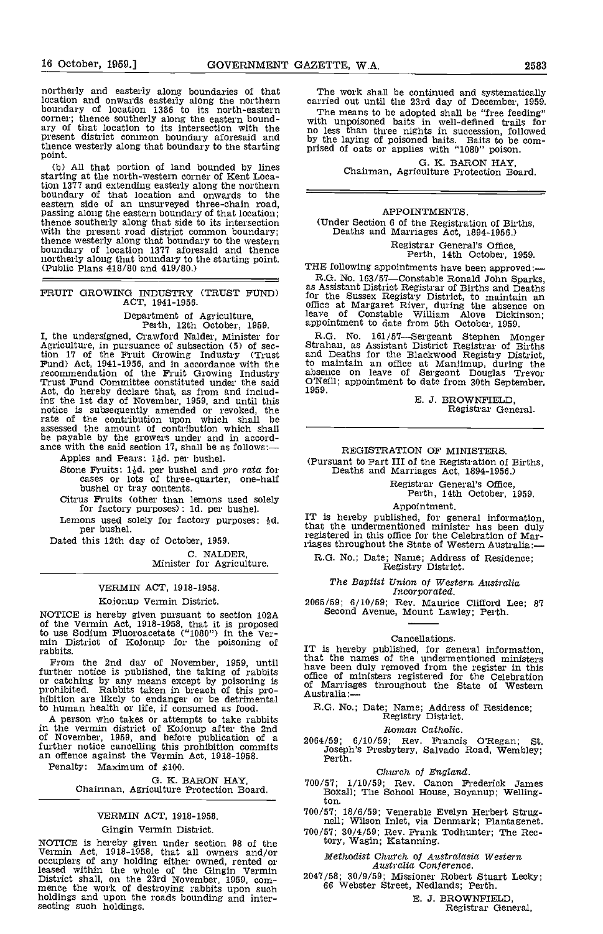northerly and easterly along boundaries of that location and onwards easterly along the northern carrie<br>boundary of location 1386 to its north-eastern The corner; thence southerly along the eastern bound-<br>ary of that location to its intersection with the present district common boundary aforesaid and by the thence westerly along that boundary to the starting prised point.

(b) All that portion of land bounded by lines starting at the north-western corner of Kent Location 1377 and extending easterly along the northern tion 1377 and extending easterly along the northern<br>boundary of that location and onwards to the<br>eastern side of an unsurveyed three-chain road,<br>passing along the eastern boundary of that location;<br>thence southerly along thence westerly along that boundary to the western<br>boundary of location 1377 aforesaid and thence<br>northerly along that boundary to the starting point.<br>(Public Plans 418/80 and 419/80.) THE 1

# FRUIT GROWING INDUSTRY (TRUST FUND)  $\int_{0}^{2\pi}$ ACT, 1941-1956.

Department of Agriculture,<br>Perth, 12th October, 1959.<br>I, the undersigned, Crawford Nalder, Minister for I, the undersigned, Crawford Nalder, Minister for  $R$ .<br>Agriculture, in pursuance of subsection (5) of sec-<br>tion 17 of the Fruit Growing Industry (Trust and<br>Fund) Act, 1941-1956, and in accordance with the to n recommendation of the Fruit Growing Industry absence<br>Trust Fund Committee constituted under the said O'Neill<br>Act, do hereby declare that, as from and includ-<br>1959. ing the 1st day of November, 1959, and until this notice is subsequently amended or revoked, the rate of the contribution upon which shall be assessed the amount of contribution which shall be payable by the growers under and in accord- ance with the said section 17, shall be as follows:

Apples and Pears: 14d. per bushel.

Stone Fruits:  $1/2d$ . per bushel and pro rata for cases or lots of three-quarter, one-half bushel or tray contents. bushel or tray contents. Citrus Fruits (other than lemons used solely

for factory purposes): 1d. per bushel.

Lemons used solely for factory purposes:  $\frac{1}{2}d$ .<br>per bushel.

Dated this 12th day of October, 1959.

C. NALDER, Minister for Agriculture.

# VERMIN ACT, 1918-1958.

### Kojonup Vermin District.

NOTICE is hereby given pursuant to section 102A Second of the Vermin Act, 1918-1958, that it is proposed to use Sodium Fluoroacetate ("1080") in the Ver-<br>min District of Kojonup for the poisoning of rabbits.

From the 2nd day of November, 1959, until<br>further notice is published, the taking of rabbits<br>or catching by any means except by poisoning is<br>prohibited. Rabbits taken in breach of this pro-<br>hibition are likely to endanger to human health or life, if consumed as food.

A person who takes or attempts to take rabbits in the vermin district of Kojonup after the 2nd of November, 1959, and before publication of a further notice cancelling this prohibition commits an offence against the Vermin Act, 1918-1958. an offence against the Vermin Act,  $1918-1958$ .<br>Penalty: Maximum of £100.

G. K. BARON HAY,<br>Chairman, Agriculture Protection Board.

# VERMIN ACT, 1918-1958.

#### Gingin Vermin District.

NOTICE is hereby given under section 98 of the<br>
Vermin Act, 1918-1958, that all owners and/or<br>
occupiers of any holding either owned, rented or<br>
leased within the whole of the Gingin Vermin<br>
District shall, on the 23rd No holdings and upon the roads bounding and inter- secting such holdings.

The work shall be continued and systematically carried out until the 23rd day of December, 1959.<br>The means to be adopted shall be "free feeding"

The means to be adopted shall be "free feeding"<br>with unpoisoned baits in well-defined trails for<br>no less than three nights in succession, followed by the laying of poisoned baits. Baits to be com-prised of oats or applies with "1080" poison.

G. K. BARON HAY, Chairman, Agriculture Protection Board.

# APPOINTMENTS.

(Under Section 6 of the Registration of Births, Deaths and Marriages Act, 1894-1956.)

Registrar General's Office, Perth, 14th October, 1959.

THE following appointments have been approved:-

R.G. No. 163/57—Constable Ronald John Sparks, as Assistant District Registrar of Births and Deaths for the Sussex Registry District, to maintain an office at Margaret River, during the absence on leave of Constable William Alove Dickinson; appointment to date from 5th October, 1959.

R.G. No. 161/57—Sergeant Stephen Monger<br>Strahan, as Assistant District Registrar of Births<br>and Deaths for the Blackwood Registry District,<br>to maintain an office at Manlimup, during the<br>absence on leave of Sergeant Douglas

E. J. BROWNFIELD Registrar General.

# REGISTRATION OF MINISTERS. (Pursuant to Part III of the Registration of Births, Deaths and Marriages Act, 1894-1956.)

Registrar General's Office, Perth, 14th October, 1959.

Appointment.<br>IT is hereby published, for general information,<br>that the undermentioned minister has been duly registered in this office for the Celebration of Mar- riages throughout the State of Western Australia:-

R.G. No.; Date; Name; Address of Residence; Registry District.

# The Baptist Union of Western Australia Incorporated.

2065/59; 6/10/59; Rev. Maurice Clifford Lee; Second Avenue, Mount Lawley; Perth. 87

#### Cancellations.

IT is hereby published, for general information, that the names of the undermentioned ministers have been duly removed from the register in this office of ministers registered for the Celebration of Marriages throughout the State of Western Australia:-

R.G. No.; Date; Name; Address of Residence; Registry District.

### Roman Catholic.

2064/59; 6/10/59; Rev. Francis O'Regan; St. Joseph's Presbytery, Salvado Road, Wembley; Perth.

# Church of England.

- 700/57; 1/10/59; Rev. Canon Frederick James Boxall; The School House, Boyanup; Welling-ton.
- 700/57; 18/6/59; Venerable Evelyn Herbert Strug- nell; Wilson Inlet, via Denmark; Plantagenet. 700/57; 30/4/59; Rev Frank Todhunter; The Rec-
- 700/57; 30/4/59; Rev. Frank Todhunter; The Rectory, Wagin; Katanning.
	- Methodist Church of Australasia Western Australia Conference.
- 2047/58; 30/9/59; Missioner Robert Stuart Lecky; 66 Webster Street, Nedlands; Perth.

E. J. BROWNFIELD.

Registrar General,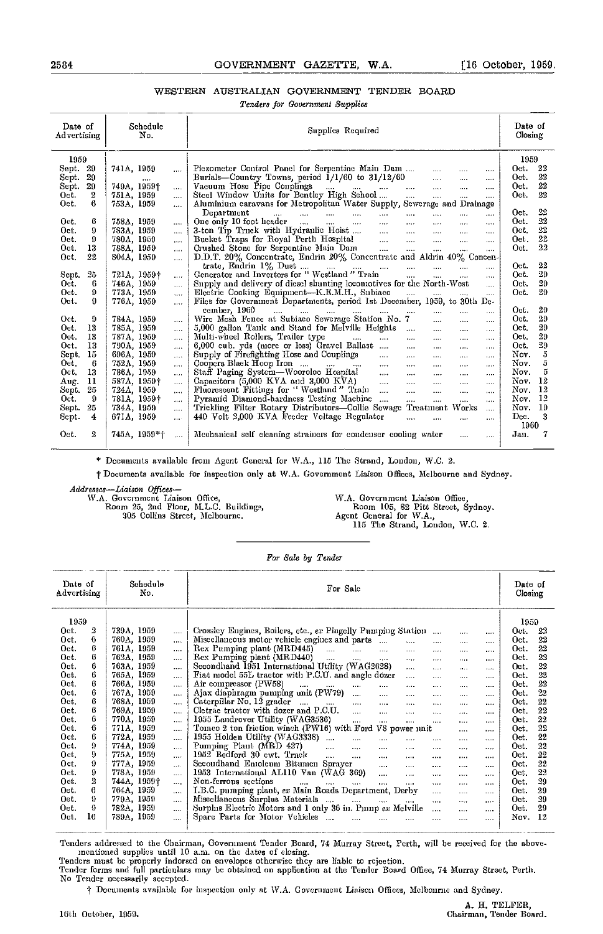# WESTERN AUSTRALIAN GOVERNMENT TENDER BOARD

Tenders for Government Supplies

| Date of<br>Advertising |                  | Schedule<br>No. |          | Supplies Required                                                                                                                       | Date of<br>Closing |
|------------------------|------------------|-----------------|----------|-----------------------------------------------------------------------------------------------------------------------------------------|--------------------|
| 1959                   |                  |                 |          |                                                                                                                                         | 1959               |
| 29<br>Sept.            |                  | 741A, 1959      |          | Piezometer Control Panel for Serpentine Main Dam<br>$\cdots$                                                                            | 22<br>Oet.         |
| 29<br>Sept.            |                  |                 |          |                                                                                                                                         | 22<br>Oet.         |
| 29<br>Sept.            |                  | 749A, 1959†     | $\cdots$ | $\cdots$<br>$\cdots$                                                                                                                    | 22<br>Oet.         |
| Oet.                   | $\boldsymbol{2}$ | 751A, 1959      | $\cdots$ | $\cdots$<br>                                                                                                                            | 22<br>Oet.         |
| Oet.                   | 6                | 753A, 1959      | 1.11     | Aluminium caravans for Metropolitan Water Supply, Sewerage and Drainage                                                                 |                    |
|                        |                  |                 |          | Department<br>and the same<br><b>Seat of the State</b><br><b>Service</b> Contractor<br>$\mathbf{r}$<br>$\cdots$<br>$\cdots$<br>$\cdots$ | 22<br>Oet.         |
| Oct.                   | 6                | 758A, 1959      | $\cdots$ | One only 10 foot header $\dots$ $\dots$ $\dots$<br>$\ldots$ . $\ldots$<br>$\sim$ $\sim$<br>$\cdots$<br>                                 | 22<br>Oet.         |
| Oct.                   | 9                | 783A, 1959      | $\cdots$ | 3-ton Tip Truck with Hydranlic Hoist<br>$\ldots$ . $\ldots$ . $\ldots$<br>$\cdots$                                                      | 22<br>Oet.         |
| Oct.                   | 9                | 780A, 1959      | $\cdots$ | Bucket Traps for Royal Perth Hospital<br>$\cdots$<br>                                                                                   | 22<br>Oet.         |
| Oct.                   | 13               | 788A, 1959      | $\cdots$ |                                                                                                                                         | 22<br>Oet.         |
| Oct.                   | 22               | 804A, 1959      |          |                                                                                                                                         |                    |
|                        |                  |                 | .        | $\cdots$                                                                                                                                | 22<br>Oet.         |
| Sept.                  | 25               | 721A, 1959†     |          | $\cdots$<br>$\cdots$ $\cdots$                                                                                                           | 29<br>Oet.         |
| Oet.                   | 6                | 746A, 1959      | $\cdots$ | $\cdots$<br>Supply and delivery of diesel shunting locomotives for the North-West<br>$\mathbf{r}_{\text{max}}$                          | 29<br>Oet.         |
| Oet.                   | Ω                | 773A, 1959      | $\cdots$ | Electric Cooking Equipment-K.E.M.H., Subiaco<br>المتعدد المتنفي المتنفي                                                                 | 29<br>Oet.         |
| Oet.                   | 9                | 776A, 1959      | $\cdots$ | assi<br>Files for Government Departments, period 1st December, 1959, to 30th De-                                                        |                    |
|                        |                  |                 |          | cember, 1960                                                                                                                            | 29<br>Oet.         |
|                        |                  |                 |          | المتعرض التقطي المتفاد التنبي المنتزل<br>$\sim 100$ km s $^{-1}$<br>$\mathbf{r}$<br>$\cdots$<br>                                        | 29<br>Oet.         |
| Oct.                   | 9                | 784A, 1959      | $\cdots$ | Wire Mesh Fence at Subiaco Sewerage Station No. 7<br>$\cdots$<br>$\cdots$<br>                                                           | 29                 |
| Oct.                   | 13               | 785A, 1959      | $\cdots$ | 5,000 gallon Tank and Stand for Melville Heights<br>$\cdots$<br>$\cdots$<br>$\cdots$                                                    | Oet.               |
| Oet.                   | 13               | 787A, 1959      | $\cdots$ | Multi-wheel Rollers, Trailer type<br>$\cdots$<br>$\cdots$<br>$\cdots$<br>$\cdots$<br>$\cdots$<br>$\cdots$                               | 29<br>Oet.         |
| Oet.                   | 13               | 790A, 1959      | $\cdots$ | 6,000 eub. yds (more or less) Gravel Ballast<br>$\cdots$<br>$\sim 100$ and $\sim 100$<br>$\cdots$<br>$\cdots$                           | 29<br>Oet.         |
| Sept.                  | 15               | 696A, 1959      | $\cdots$ | Supply of Firefighting Hose and Couplings<br>$\mathbf{r}$ and $\mathbf{r}$ and $\mathbf{r}$<br>$\cdots$<br>$\cdots$<br>$\cdots$         | 5<br>Nov.          |
| Oet.                   | 6                | 752A, 1959      | $\cdots$ | Coopers Black Hoop Iron<br>and a<br>$\cdots$<br>$\cdots$                                                                                | ő<br>Nov.          |
| Oet.                   | 13               | 786A, 1959      | $\cdots$ | Staff Paging System—Wooroloo Hospital<br>المنتقلة<br>$\cdots$<br>$\sim 100$<br>$\cdots$<br>$\cdots$                                     | 5<br>Nov.          |
| Aug.                   | 11               | 587A, 1959†     | $\cdots$ | Capacitors (5,000 KVA and 3,000 KVA)<br>and the<br>$\cdots$<br>$\mathbf{r}$<br>$\cdots$<br><b></b>                                      | 12<br>Nov.         |
| Sept.                  | 25               | 724A, 1959      | $\cdots$ | Fluorescent Fittings for "Westland" Train<br>and the<br>$\sim$<br>$\cdots$<br>$\cdots$<br>$\cdots$                                      | 12<br>Nov.         |
| Oct.                   | 9                | 781A, 1959†     | $\cdots$ | Pyramid Diamond-hardness Testing Machine<br>$\cdots$<br>$\cdots$<br>$\cdots$<br>$\cdots$                                                | 12<br>Nov.         |
| Sept.                  | 25               | 734A, 1959      | $\cdots$ | Trickling Filter Rotary Distributors-Collie Sewage Treatment Works<br>$\cdots$                                                          | 19<br>Nov.         |
| Sept.                  | 4                | 67IA, 1959      | $\cdots$ | 440 Volt 2,000 KVA Feeder Voltage Regulator<br>$\cdots$<br>$\cdots$<br>$\cdots$<br>$\cdots$                                             | 3<br>Dec.          |
|                        |                  |                 |          |                                                                                                                                         | 1960               |
| Oet.                   | 2                | $745A, 1959*$   | . 1      | Mechanical self eleaning strainers for condenser cooling water<br>$\cdots$                                                              | Jan.               |
|                        |                  |                 |          |                                                                                                                                         |                    |

\* Docunients available from Agent General for WA., 115 The Strand, London, W.C. 2.

t Documents available for inspection only at WA. Government Liaison Offices, Melbourne and Sydney.

Addresses-Liaison Offices-

W.A. Government Liaison Office, The M.A. Government Liaison Office, Room 25, 2nd Floor, M.LC. Buildings, Room 105, 82 Pitt Street, Sydney. 305 Collins Street, Melbourne. Agent General for W.A., 115 The Strand, London, W.C. 2.

For Sale by Tender

| Date of<br>Advertising |    | Schedule<br>No.         | For Sale                                                                                                          | Date of<br>Closing |
|------------------------|----|-------------------------|-------------------------------------------------------------------------------------------------------------------|--------------------|
| 1959                   |    |                         |                                                                                                                   | 1959               |
| Oet.                   | 2  | 739A, 1959<br>$\cdots$  | Crossley Engines, Boilers, etc., ex Pingelly Pumping Station<br><br>                                              | 22<br>Oct.         |
| Oct.                   | 6  | 760A, 1959<br>$\cdots$  | Miseellaneous motor vehicle engines and parts<br>$\ddotsc$<br>$\cdots$<br>$\cdots$<br>                            | 22<br>Oet.         |
| Oct.                   | 6  | 761A, 1959<br>$\cdots$  | Rex Pumping plant (MRD445)<br><b>Sales Control</b><br>and the<br>$\cdots$<br>$\cdots$<br><br>$\cdots$<br>$\cdots$ | 22<br>Oet.         |
| Oet.                   | 6  | 762A, 1959<br>$\cdots$  | Rex Pumping plant (MRD440)<br>$\sim$<br>$\cdots$<br>$\cdots$<br>$\cdots$<br><br>1.11<br>                          | 22<br>Oet.         |
| Oet.                   | 6  | 763A, 1959<br>          | Secondhand 1951 International Utility (WAG2628)<br>$1.1.1 +$<br>$\cdots$<br><br>                                  | 22<br>Oet.         |
| Oet.                   | 6  | 765A, 1959<br>$\cdots$  | Fiat model 55L tractor with P.C.U. and angle dozer<br>$\cdots$<br>$\cdots$<br>$\cdots$<br>.                       | 22<br>Oet.         |
| Oct.                   | 6  | 766A, 1959<br>.         | Air compressor (PW58)<br>$\cdots$<br>$\cdots$<br>$\cdots$<br>$\cdots$<br>1.11<br>$\cdots$<br><br>                 | 22<br>Oet.         |
| Oct.                   | 6  | 767A, 1959<br>$\cdots$  | Ajax diaphragm pumping unit (PW79)<br><br><br><br><br><br>                                                        | $^{22}$<br>Oet.    |
| Oct.                   | 6  | 768A, 1959<br>$\ldots$  | Caterpillar No. 12 grader<br><br>$\cdots$<br><br><br><br>$\cdots$                                                 | 22<br>Oet.         |
| Oet.                   | 6  | 769A, 1959<br>          | Cletrae tractor with dozer and P.C.U.<br>$\cdots$<br><br><br><br><br>                                             | 22<br>Oet.         |
| Oct.                   | 6  | 770A, 1959<br>$\cdots$  | 1955 Landrover Utility (WAG3536)<br>$\cdots$<br><br>$\cdots$<br>$\cdots$<br><br>                                  | 22<br>Oet.         |
| Oct.                   | 6  | 771A, 1959<br>$\cdots$  | Tomeo 2 ton frietion winch (PW16) with Ford V8 power unit<br><br>$\cdots$                                         | 22<br>Oet.         |
| Oct.                   | 6  | 772A, 1959<br>$\cdots$  | 1955 Holden Utility (WAG3338)<br>.<br>$\cdots$<br>$\cdots$                                                        | 22<br>Oet.         |
| Oet.                   | 9  | 774A, 1959<br>$\cdots$  | Pumping Plant (MRD 427)<br>$\sim$<br>$\cdots$<br>$\cdots$<br>$\cdots$<br>1.111<br><br>$\sim$ , and $\sim$         | 22<br>Oet.         |
| Oet.                   | 9  | 775A, 1959<br>$\cdots$  | 1952 Bedford 30 ewt. Truck<br>$\mathbf{r}$<br>$\cdots$<br>$\cdots$<br>1.1.11<br><br>$\cdots$<br>                  | 22<br>Oet.         |
| Oct.                   | Ω  | 777A, 1959<br>$\cdots$  | Secondhand Enioleum Bitumen Sprayer<br>$\cdots$<br>$\cdots$<br>$1 + 1 +$<br>1.111<br>1.111                        | 22<br>Oct.         |
| Oct.                   | 9  | 778A, 1959<br>          | 1953 International AL110 Van (WAG 369)<br>$\cdots$<br>.<br><br><br>                                               | 22<br>Oet.         |
| Oct.                   | 2  | 744A, 1959†<br>$\cdots$ | Non-ferrous sections<br>$\cdots$<br>$\cdots$<br>$\cdots$<br>$\cdots$<br><br>$\cdots$<br><br>$\cdots$              | 29<br>Oet.         |
| Oet.                   | 6  | 764A, 1959<br>          | I.B.C. pumping plant, ex Main Roads Department, Derby<br>$\cdots$<br><br>$\cdots$                                 | 29<br>Oet.         |
| Oet.                   | 0  | 779A, 1959<br>$\cdots$  | Miscellaneous Surplus Materials<br>$\sim$ $\sim$ $\sim$<br>$\cdots$<br>$\cdots$<br>$\cdots$<br><br>$\cdots$       | 29<br>Oet.         |
| Oet.                   | 9  | 782A, 1959<br>          | Surplus Electric Motors and 1 only 36 in. Pump ex Melville<br>$\cdots$<br><br>$1 - 10$                            | 29<br>Oet.         |
| Oct.                   | 16 | 789A, 1959<br>$\cdots$  | Spare Parts for Motor Vehicles<br>$\cdots$<br>$\cdots$<br><br>.<br>$\cdots$                                       | 12<br>Nov.         |
|                        |    |                         |                                                                                                                   |                    |

Tenders eddressed to the Chairman, Government Tender Board, 74 Murray Street, Perth, will be received for the above. mentioned supplies until 10 a.m. on the dates of closing.<br>Tenders must be properly indorsed on envelopes otherwise they are liable to rejection.<br>Tender forms and full particulars may be obtained on application at the Tende

t Documents available for inspcction only at W.A. Government Liaison Offices, Melbourne and Sydney.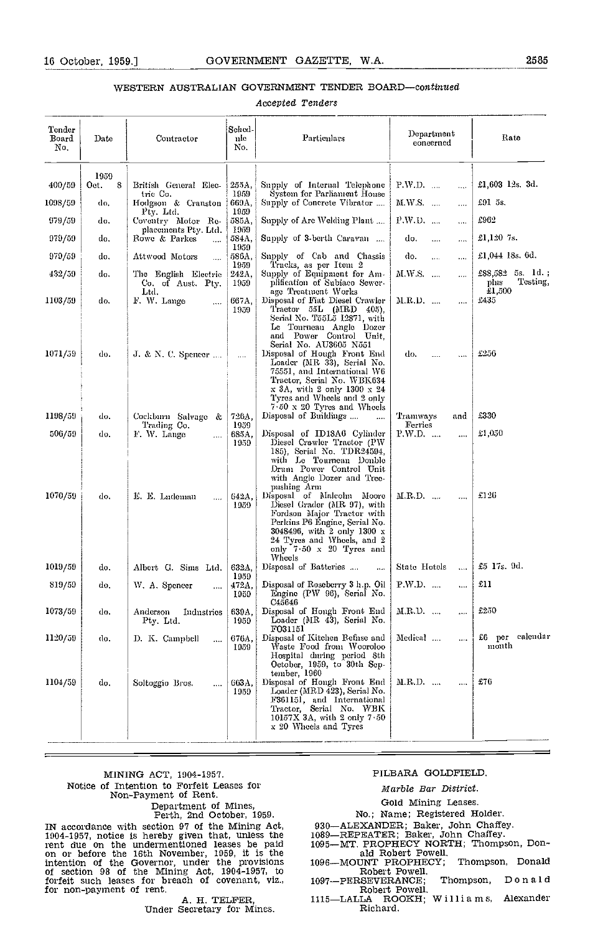# WESTERN AUSTRALIAN GOVERNMENT TENDER BOARD-continued

Accepted Tenders

| Tender<br>Board<br>No. | Date      | Contractor                                        | Sched-<br>nle<br>No.  | Particulars                                                                                                                                                                                                                       | Department<br>eoncerned           | Rate                                             |
|------------------------|-----------|---------------------------------------------------|-----------------------|-----------------------------------------------------------------------------------------------------------------------------------------------------------------------------------------------------------------------------------|-----------------------------------|--------------------------------------------------|
|                        | 1959      |                                                   |                       |                                                                                                                                                                                                                                   |                                   | £1,603 12s. 3d.                                  |
| 400/59                 | 8<br>Oct. | British General Elec-<br>tric Co.                 | 255A,<br>1959         | Supply of Internal Telephone<br>System for Parliament House                                                                                                                                                                       | P.W.D.<br>$\mathbf{1}$            |                                                  |
| 1098/59                | do,       | Hodgson & Cranston<br>Pty. Ltd.                   | 669A,<br>1959         | Supply of Concrete Vibrator                                                                                                                                                                                                       | M.W.S.<br>$\cdots$                | £91 5s.                                          |
| 979/59                 | do.       | Coventry Motor Re-<br>placements Pty. Ltd.        | 585A,<br>1959         | Supply of Arc Welding Plant                                                                                                                                                                                                       | P.W.D.<br>                        | £962                                             |
| 979/59                 | do,       | Rowe & Parkes<br>$\cdots$                         | 584A,<br>1959         | Supply of 3-berth Caravan                                                                                                                                                                                                         | do.<br>$\ldots$<br>               | £1,120 $7s$ .                                    |
| 979/59                 | do,       | Attwood Motors<br>$\ldots$                        | 586A,                 | Supply of Cab and Chassis                                                                                                                                                                                                         | do.<br>$\ldots$<br>$\cdots$       | £1,044 18s. 6d.                                  |
| 432/59                 | do.       | The English Electric<br>Co. of Aust. Pty.<br>Ltd. | 1959<br>242A,<br>1959 | Tracks, as per Item 2<br>Supply of Equipment for Am-<br>plification of Subiaco Sewer-<br>age Treatment Works                                                                                                                      | M.W.S.<br>                        | $$88,582$ 5s. 1d.;<br>Testing,<br>phis<br>£1,500 |
| 1103/59                | do.       | F. W. Lange<br>$\cdots$                           | 667A,<br>1959         | Disposal of Fiat Diesel Crawler<br>Tractor $55L$ (MRD 405),<br>Serial No. T55L5 12871, with<br>Le Tourneau Angle Dozer                                                                                                            | M.R.D.<br>$\cdots$                | £435                                             |
| 1071/59                | do.       | J. & N. C. Spencer $\dots$                        | $\cdots$              | and Power Control Unit,<br>Serial No. AU3605 N551<br>Disposal of Hough Front End<br>Loader (MR 33), Serial No.<br>75551, and International W6<br>Tractor, Serial No. WBK634                                                       | do.<br><br>$\cdots$               | £256                                             |
| 1198/59                | do,       | Cockburn Salvage &<br>Trading Co.                 | 726A.<br>1959         | x 3A, with 2 only 1300 x 24<br>Tyres and Wheels and 2 only<br>$7.50 \times 20$ Tyres and Wheels<br>Disposal of Buildings<br>$\cdots$                                                                                              | Tramways<br>and<br><b>Ferries</b> | £330                                             |
| 506/59                 | do,       | F. W. Lange<br>                                   | 685A,<br>1959         | Disposal of ID18A6 Cylinder<br>Diesel Crawler Tractor (PW<br>185), Serial No. TDR24594,<br>with Le Tournean Double<br>Drum Power Control Unit<br>with Angle Dozer and Tree-<br>pushing Arm                                        | P.W.D.<br>$\cdots$                | £1,0.50                                          |
| 1070/59                | do.       | E. E. Ludeman<br>$\ldots$                         | 642A.<br>1959         | Disposal of Malcolm Moore<br>Diesel Grader (MR 97), with<br>Fordson Major Tractor with<br>Perkins P6 Engine, Serial No.<br>3048496, with 2 only 1300 x<br>24 Tyres and Wheels, and 2<br>only $7.50 \times 20$ Tyres and<br>Wheels | $M.R.D.$<br>$\cdots$              | £126                                             |
| 1019/59                | do.       | Albert G. Sims Ltd.                               | 632A,                 | Disposal of Batteries<br>$\cdots$                                                                                                                                                                                                 | State Hotels<br>$\cdots$          | £5 17s. 9d.                                      |
| 819/59                 | do,       | W. A. Spencer<br>$\cdots$                         | 1959<br>472A.<br>1959 | Disposal of Roseberry 3 h.p. Oil<br>Engine (PW 96), Serial No.<br>C45646                                                                                                                                                          | $P.W.D.$<br>$\cdots$              | £11                                              |
| 1073/59                | do.       | Anderson<br>Industries<br>Pty. Ltd.               | 639A,<br>1959         | Disposal of Hongh Front End   M.R.D.<br>Loader (MR 43), Serial No.<br>F031151                                                                                                                                                     | $\ldots$                          | £250                                             |
| 1120/59                | do,       | D. K. Campbell<br>$\cdots$                        | 676А.<br>1959         | Disposal of Kitchen Refuse and<br>Waste Food from Wooroloo<br>Hospital during period 8th<br>October, 1959, to 30th Sep-<br>tember, 1960                                                                                           | Medical<br>$\cdots$               | £6 per calendar<br>month                         |
| 1104/59                | do.       | Soltoggio Bros.<br>$\cdots$                       | 663A.<br>1959         | Disposal of Hongh Front End<br>Loader (MRD 423), Serial No.<br>F361151, and International<br>Tractor, Serial No. WBK<br>10157X 3A, with 2 only $7-50$<br>x 20 Wheels and Tyres                                                    | M.R.D.<br>$\cdots$                | £76                                              |

# MINING ACT, 1904-1951. Notice of Intention to Forfeit Leases for Non-Payment of Rent.

# Department of Mines, Perth, 2nd October, 1959.

IN accordance with section 97 of the Mining Act, 1904-1957, notice is hereby given that, unless the rent due on the undermentioned leases be paid on or before the 16th November, 1959, it is the intention of the Governor, under the provisions of section 98 of the Mining Act, 1904-1957, to forfeit such leases for breach of covenant, viz., for non-payment of rent.

A. H. TELFER,<br>Under Secretary for Mines.

# PILBARA GOLDFIELD

# Marble Bar District.

# Gold Mining Leases.

# No.; Name; Registered Holder.

930-ALEXANDER; Baker, John Chaffey.<br>1089-REPEATER; Baker, John Chaffey.<br>1095-MT. PROPHECY NORTH; Thompson, Don-<br>ald Robert Powell.

1096-MOUNT PROPHECY: Thompson, Donald Robert Powell. Robert Powell.<br>1097-PERSEVERANCE; Thompson, Donald

Robert Powell.<br>1115-LALLA ROOKH; Williams, Alexander<br>Richard.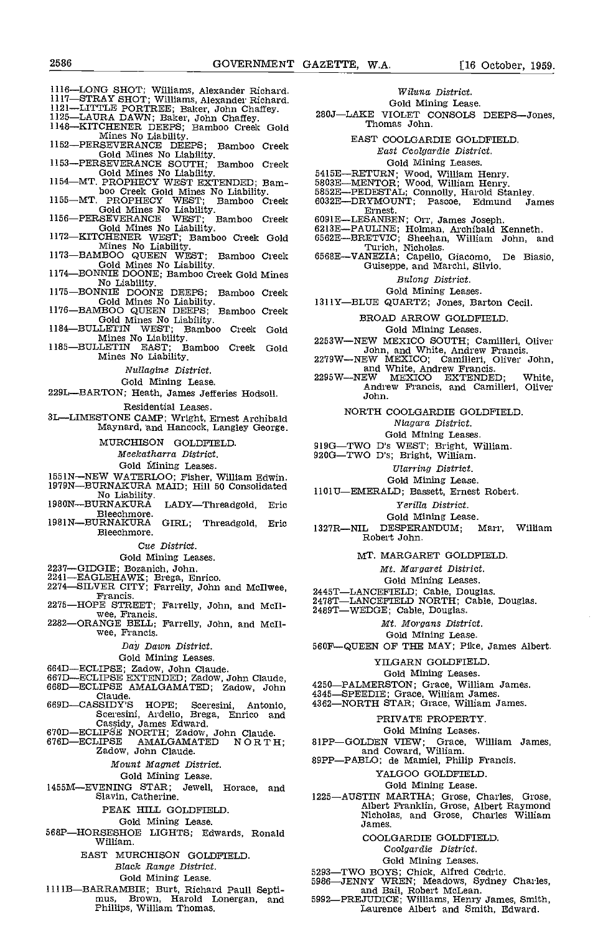1116-LONG SHOT; Williams, Alexander Richard.<br>1117-STRAY SHOT; Williams, Alexander Richard.<br>1121-LITTLE PORTREE; Baker, John Chaffey.<br>1125-LAURA DAWN; Baker, John Chaffey.<br>1148-KITCHENER DEEPS; Bamboo Creek Gold. Mines No Liability.<br>
1152—PERSEVERANCE DEEPS; Bamboo Creek<br>
Gold Mines No Liability.<br>
1153—PERSEVERANCE SOUTH; Bamboo Creek<br>
Gold Mines No Liability.<br>
1154—MT. PROPHECY WEST EXTENDED; Bamboo Creek<br>
1155—MT. PROPHECY WEST; 1155—MT. PROPHECY WEST; Bamboo Creek<br>
Gold Mines No Liability.<br>
1156—PERSEVERANCE WEST; Bamboo Creek<br>
Gold Mines No Liability.<br>
1172—KITCHENER WEST; Bamboo Creek Gold<br>
Mines No Liability.<br>
1173—BAMBOO QUEEN WEST; Bamboo Cr No Liability. 1175BONNIE DOONE DEEPS; Bamboo Creek Gold Mines No Liability. 1176BAMBOO QUEEN DEEPS; Bamboo Creek Gold Mines No Liability. 1184BULLETIN WEST; Bamboo Creek Gold Mines No Liability. 1185BULLETIN EAST; Bamboo Creek Gold Mines No Liability. Nuflagine District. Gold Mining Lease. 229L-BARTON; Heath, James Jefferies Hodsoll. Residential Leases. 3LLIMESTONE CAMP; Wright, Ernest Archibald Maynard, nd Hancock, Langley George. MURCHISON GOLDFIELD. Meelcatharra District. Gold Mining Leases. 1551N-NEW WATERLOO; Fisher, William Edwin. 1979N—BURNAKURA MAID; Hill 50 Consolidated No Liability.<br>No Liability. 1980N—BURNAKURA LADY—Threadgold, Eric 1980N—BURNAKURĀ LADY—Threadgold,<br>Bleechmore.<br>1981N—BURNAKURA GIRL: Threadgold. GIRL; Threadgold, Eric 1327R—NIL Bleechmore. Cue District. Gold Mining Leases. 2237—GIDGIE; Bozanich, John.<br>2241—EAGLEHAWK; Brega, Enrico.<br>2274—SILVER CITY; Farrelly, John and McIlwee,<br>Francis.<br>2275—HOPE STREET; Farrelly, John, and McIl-2275HOPE STREET; Farrelly, John, and McII-<br>2282—ORANGE BELL; Farrelly, John, and McII-<br>wee, Francis. Day Dawn. District. Gold Mining Leases. 664D—ECLIPSE; Zadow, John Claude.<br>667D—ECLIPSE EXTENDED; Zadow, John Claude,<br>668D—ECLIPSE AMALGAMATED; Zadow, John<br>669D—CASSIDY'S HOPE; Sceresini, Antonio, 669DCASSIDy'S HOPE; Sceresini, Antonio, Sceresini, Ardelio, Brega, Enrico and Cassidy, James Edward. Figure 2002. The Cassidy, John Claude. The College Constant Cassidy, John Claude. (676D—ECLIPSE AMALGAMATED NORTH; 2000 and Coward, William. (7676D—ECLIPSE AMALGAMATED NORTH; 2002. 2000 and Coward, W Mount Magnet District. Gold Mining Lease. 1455MEVENING STAR; Jewell, Horace, and Slavin, Catherine. PEAK HILL GOLDFIELD. Gold Mining Lease 568P-HORSESHOE LIGHTS; Edwards, Ronald William. EAST MURCHISON GOLDFIELD Black Range District.

Wiluna District. Gold Mining Lease.

280J-LAKE VIOLET CONSOLS DEEPS-Jones,<br>Thomas John.

EAST COOLGARDIE GOLDFIELD East Ccolgardie District. Gold Mining Leases.

- 
- 
- 5415E—RETURN; Wood, William Henry.<br>5803E—MENTOR; Wood, William Henry.<br>5852E—PEDESTAL; Connolly, Harold Stanley.<br>6032E—DRYMOUNT; Pascoe, Edmund James Ernest.
- 
- 
- 6091E—LESANBEN; Orr, James Joseph.<br>6213E—PAULINE; Holman, Archibald Kenneth.<br>5562E—BRETVIC; Sheehan, William John, and<br>Turich, Nicholas.<br>6568E—VANEZIA; Capello, Giacomo, De Biasio,<br>Guiseppe, and Marchi, Silvio.
- 

Bulong District,

- Gold Mining Leases.
- 1311Y-BLUE QUARTZ; Jones, Barton Cecil.

BROAD ARROW GOLDFIELD

# Gold Mining Leases.

- 
- 2253W-NEW MEXICO; Camilleri, Oliver John, and White, Andrew Francis.<br>2279W-NEW MEXICO; Camilleri, Oliver John, and White, Andrew Francis.<br>2295W-NEW MEXICO EXTENDED; White, Andrew Francis, and Camilleri, Oliver<br>John.

NORTH COOLGARDIE GOLDFIELD.

Niagara District,

Gold Mining Leases.

- 919G-TWO D's WEST; Bright, William.<br>920G-TWO D's; Bright, William.
- - Ularring District.

Gold Mining Lease,

- 110113EMERALD; Bassett, Ernest Robert.
	- Yerilla District.

Gold Mining Lease.<br>DESPERANDUM: Marr. William DESPERANDUM; Robert John

MT. MARGARET GOLDFIELD

- Mt. Margaret District.
- Gold Mining Leases.
- 
- 2445T—LANCEFIELD; Cable, Douglas.<br>2478T—LANCEFIELD NORTH; Cable, Douglas.<br>2489T—WEDGE; Cable, Douglas.
	- - Mt. Morgans District.
		- Gold Mining Lease.
- 560F-QUEEN OF THE MAY; Pike, James Albert.
	- YILGARN GOLDFIELD
		- Gold Mining Leases.
- 
- 
- 4250—PALMERSTON; Grace, William James.<br>4345—SPEEDIE; Grace, William James.<br>4362—NORTH STAR; Grace, William James.
	- PRIVATE PROPERTY.
	- Gold Mining Leases.
- 81PP—GOLDEN VIEW; Grace, William James, and Coward, William.<br>89PP—PABLO; de Mamiel, Philip Francis.
	- - YALGOO GOLDFIELD
			- Gold Mining Lease.
- 1225—AUSTIN MARTHA; Grose, Charles, Grose, Albert Franklin, Grose, Albert Raymond<br>Nicholas, and Grose, Charles William James.
	- COOLGARDIE GOLDFIELD.
		- Coolgardie District.
		-
	-
- Gold Mining Leases.<br>5293—TWO BOYS; Chick, Alfred Cedric.<br>5986—JENNY WREN; Meadows, Sydney Charles, mad Bail, Robert McLean.<br>5992—PREJUDICE; Williams, Henry James, Smith, Laurence Albert and Smith, Edward.
- 1111B-BARRAMBIE; Burt, Richard Paull Septimus, Brown, Harold Lonergan, and 5992– Phillips, William Thomas.

Gold Mining Lease.

- 
- 
- 
- 
- 
- 
- 
- 
- 
-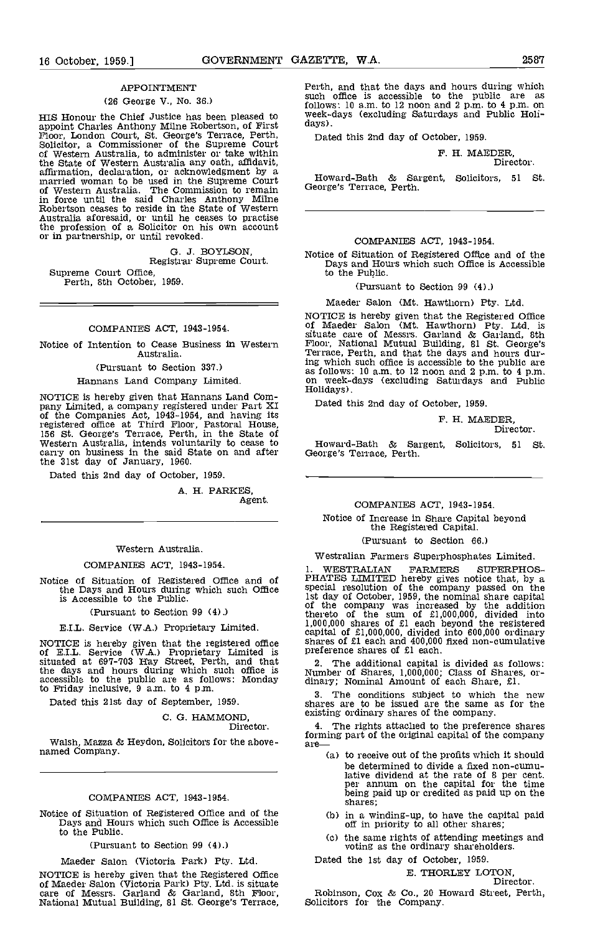## APPOINTMENT

# (26 George V., No. 36.)

appoint Charles Anthony Milne Robertson, of First Floor, London Court, St. George's Terrace, Perth, Dat<br>Solicitor, a Commissioner of the Supreme Court of Western Australia, to administer or take within the State of Western Australia any oath, affidavit,<br>affirmation, declaration, or acknowledgment by a<br>married woman to be used in the Supreme Court of Western Australia. The Commission to remain George in force until the said Charles Anthony Mithe Robertson ceases to reside in the State of Western Australia aforesaid, or until he ceases to practise the profession of a Solicitor on his own account or in partnership, or until revoked.

G. J. BOYLSON,<br>Registrar Supreme Court.<br>Supreme Court Office,

Perth, 8th October, 1959.

# COMPANIES ACT, 1943-1954.

Notice of Intention to Cease Business in Western Australia.

#### (Pursuant to Section 331.)

#### Hannans Land Company Limited.

NOTICE is hereby given that Hannans Land Com-<br>pany Limited, a company registered under Part XI <sup>D</sup><br>of the Companies Act, 1943-1954, and having its registered office at Third Floor, Pastoral House,<br>156 St. George's Terrace, Perth, in the State of<br>Western Australia, intends voluntarily to cease to How carry on business in the said State on and after Ge the 31st day of January, 1960.

Dated this 2nd day of October, 1959.

A. H. PARKES, Agent.

#### Western Australia.

#### COMPANIES ACT, 1943-1954.

Notice of Situation of Registered Office and of  $\rm PHA$ <br>the Days and Hours during which such Office is Accessible to the Public.

#### (Pursuant to Section 99 (4).)

# E.I.L. Service (W.A.) Proprietary Limited.

NOTICE is hereby given that the registered office sharp of E.I.L. Service (W.A.) Proprietary Limited is situated at 697-703 Hay Street, Perth, and that situated at 697-703 Hay Street, Perth, and that situated at  $\frac{2}{3}$ the days and hours during which such office is  $N<sub>1</sub>$ accessible to the public are as follows: Monday dinary to Friday inclusive,  $9 \text{ a.m. to } 4 \text{ p.m.}$ 

Dated this 21st day of September, 1959.

# C. G. HAMMOND, Director.

Walsh, Mazza & Heydon, Solicitors for the above-<br>named Company.

# COMPANIES ACT, 1943-1954.

Notice of Situation of Registered Office and of the Days and Hours which such Office is Accessible to the Public.

(Pursuant to Section 99 (4).)

Maeder Salon (Victoria Park) Pty. Ltd.

NOTICE is hereby given that the Registered Office of Maeder Salon (Victoria Park) Pty. Ltd. is situate care of Messrs. Garland & Garland, 8th Floor, Robinson, Cox & Co., 20 H National Mutual Building, 81 St. George's Terra

HIS Honour the Chief Justice has been pleased to week-days (excluding Saturdays and Public Holi-Perth, and that the days and hours during which such office is accessible to the public are as follows: 10 am. to 12 noon and 2 p.m. to 4 p.m. on week-days (excluding Saturdays and Public Holidays).

Dated this 2nd day of October, 1959.

# F. H. MAEDER, Director.

Howard-Bath & Sargent, Solicitors, 51 St. George's Terrace, Perth.

#### COMPANIES ACT, 1943-1954.

Notice of Situation of Registered Ofitce and of the Days and Hours which such Office is Accessible to the Public.

(Pursuant to Section 99 (4).)

#### Maeder Salon (Mt. Hawthorn) Pty. Ltd.

NOTICE is hereby given that the Registered Office of Maeder Salon (Mt. Hawthorn) Pty. Ltd. is situate care of Messrs. Garland & Garland, 8th Floor, National Mutual Building, 81 St. George's Terrace, Perth, and that the days and hours during which such office is accessible to the public are as follows: 10 am to 12noon and 2 p.m. to 4p.m. on week-days (excluding Saturdays and Public Holidays).

Dated this 2nd day of October, 1959.

F. H. MAEDER, Director.

Howard-Bath & Sargent, Solicitors, 51 St. George's Terrace, Perth.

# COMPANIES ACT, 1943-1954.

Notice of Increase in Share Capital beyond the Registered Capital.

#### (Pursuant to Section 66.)

# Westralian Farmers Superphosphates Limited.

1. WESTRALIAN FARMERS SUPERPHOS-PHATES LIMITED hereby gives notice that, by a special resolution of the company passed on the 1st day of October, 1959, the nominal share capital of the company was increased by the addition thereto of the sum of  $\pounds1,000,000$ , divided into  $1,000,000$  shares of  $\pounds1$  each beyond the registered capital of  $\pounds1,000,000$ , divided into  $600,000$  ordinary shares of  $\pounds1$  each and  $400,000$  fixed non-cumulativ

2. The additional capital is divided as follows: Number of Shares, 1,000,000; Class of Shares, or-<br>dinary; Nominal Amount of each Share, £1.

The conditions subject to which the new shares are to be issued are the same as for the existing ordinary shares of the company.

The rights attached to the preference shares 4. The rights attaclied to the preference shares forming part of the original capital of the company

- (a) to receive out of the profits which it should be determined to divide a fixed non-cumulative dividend at the rate of 8 per cent. per annum on the capital for the time being paid up or credited as paid up on the shares;
- in a winding-up, to have the capital paid off in priority to all other shares;
- the same rights of attending meetings and voting as the ordinary shareholders.

Dated the 1st day of October, 1959. E. THORLEY LOTON,

Director.

Robinson, Cox & Co., 20 Howard Street, Perth,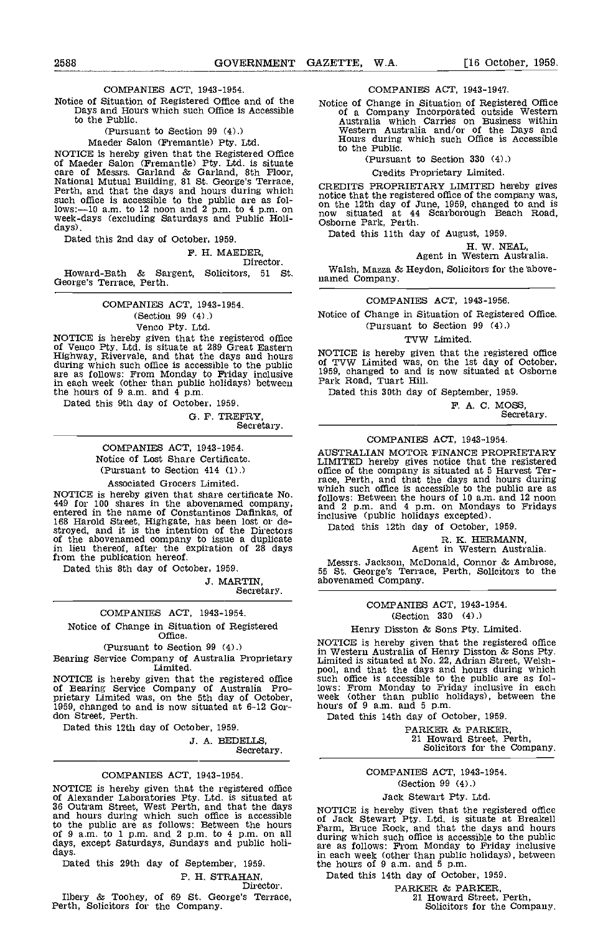# COMPANIES ACT, 1943-1954.

Notice of Situation of Registered Office and of the Notice of Change in Situation of Registered Office Days and Hours which such Office is Accessible of a Company Incorporated outside Western to the Public.

#### (Pursuant to Section 99 (4).)

Maeder Salon (Fremantle) Pty. Ltd.

MOTICE is hereby given that the Registered Office<br>of Maeder Salon (Fremantle) Pty. Ltd. is situate<br>care of Messrs. Garland & Garland, 8th Floor,<br>National Mutual Building, 81 St. George's Terrace,<br>Perth, and that the days a such office is accessible to the public are as follows:-10 a.m. to 12 noon and 2 p.m. to 4 p.m. on the week-days (excluding Saturdays and Public Holi- days).

Dated this 2nd day of October, 1959.

F. H. MAEDER,

#### Director.

Howard-Bath & Sargent, Solicitors, <sup>51</sup> St. George's Terrace, Perth.

> COMPANIES ACT, 1943-1954. (Section 99 (4).) Venco Pty. Ltd.

NOTICE is hereby given that the registered office<br>of Venco Pty. Ltd. is situate at 289 Great Eastern<br>Highway, Rivervale, and that the days and hours<br>during which such office is accessible to the public<br>of TV<br>in each week

Dated this 9th day of October, 1959.

G. F. TREFRY,

Secretary.

COMPANIES ACT, 1943-1954. Notice of Lost Share Certificate. (Pursuant to Section 414 (1).)

# Associated Grocers Limited.

NOTICE is hereby given that share certificate No.  $^{1010}$ <br>449 for 100 shares in the abovenamed company, and<br>entered in the name of Constantinos Dafinkas, of inclu<br>168 Harold Street, Highgate, has been lost or de-<br>stroyed in lieu thereof, after the expiration of 28 days from the publication hereof.

Dated this 8th day of October, 1959.

J. MARTIN,

Secretary.

#### COMPANIES ACT, 1943-1954.

Notice of Change in Situation of Registered Office.

(Pursuant to Section 99 (4).)

Bearing Service Company of Australia Proprietary Limited.

NOTICE is hereby given that the registered office such found such a such a Such  $\frac{1}{100}$  Service Company of Australia Proprietary Limited was, on the 5th day of October, we<br>1959, changed to and is now situated at 6-12 Gor-<br>don Street, Perth,

Dated this 12th day of October, 1959.

3. A. BEDELLS,

Secretary.

# COMPANIES ACT, 1943-1954.

NOTICE is hereby given that the registered office<br>of Alexander Laboratories Pty. Ltd. is situated at 36 Outram Street, West Perth, and that the days<br>and hours during which such office is accessible of Jack Stewart Pty. Ltd of the public are as follows: Between the hours of 9 a.m. to 1 p.m. and 2 p.m. to 4 p.m. on all days, except Saturdays, Sundays and public holi-days.

Dated this 29th day of September, 1959.

P. H. STRAHAN,

Director.

Ilbery & Toohey, of 69 St. George's Terrace, Perth, Solicitors for the Company.

COMPANIES ACT, 1943-194'?.

Notice of Change in Situation of Registered Office of a Company Incorporated outside Western<br>Australia which Carries on Business within<br>Western Australia and/or of the Days and<br>Hours during which such Office is Accessible to the Public.

(Pursuant to Section 330 (4).)

Credits Proprietary Limited.

CREDITS PROPRIETARY LIMITED hereby gives notice that the registered office of the company was, on the 12th day of June, 1959, changed to and is now situated at 44 Scarborough Beach Road, Osborne Park, Perth.

Dated this 11th day of August, 1959.

H. W. NEAL,<br>Agent in Western Australia.

Walsh, Mazza & Heydon, Solicitors for the above- named Company.

# COMPANIES ACT, 1943-1956.

Notice of Change in Situation of Registered Office. (Pursuant to Section 99 (4).)

#### TVW Limited.

NOTICE is hereby given that the registered office of TVW Limited was, on the 1st day of October, 1959, changed to and is now situated at Osborne Park Road, Tuart Hill.

Dated this 30th day of September, 1959.

F. A. C. MOSS,<br>Secretary.

# COMPANIES ACT, 1943-1954.

AUSTRALIAN MOTOR FINANCE PROPRIETARY LIMITED hereby gives notice that the registered<br>office of the company is situated at 5 Harvest Teroffice of the company is situated at 5 Harvest Ter- race, Perth, and that the days and hours during which such office is accessible to the public are as follows: Between the hours of 10 am. and 12 noon and 2 p.m. and 4 p.m. on Mondays to Fridays inclusive (public holidays excepted).

Dated this 12th day of October, 1959.

R. K. HERMANN,<br>Agent in Western Australia.

Messrs. Jackson, McDonald, Connor & Ambrose, 55 St. George's Terrace, Perth, Solicitors to the abovenamed Company.

> COMPANIES ACT, 1943-1954. (Section 330 (4).)

Henry Disston & Sons Pty. Limited.

NOTICE is hereby given that the registered office in Western Australia of Henry Disston & Sons Pty. Limited is situated at No. 22, Adrian Street, Welsh- pool, and that the days and hours during which such office is accessible to the public are as follows: From Monday to Friday inclusive in each week (other than public holidays), between the hours of 9 a.m. and 5 p.m.

Dated this 14th day of October, 1959.

PARKER & PARKER,<br>21 Howard Street, Perth,<br>Solicitors for the Company.

# COMPANIES ACT, 1943-1954.

# (Section 99 (4),)

# Jack Stewart Pty. Ltd.

NOTICE is hereby given that the registered office<br>of Jack Stewart Pty. Ltd. is situate at Breakell<br>Farm, Bruce Rock, and that the days and hours<br>during which such office is accessible to the public<br>are as follows: From Mon in each week (other than public holidays), between the hours of 9 am, and 5 p.m.

Dated this 14th day of October, 1959.

PARKER & PARKER,<br>21 Howard Street, Perth,<br>Solicitors for the Company.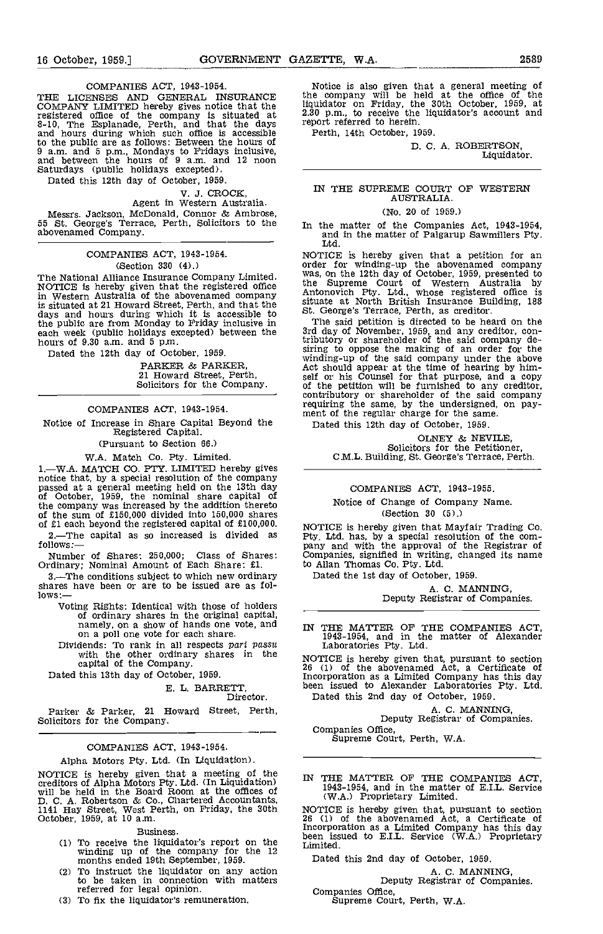COMPANIES ACT, 1943-1954.

THE LICENSES AND GENERAL INSURANCE COMPANY LIMITED hereby gives notice that the liquinous registered office of the company is situated at 2.30 10, The Esplanade, Perth, and that the days repo<br>and hours during which such office is accessible Pe to the public are as follows: Between the hours of 9 a.m. and 5 p.m., Mondays to Fridays inclusive, and between the hours of 9 a.m. and 12 noon Saturdays (public holidays excepted).

Dated this 12th day of October, 1959.

# V. J. CROCK, Agent in Western Australia.

Messrs. Jackson, McDonald, Connor & Ambrose,<br>55 St. George's Terrace, Perth, Solicitors to the  $I_{\text{In-th}}$ abovenamed Company.

# COMPANIES ACT, 1943-1954. (Section 330 (4).)

The National Alliance Insurance Company Limited. Was,<br>NOTICE is hereby given that the registered office that in Western Australia of the abovenamed company Anton is situated at 21 Howard Street, Perth, and that the situate at North British Insurance Bu days and hours during which it is accessible to St. George's Terrace, Perth, as creditor. the public are from Monday to Friday inclusive in each week (public holidays excepted) between the hours of 9.30 am, and 5 p.m.

Dated the 12th day of October, 1959.

PARKER & PARKER, 21 Howard Street, Perth, Solicitors for the Company,

# COMPANIES ACT, 1943-1954.

Notice of Increase in Share Capital Beyond the Registered Capital. (Pursuant to Section 66.)

# WA. Match Co. Pty. Limited.

1.—W.A. MATCH CO. PTY. LIMITED hereby gives notice that, by a special resolution of the company passed at a general meeting held on the 13th day of October, 1959, the nominal share capital of the company was increased by the addition thereto of the sum of £150,000 divided into 150,000 shares<br>of £1 each beyond the registered capital of £100,000.  $_{\text{NO}}$ <br>2.—The capital as so increased is divided as  $_{\text{Pt}}$ 

2.—The capital as so increased is divided as follows:—

Number of Shares: 250,000; Class of Shares Ordinary; Nominal Amount of Each Share: £1.

3. The conditions subject to which new ordinary shares have been or are to be issued are as follows:—<br>Voting Rights: Identical with those of holders

- Voting Rights: Identical with those of holders of ordinary shares in the original capital,<br>namely, on a show of hands one vote, and  $\frac{1}{N}$  T
- on a poll one vote for each share.<br>Dividends: To rank in all respects part passu Li with the other ordinary shares in the  $NOTIC$ with the other ordinary shares in the capital of the Company.

Dated this 13th day of October, 1959.

# E. L. BARRETT, Director.

Parker & Parker, 21 Howard Street, Perth, Solicitors for the Company.

# COMPANIES ACT, 1943-1954.

# Alpha Motors Pty. Ltd. (In Liquidation).

NOTICE is hereby given that a meeting of the  $\mathbb{R}$  m creditors of Alpha Motors Pty. Ltd (In Liquidation) will be held in the Board Room at the offices of D. C. A. Robertson & Co., Chartered Accountants,  $1141$  Hay Street, West Perth, on Friday, the 30th NOTIC October, 1959, at 10 a.m. 26 (1)

#### Business.

- To receive the liquidator's report on the winding up of the company for the 12 months ended 19th September, 1959. Dated (2) To instruct the liquidator on any action
- $(2)$ to be taken in connection with matters referred for legal opinion.
- (3) To fix the liquidator's remuneration.

Notice is also given that a general meeting of the company will be held at the office of the liquidator on Friday, the 30th October, 1959, at 2.30 p.m., to receive the liquidator's account and report referred to herein.

Perth, 14th October, 1959.

D. C. A. ROBERTSON, Liquidator.

# IN THE SUPREME COURT OF WESTERN AUSTRALIA.

## (No. 20 of 1959.)

In the matter of the Companies Act, 1943-1954, and in the matter of Palgarup Sawmillers Pty.<br>Ltd.

NOTICE is hereby given that a petition for an order for winding-up the abovenamed company was, on the 12th day of October, 1959, presented to the Supreme Court of Western Australia by Antonovich Pty. Ltd., whose registered office is

situate at North British Insurance Building, 188 St. George's Terrace, Perth, as creditor. The said petition is directed to be heard on the 3rd day of November, 1959, and any creditor, contributory or shareholder of the said company de-<br>siring to oppose the making of an order for the<br>winding-up of the said company under the above<br>Act should appear at the time of hearing by him-<br>self or his Counsel for that of the petition will be furnished to any creditor, contributory or shareholder of the said company requiring the same, by the undersigned, on pay-<br>ment of the regular charge for the same.

Dated this 12th day of October, 1959.

OLNEY & NEVILE,<br>Solicitors for the Petitioner, C.M.L. Building, St. George's Terrace, Perth.

#### COMPANIES ACT, 1943-1955.

# Notice of Change of Company Name. (Section 30 (5).)

NOTICE is hereby given that Mayfair Trading Co. Pty. Ltd. has, by a special resolution of the company and with the approval of the Registrar of Companies, signified in writing, changed its name to Allan Thomas Co. Pty. Ltd.

Dated the 1st day of October, 1959.

A. C. MANNING, Deputy Registrar of Companies.

IN THE MATTER OF THE COMPANIES ACT. 1943-1954, and in the matter of Alexander Laboratories fly. Ltd.

NOTICE is hereby given that, pursuant to section <sup>26</sup> (1) of the abovenamed Act, a Certificate of Incorporation as a Limited Company has this day<br>been issued to Alexander Laboratories Pty. Ltd.<br>Dated this 2nd day of October, 1959.

A. C. MANNING,<br>Deputy Registrar of Companies.<br>Companies Office.

Supreme Court, Perth, W.A.

IN THE MATTER OF THE COMPANIES ACT, 1943-1954, and in the matter of E.I.L. Service (WA.) Proprietary Limited.

NOTICE is hereby given that, pursuant to section <sup>26</sup> (1) of the abovenamed Act, a Certificate of Incorporation as a Limited Company has this day been issued to E.I.L. Service (W.A.) Proprietary Limited.

Dated this 2nd day of October, 1959.

A. C. MANNING,<br>Deputy Registrar of Companies.<br>Companies Office,

Supreme Court, Perth, W.A.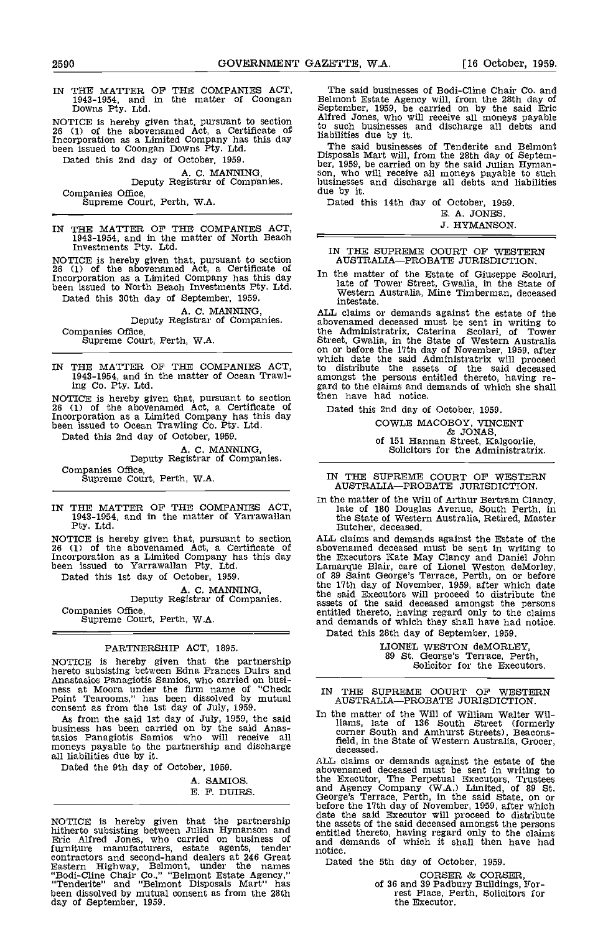IN THE MATTER OF THE COMPANIES ACT, 1943-1954, and in the matter of Coongan Downs Pty. Ltd.

NOTICE is hereby given that, pursuant to section  $\frac{\text{AllTEQ}}{\text{for}}$ 26 (1) of the abovenamed Act, a Certificate of the such that is a Limited Company has this day in The been issued to Coongan Downs Pty. Ltd.

Dated this 2nd day of October, 1959. A. C. MANNING,<br>Deputy Registrar of Companies.

Companies Office, Supreme Court, Perth, WA.

IN THE MATTER OF THE COMPANIES ACT, 1943-1954, and in the matter of North Beach Investments Pty. Ltd.

NOTICE is hereby given that, pursuant to section  $\overline{A}$  at  $\overline{A}$  at  $\overline{A}$  at  $\overline{A}$  at  $\overline{A}$  at  $\overline{A}$  at  $\overline{A}$  at  $\overline{A}$  at  $\overline{A}$  at  $\overline{A}$  at  $\overline{A}$  at  $\overline{A}$  at  $\overline{A}$  at  $\overline{A}$  at  $\overline$ Incorporation as a Limited Company has this day in the been issued to North Beach Investments Pty. Ltd. Dated this 30th day of September, 1959.

# A. C. MANNING,<br>Deputy Registrar of Companies.<br>Companies Office,

Supreme Court, Perth, W.A.

NOTICE is hereby given that, pursuant to section then<br>26 (1) of the abovenamed Act, a Certificate of Date<br>Incorporation as a Limited Company has this day been issued to Ocean Trawling Co. Pty. Ltd.

Dated this 2nd day of October, 1959.

A. C. MANNING, Deputy Registrar of Companies. Companies Office, Supreme Court, Perth, W.A.

IN THE MATTER OF THE COMPANIES ACT, 1943-1954, and in the matter of Yarrawallan Pty. Ltd.

NOTICE is hereby given that, pursuant to section 26 (1) of the abovenamed Act, a Certificate of Incorporation as a Limited Company has this day been issued to Yarrawallan Pty. Ltd. Laman Dated this 1st day of October, 1959. of 89

A. C. MANNING,<br>Deputy Registrar of Companies. Companies Office, Supreme Court, Perth, W.A.

# PARTNERSHIP ACT, 1895.

NOTICE is hereby given that the partnership hereto subsisting between Edna Frances Duirs and<br>Anastasios Panagiotis Samios, who carried on busi-<br>ness at Moora under the firm name of "Check TNTT Point Tearooms," has been dissolved by mutual consent as from the 1st day of July, 1959.

As from the said 1st day of July, 1959, the said  $\frac{10^{10} \text{ m}}{11}$  iii tasios Panagiotis Samios who will receive all moneys payable to the partnership and discharge  $\frac{1}{6}$ all liabilities due by it.

Dated the 9th day of October, 1959.

A. SAMIOS. E. F. DUIRS.

NOTICE is hereby given that the partnership all the asset hitherto subsisting between Julian Hymanson and<br>Eric Alfred Jones, who carried on business of and d furniture manufacturers, estate agents, tender contractors and second-hand dealers at 246 Great Eastern Highway, Belmont, under the names "Bodi-Cline Chair Co.," "Belmont Estate Agency," "Tenderite" and "Belmont Disposals Mart" has been dissolved by mutual consent as from the 28th been dissolved by mutual consent as from the 28th day of September, 1959.

The said businesses of Bodi-Cline Chair Co. and Belmont Estate Agency will, from the 28th day of September, 1959, be carried on by the said Eric Alfred Jones, who will receive all moneys payable to such businesses and discharge all debts and liabilities due by it. The said businesses of Tenderite and Belmont

The said businesses of Tenderite and Belmont Disposals Mart will, from the 28th day of Septem-<br>ber, 1959, be carried on by the said Julian Hyman-<br>son, who will receive all moneys payable to such<br>businesses and discharge al

Dated this 14th day of October, 1959.

E. A. JONES. J. HYMANSON.

IN THE SUPREME COURT OF WESTERN AUSTRALIA-PROBATE JURISDICTION.

In the matter of the Estate of Giuseppe Scolari, late of Tower Street, Gwalia, in the State of Western Australia, Mine Timberman, deceased intestate.

IN THE MATTER OF THE COMPANIES ACT,<br>1943-1954, and in the matter of Ocean Trawl-<br>ing Co. Pty. Ltd. ing Co. Pty. Ltd. ing Co. Pty. Ltd. anongst the persons entitled thereto, having re-<br>NOTICE is hereby given that pursuant t ALL claims or demands against the estate of the abovenamed deceased must be sent in writing to the Administratrix, Caterina Scolari, of Tower Street, Gwalia, in the State of Western Australia on or before the 17th day of November, 1959, after which date the said Administratrix will proceed to distribute the assets of the said deceased amongst the persons entitled thereto, having re-<br>gard to the claims and demands of which she shall<br>then have had notice.

Dated this 2nd day of October, 1959.

COWLE MACOBOY, VINCENT & JONAS, of 151 Hannan Street, Kalgoorlie, Solicitors for the Administratrix.

IN THE SUPREME COURT OF WESTERN AUSTRALIA-PROBATE JURISDICTION.

In the matter of the Will of Arthur Bertram Clancy, late of 180 Douglas Avenue, South Perth, in the State of Western Australia, Retired, Master Butcher, deceased.

ALL claims and demands against the Estate of the abovenamed deceased must be sent in writing to the Executors Kate May Clancy and Daniel John Lamarque Blair, care of Lionel Weston deMorley, of 89 Saint George's Terrace, Perth, on or before the 17th day of November, 1959, after which date the said Executors will proceed to distribute the assets of the said deceased amongst the persons entitled thereto, having regard only to the claims and demands of which they shall have had notice. Dated this 28th day of September, 1959.

LIONEL WESTON deMORLEY, 89 St. George's Terrace, Perth, Solicitor for the Executors.

IN THE SUPREME COURT OF WESTERN AUSTRALIA-PROBATE JURISDICTION.

In the matter of the Will of William Walter Williams, late of 136 South Street (formerly corner South and Amhurst Streets), Beaconsfield, in the State of Western Australia, Grocer, deceased.

ALL claims or demands against the estate of the abovenamed deceased must be sent in writing to<br>the Executor, The Perpetual Executors, Trustees<br>and Agency Company (W.A.) Limited, of 89 St.<br>George's Terrace, Perth, in the said State, on or<br>before the 17th day of November, the assets of the said deceased amongst the persons entitled thereto, having regard only to the claims and demands of which it shall then have had notice.

Dated the 5th day of October, 1959.

CORSER & CORSER, of 36 and 39 Padbury Buildings, For- rest Place, Perth, Solicitors for the Executor.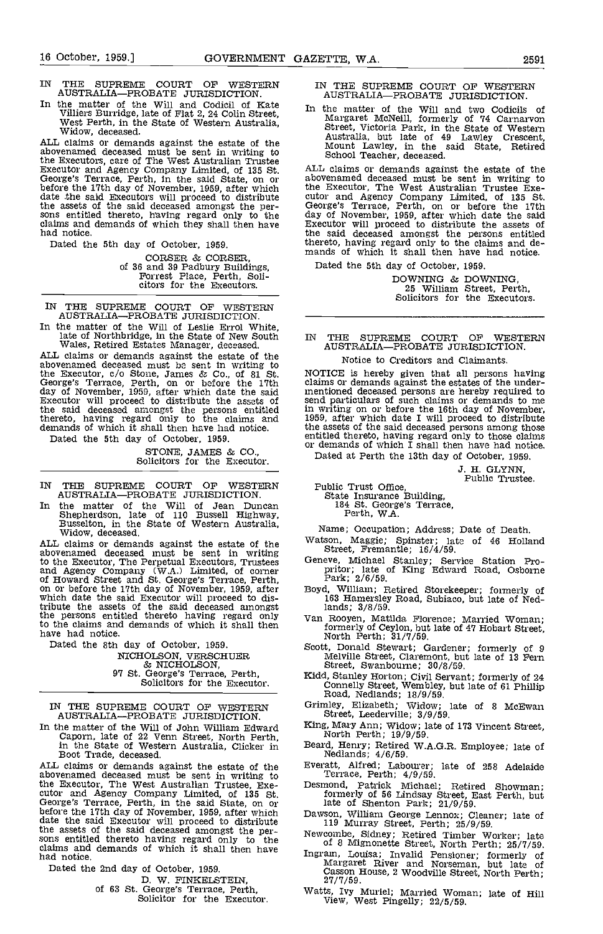- IN THE SUPREME COURT OF WESTERN AUSTRALIA-PROBATE JURISDICTION.
- In the matter of the Will and Codicil of Kate In the Villiers Burridge, late of Flat 2, 24 Colin Street,<br>West Perth, in the State of Western Australia,<br>Widow, deceased.

ALL claims or demands against the estate of the abovenamed deceased must be sent in writing to  $S<sub>c</sub>$ the Executors, care of The West Australian Trustee<br>Executor and Agency Company Limited, of 135 St. ALL<br>George's Terrace, Perth, in the said State, on or above<br>before the 17th day of November, 1959, after which the E<br>date t the assets of the said deceased amongst the per-<br>Sons entitled thereto, having regard only to the day of claims and demands of which they shall then have had notice.

Dated the 5th day of October, 1959.

CORSER & CORSER,<br>of 36 and 39 Padbury Buildings,<br>Forrest Place, Perth, Soli-<br>citors for the Executors.

IN THE SUPREME COURT OF WESTERN AUSTRALIAPROBATE JURISDICTION.

In the matter of the Will of Leslie Errol White, late of Northbridge, in the State of New South Wales, Retired Estates Manager, deceased. ALL claims or demands against the estate of the

abovenamed deceased must be sent in writing to the Executor, c/o Stone, James & Co., of 81 St. NOTIC<br>George's Terrace, Perth, on or before the 17th claims day of November, 1959, after which date the said in mention Executor will proceed to distribute the assets of send persons entitled in write thereto, having regard only to the claims and 1959, a<br>demands of which it shall then have had notice. the asset

Dated the 5th day of October, 1959.

STONE, JAMES & CO., Solicitors for the Executor.

IN THE SUPREME COURT OF WESTERN AUSTRALIA-PROBATE JURISDICTION.

In the matter of the Will of Jean Duncan 1 Shepherdson, late of 110 Bussell Highway, Busselton, in the State of Western Australia, Widow, deceased.

ALL claims or demands against the estate of the Watsor<br>abovenamed deceased must be sent in writing and state to the Executor, The Perpetual Executors, Trustees General Agency Company (W.A.) Limited, of corner of Howard Street and St. George's Terrace, Perth, on or before the 17th day of November, 1959, after Boy which date the sa tribute the assets of the said deceased amongst<br>the persons entitled thereto having regard only van R to the claims and demands of which it shall then  $\frac{1}{10}$ have had notice.

Dated the 8th day of October, 1959. NICHOLSON, VERSCHUER<br>& NICHOLSON, & NICHOLSON, 97 St. George's Terrace, Perth, Solicitors for the Executor.

IN THE SUPREME COURT OF WESTERN AUSTRALIA-PROBATE JURISDICTION.

In the matter of the Will of John William Edward  $\frac{King}{M}$ Caporn, late of 22 Venn Street, North Perth, North Perth, North Perth, in the State of Western Australia, Clicker in Beard, No

ALL claims or demands against the estate of the abovenamed deceased must be sent in writing to Te<br>the Executor, The West Australian Trustee, Exe-<br>cutor and Agency Company Limited, of 135 St. for<br>George's Terrace, Perth, in the said State, on or<br>before the 17th day of No the assets of the said deceased amongst the per-<br>the assets of the said deceased amongst the per-<br>sons entitled thereto having regard only to the claims and demands of which it shall then have<br>claims and demands of which i had notice.

Dated the 2nd day of October, 1959.

of 63 St. George's Terrace, Perth,<br>Solicitor for the Executor.

IN THE SUPREME COURT OF WESTERN AUSTRALIA-PROBATE JURISDICTION.

In the matter of the Will and two Codicils of Margaret McNeill, formerly of 74 Carnarvon Street, Victoria Park, in the State of Western Australia, but late of 49 Lawley Crescent, Mount Lawley in the said State, Retired School Teacher, deceased.

ALL claims or demands against the estate of the abovenamed deceased must be sent in writing to the Executor, The West Australian Trustee Exe- cutor and Agency Company Limited, of 135 St. George's Terrace, Perth, on or before the 17th day of November, 1959, after which date the said Executor will proceed to distribute the assets of the said deceased amongst the persons entitled<br>thereto, having regard only to the claims and demands of which it shall then have had notice.

Dated the 5th day of October, 1959.

DOWNING & DOWNING, 25 William Street, Perth, Solicitors for the Executors.

# IN THE SUPREME COURT OF WESTERN AUSTRALIA-PROBATE JURISDICTION.

#### Notice to Creditors and Claimants.

NOTICE is hereby given that all persons having claims or demands against the estates of the under- mentioned deceased persons are hereby required to send particulars of such claims or demands to me in writing on or before the 16th day of November, 1959, after which date I will proceed to distribute the assets of the said deceased persons among those entitled thereto, having regard only to those claims or demands of which I shall then have had notice.

Dated at Perth the 13th day of October, 1959.

J. H. GLYNN, Public Trustee.

Public Trust Office, State Insurance Building, 184 St. George's Terrace, Perth, WA.

- Name; Occupation; Address; Date of Death. Watson, Maggie; Spinster; late of 46 Holland Street, Fremantle; 16/4/59.
- Geneve, Michael Stanley; Service Station Pro- pritor; late of King Edward Road, Osborne Park; 2/6/59.
- Boyd, William; Retired Storekeeper; formerly of 163 Hamersley Road, Subiaco, but late of Nedlands; 3/8/59.
- Van Rooyen, Matilda Florence; Married Woman; formerly of Ceylon, hut late of 47 Hobart Street, North Perth; 31/7/59.
- Scott, Donald Stewart; Gardener; formerly of 9 Melville Street, Claremont, but late of 13 Fern Street, Swanbourne; 30/8/59.
- Kidd, Stanley Horton; Civil Servant; formerly of 24 Connelly Street, Wembley, but late of 61 Phillip Road, Nedlands; 18/9/59.
- Grimley, Elizabeth; Widow; late of 8 MoEwan Street, Leederville; 3/9/59.
- King, Mary Ann; Widow; late of 173 Vincent Street, North Perth; 19/9/59.
- Beard, Henry; Retired W.A.G.R. Employee; late of Nedlands; 4/6/59.
- Everatt, Alfred; Labourer; late of 258 Adelaide Terrace, Perth; 4/9/59.
- Desmond, Patrick Michael; Retired Showman; formerly of 56 Lindsay Street, East Perth, but late of Shenton Park; 21/9/59.
- Dawson, William George Lennox; Cleaner; late of 119 Murray Street, Perth; 25/9/59.
- 
- Ingram, Louisa; Invalid Pensioner; formerly of<br>Margaret River and Norseman, but late of<br>Casson House, 2 Woodville Street, North Perth;<br>27/7/59.
- Watts, Ivy Muriel; Married Woman; late of Hill View, West Pingelly; 22/5/59.